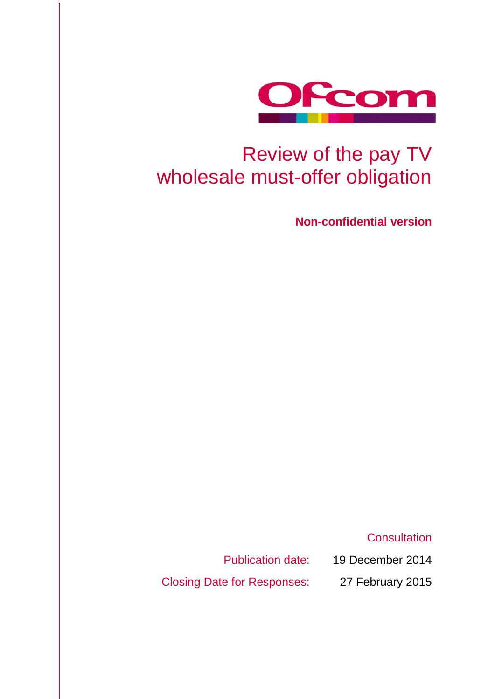

# Review of the pay TV wholesale must-offer obligation

**Non-confidential version**

**Consultation** 

Publication date: 19 December 2014

Closing Date for Responses: 27 February 2015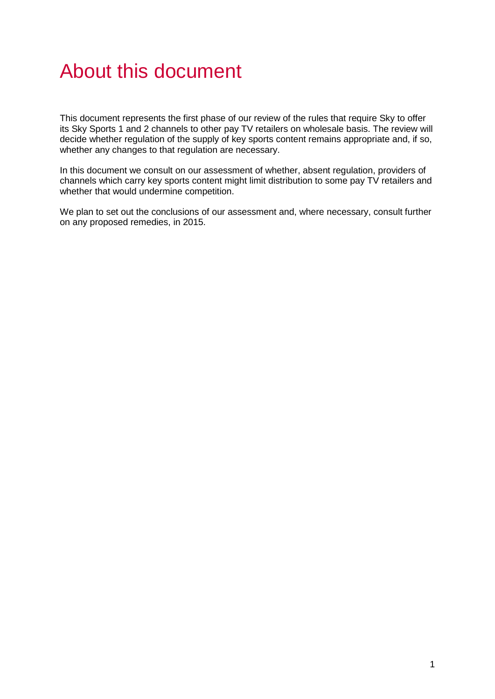# About this document

This document represents the first phase of our review of the rules that require Sky to offer its Sky Sports 1 and 2 channels to other pay TV retailers on wholesale basis. The review will decide whether regulation of the supply of key sports content remains appropriate and, if so, whether any changes to that regulation are necessary.

In this document we consult on our assessment of whether, absent regulation, providers of channels which carry key sports content might limit distribution to some pay TV retailers and whether that would undermine competition.

We plan to set out the conclusions of our assessment and, where necessary, consult further on any proposed remedies, in 2015.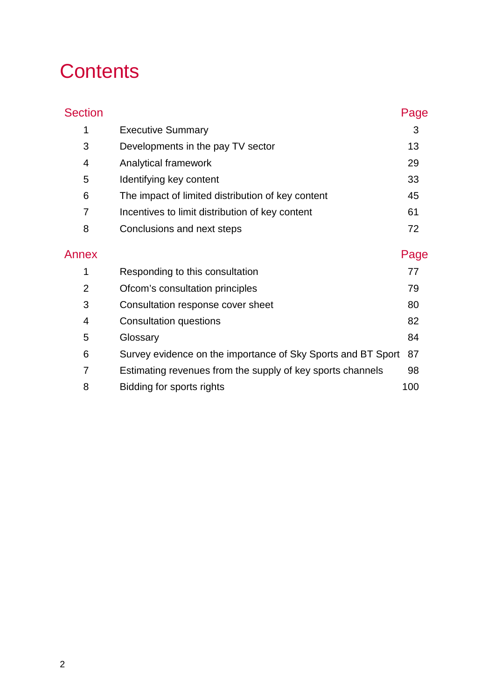# **Contents**

| <b>Section</b> |                                                              | Page |
|----------------|--------------------------------------------------------------|------|
| 1              | <b>Executive Summary</b>                                     | 3    |
| 3              | Developments in the pay TV sector                            | 13   |
| $\overline{4}$ | <b>Analytical framework</b>                                  | 29   |
| 5              | Identifying key content                                      | 33   |
| 6              | The impact of limited distribution of key content            | 45   |
| 7              | Incentives to limit distribution of key content              | 61   |
| 8              | Conclusions and next steps                                   | 72   |
| Annex          |                                                              | Page |
| 1              | Responding to this consultation                              | 77   |
| 2              | Ofcom's consultation principles                              | 79   |
| 3              | Consultation response cover sheet                            | 80   |
| 4              | <b>Consultation questions</b>                                | 82   |
| 5              | Glossary                                                     | 84   |
| 6              | Survey evidence on the importance of Sky Sports and BT Sport | 87   |
| 7              | Estimating revenues from the supply of key sports channels   | 98   |
| 8              | Bidding for sports rights                                    | 100  |
|                |                                                              |      |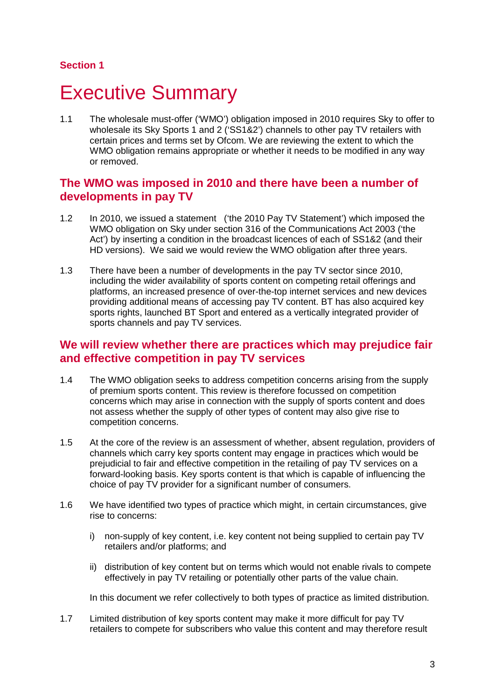#### **Section 1**

# <span id="page-3-0"></span>**Executive Summary**

1.1 The wholesale must-offer ('WMO') obligation imposed in 2010 requires Sky to offer to wholesale its Sky Sports 1 and 2 ('SS1&2') channels to other pay TV retailers with certain prices and terms set by Ofcom. We are reviewing the extent to which the WMO obligation remains appropriate or whether it needs to be modified in any way or removed.

## **The WMO was imposed in 2010 and there have been a number of developments in pay TV**

- 1.2 In 2010, we issued a statement ('the 2010 Pay TV Statement') which imposed the WMO obligation on Sky under section 316 of the Communications Act 2003 ('the Act') by inserting a condition in the broadcast licences of each of SS1&2 (and their HD versions). We said we would review the WMO obligation after three years.
- 1.3 There have been a number of developments in the pay TV sector since 2010, including the wider availability of sports content on competing retail offerings and platforms, an increased presence of over-the-top internet services and new devices providing additional means of accessing pay TV content. BT has also acquired key sports rights, launched BT Sport and entered as a vertically integrated provider of sports channels and pay TV services.

### **We will review whether there are practices which may prejudice fair and effective competition in pay TV services**

- 1.4 The WMO obligation seeks to address competition concerns arising from the supply of premium sports content. This review is therefore focussed on competition concerns which may arise in connection with the supply of sports content and does not assess whether the supply of other types of content may also give rise to competition concerns.
- 1.5 At the core of the review is an assessment of whether, absent regulation, providers of channels which carry key sports content may engage in practices which would be prejudicial to fair and effective competition in the retailing of pay TV services on a forward-looking basis. Key sports content is that which is capable of influencing the choice of pay TV provider for a significant number of consumers.
- 1.6 We have identified two types of practice which might, in certain circumstances, give rise to concerns:
	- i) non-supply of key content, i.e. key content not being supplied to certain pay TV retailers and/or platforms; and
	- ii) distribution of key content but on terms which would not enable rivals to compete effectively in pay TV retailing or potentially other parts of the value chain.

In this document we refer collectively to both types of practice as limited distribution.

1.7 Limited distribution of key sports content may make it more difficult for pay TV retailers to compete for subscribers who value this content and may therefore result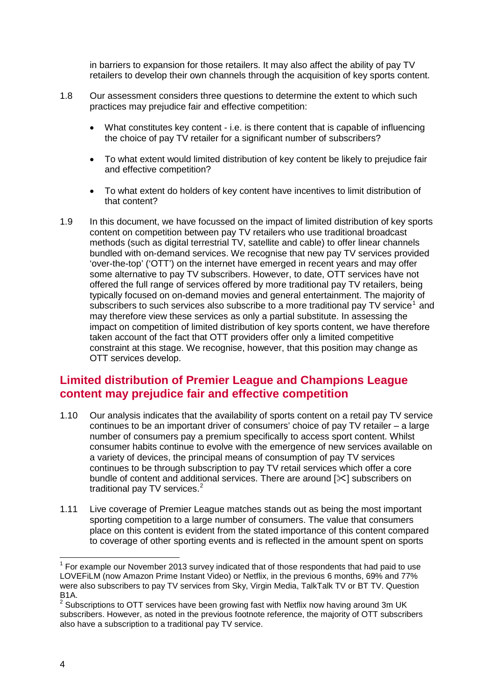in barriers to expansion for those retailers. It may also affect the ability of pay TV retailers to develop their own channels through the acquisition of key sports content.

- 1.8 Our assessment considers three questions to determine the extent to which such practices may prejudice fair and effective competition:
	- What constitutes key content i.e. is there content that is capable of influencing the choice of pay TV retailer for a significant number of subscribers?
	- To what extent would limited distribution of key content be likely to prejudice fair and effective competition?
	- To what extent do holders of key content have incentives to limit distribution of that content?
- 1.9 In this document, we have focussed on the impact of limited distribution of key sports content on competition between pay TV retailers who use traditional broadcast methods (such as digital terrestrial TV, satellite and cable) to offer linear channels bundled with on-demand services. We recognise that new pay TV services provided 'over-the-top' ('OTT') on the internet have emerged in recent years and may offer some alternative to pay TV subscribers. However, to date, OTT services have not offered the full range of services offered by more traditional pay TV retailers, being typically focused on on-demand movies and general entertainment. The majority of subscribers to such services also subscribe to a more traditional pay TV service<sup>[1](#page-4-0)</sup> and may therefore view these services as only a partial substitute. In assessing the impact on competition of limited distribution of key sports content, we have therefore taken account of the fact that OTT providers offer only a limited competitive constraint at this stage. We recognise, however, that this position may change as OTT services develop.

# **Limited distribution of Premier League and Champions League content may prejudice fair and effective competition**

- 1.10 Our analysis indicates that the availability of sports content on a retail pay TV service continues to be an important driver of consumers' choice of pay TV retailer – a large number of consumers pay a premium specifically to access sport content. Whilst consumer habits continue to evolve with the emergence of new services available on a variety of devices, the principal means of consumption of pay TV services continues to be through subscription to pay TV retail services which offer a core bundle of content and additional services. There are around  $[\times]$  subscribers on traditional pay TV services.<sup>[2](#page-4-1)</sup>
- 1.11 Live coverage of Premier League matches stands out as being the most important sporting competition to a large number of consumers. The value that consumers place on this content is evident from the stated importance of this content compared to coverage of other sporting events and is reflected in the amount spent on sports

<span id="page-4-0"></span><sup>1</sup> For example our November 2013 survey indicated that of those respondents that had paid to use LOVEFiLM (now Amazon Prime Instant Video) or Netflix, in the previous 6 months, 69% and 77% were also subscribers to pay TV services from Sky, Virgin Media, TalkTalk TV or BT TV. Question B1A.  $\overline{a}$ 

<span id="page-4-1"></span> $2$  Subscriptions to OTT services have been growing fast with Netflix now having around 3m UK subscribers. However, as noted in the previous footnote reference, the majority of OTT subscribers also have a subscription to a traditional pay TV service.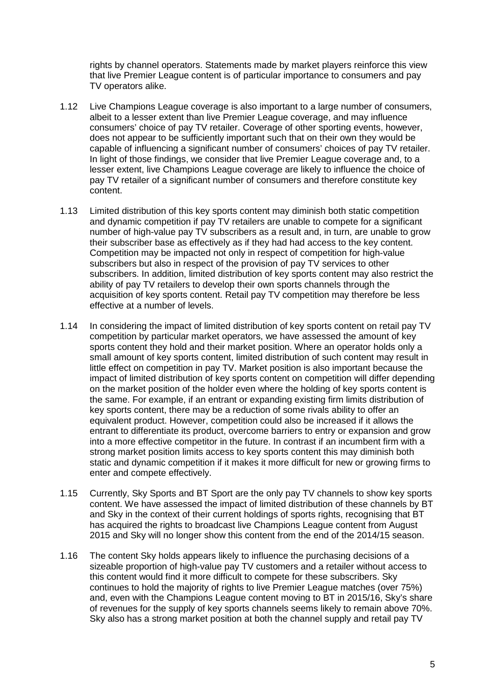rights by channel operators. Statements made by market players reinforce this view that live Premier League content is of particular importance to consumers and pay TV operators alike.

- 1.12 Live Champions League coverage is also important to a large number of consumers, albeit to a lesser extent than live Premier League coverage, and may influence consumers' choice of pay TV retailer. Coverage of other sporting events, however, does not appear to be sufficiently important such that on their own they would be capable of influencing a significant number of consumers' choices of pay TV retailer. In light of those findings, we consider that live Premier League coverage and, to a lesser extent, live Champions League coverage are likely to influence the choice of pay TV retailer of a significant number of consumers and therefore constitute key content.
- 1.13 Limited distribution of this key sports content may diminish both static competition and dynamic competition if pay TV retailers are unable to compete for a significant number of high-value pay TV subscribers as a result and, in turn, are unable to grow their subscriber base as effectively as if they had had access to the key content. Competition may be impacted not only in respect of competition for high-value subscribers but also in respect of the provision of pay TV services to other subscribers. In addition, limited distribution of key sports content may also restrict the ability of pay TV retailers to develop their own sports channels through the acquisition of key sports content. Retail pay TV competition may therefore be less effective at a number of levels.
- 1.14 In considering the impact of limited distribution of key sports content on retail pay TV competition by particular market operators, we have assessed the amount of key sports content they hold and their market position. Where an operator holds only a small amount of key sports content, limited distribution of such content may result in little effect on competition in pay TV. Market position is also important because the impact of limited distribution of key sports content on competition will differ depending on the market position of the holder even where the holding of key sports content is the same. For example, if an entrant or expanding existing firm limits distribution of key sports content, there may be a reduction of some rivals ability to offer an equivalent product. However, competition could also be increased if it allows the entrant to differentiate its product, overcome barriers to entry or expansion and grow into a more effective competitor in the future. In contrast if an incumbent firm with a strong market position limits access to key sports content this may diminish both static and dynamic competition if it makes it more difficult for new or growing firms to enter and compete effectively.
- 1.15 Currently, Sky Sports and BT Sport are the only pay TV channels to show key sports content. We have assessed the impact of limited distribution of these channels by BT and Sky in the context of their current holdings of sports rights, recognising that BT has acquired the rights to broadcast live Champions League content from August 2015 and Sky will no longer show this content from the end of the 2014/15 season.
- 1.16 The content Sky holds appears likely to influence the purchasing decisions of a sizeable proportion of high-value pay TV customers and a retailer without access to this content would find it more difficult to compete for these subscribers. Sky continues to hold the majority of rights to live Premier League matches (over 75%) and, even with the Champions League content moving to BT in 2015/16, Sky's share of revenues for the supply of key sports channels seems likely to remain above 70%. Sky also has a strong market position at both the channel supply and retail pay TV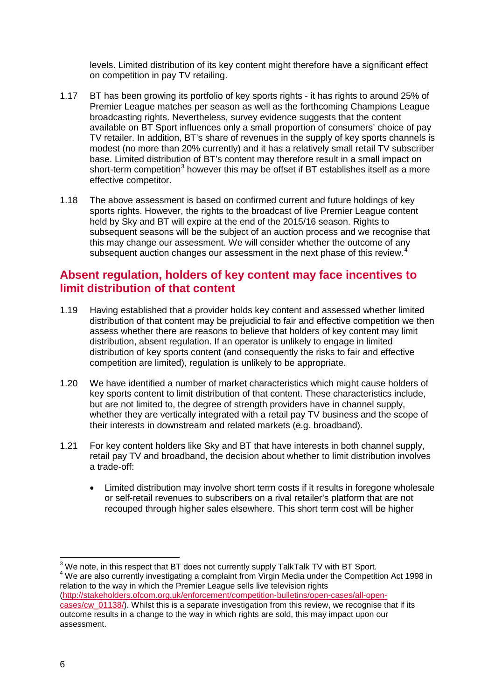levels. Limited distribution of its key content might therefore have a significant effect on competition in pay TV retailing.

- 1.17 BT has been growing its portfolio of key sports rights it has rights to around 25% of Premier League matches per season as well as the forthcoming Champions League broadcasting rights. Nevertheless, survey evidence suggests that the content available on BT Sport influences only a small proportion of consumers' choice of pay TV retailer. In addition, BT's share of revenues in the supply of key sports channels is modest (no more than 20% currently) and it has a relatively small retail TV subscriber base. Limited distribution of BT's content may therefore result in a small impact on short-term competition<sup>[3](#page-6-0)</sup> however this may be offset if BT establishes itself as a more effective competitor.
- 1.18 The above assessment is based on confirmed current and future holdings of key sports rights. However, the rights to the broadcast of live Premier League content held by Sky and BT will expire at the end of the 2015/16 season. Rights to subsequent seasons will be the subject of an auction process and we recognise that this may change our assessment. We will consider whether the outcome of any subsequent auction changes our assessment in the next phase of this review.<sup>[4](#page-6-1)</sup>

## **Absent regulation, holders of key content may face incentives to limit distribution of that content**

- 1.19 Having established that a provider holds key content and assessed whether limited distribution of that content may be prejudicial to fair and effective competition we then assess whether there are reasons to believe that holders of key content may limit distribution, absent regulation. If an operator is unlikely to engage in limited distribution of key sports content (and consequently the risks to fair and effective competition are limited), regulation is unlikely to be appropriate.
- 1.20 We have identified a number of market characteristics which might cause holders of key sports content to limit distribution of that content. These characteristics include, but are not limited to, the degree of strength providers have in channel supply, whether they are vertically integrated with a retail pay TV business and the scope of their interests in downstream and related markets (e.g. broadband).
- 1.21 For key content holders like Sky and BT that have interests in both channel supply, retail pay TV and broadband, the decision about whether to limit distribution involves a trade-off:
	- Limited distribution may involve short term costs if it results in foregone wholesale or self-retail revenues to subscribers on a rival retailer's platform that are not recouped through higher sales elsewhere. This short term cost will be higher

<span id="page-6-1"></span><span id="page-6-0"></span> $3$  We note, in this respect that BT does not currently supply TalkTalk TV with BT Sport. <sup>4</sup> We are also currently investigating a complaint from Virgin Media under the Competition Act 1998 in relation to the way in which the Premier League sells live television rights [\(http://stakeholders.ofcom.org.uk/enforcement/competition-bulletins/open-cases/all-open](http://stakeholders.ofcom.org.uk/enforcement/competition-bulletins/open-cases/all-open-cases/cw_01138/)[cases/cw\\_01138/\)](http://stakeholders.ofcom.org.uk/enforcement/competition-bulletins/open-cases/all-open-cases/cw_01138/). Whilst this is a separate investigation from this review, we recognise that if its outcome results in a change to the way in which rights are sold, this may impact upon our assessment.  $\overline{a}$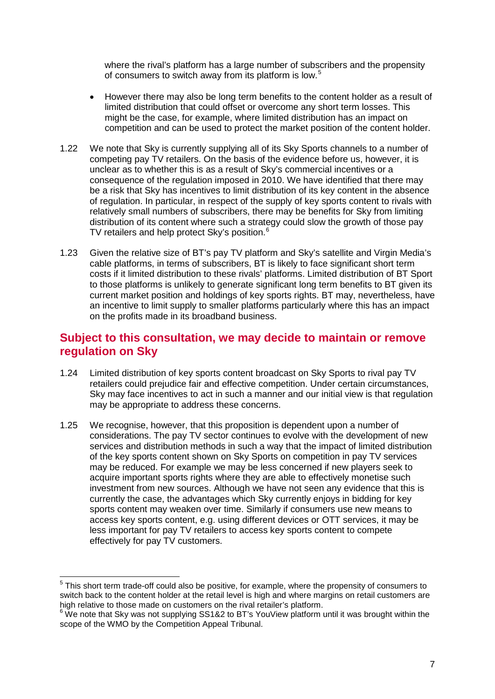where the rival's platform has a large number of subscribers and the propensity of consumers to switch away from its platform is low.<sup>[5](#page-7-0)</sup>

- However there may also be long term benefits to the content holder as a result of limited distribution that could offset or overcome any short term losses. This might be the case, for example, where limited distribution has an impact on competition and can be used to protect the market position of the content holder.
- 1.22 We note that Sky is currently supplying all of its Sky Sports channels to a number of competing pay TV retailers. On the basis of the evidence before us, however, it is unclear as to whether this is as a result of Sky's commercial incentives or a consequence of the regulation imposed in 2010. We have identified that there may be a risk that Sky has incentives to limit distribution of its key content in the absence of regulation. In particular, in respect of the supply of key sports content to rivals with relatively small numbers of subscribers, there may be benefits for Sky from limiting distribution of its content where such a strategy could slow the growth of those pay TV retailers and help protect Sky's position. $6$
- 1.23 Given the relative size of BT's pay TV platform and Sky's satellite and Virgin Media's cable platforms, in terms of subscribers, BT is likely to face significant short term costs if it limited distribution to these rivals' platforms. Limited distribution of BT Sport to those platforms is unlikely to generate significant long term benefits to BT given its current market position and holdings of key sports rights. BT may, nevertheless, have an incentive to limit supply to smaller platforms particularly where this has an impact on the profits made in its broadband business.

# **Subject to this consultation, we may decide to maintain or remove regulation on Sky**

- 1.24 Limited distribution of key sports content broadcast on Sky Sports to rival pay TV retailers could prejudice fair and effective competition. Under certain circumstances, Sky may face incentives to act in such a manner and our initial view is that regulation may be appropriate to address these concerns.
- 1.25 We recognise, however, that this proposition is dependent upon a number of considerations. The pay TV sector continues to evolve with the development of new services and distribution methods in such a way that the impact of limited distribution of the key sports content shown on Sky Sports on competition in pay TV services may be reduced. For example we may be less concerned if new players seek to acquire important sports rights where they are able to effectively monetise such investment from new sources. Although we have not seen any evidence that this is currently the case, the advantages which Sky currently enjoys in bidding for key sports content may weaken over time. Similarly if consumers use new means to access key sports content, e.g. using different devices or OTT services, it may be less important for pay TV retailers to access key sports content to compete effectively for pay TV customers.

 $\overline{a}$ 

<span id="page-7-0"></span> $5$  This short term trade-off could also be positive, for example, where the propensity of consumers to switch back to the content holder at the retail level is high and where margins on retail customers are high relative to those made on customers on the rival retailer's platform.

<span id="page-7-1"></span> $6$  We note that Sky was not supplying SS1&2 to BT's YouView platform until it was brought within the scope of the WMO by the Competition Appeal Tribunal.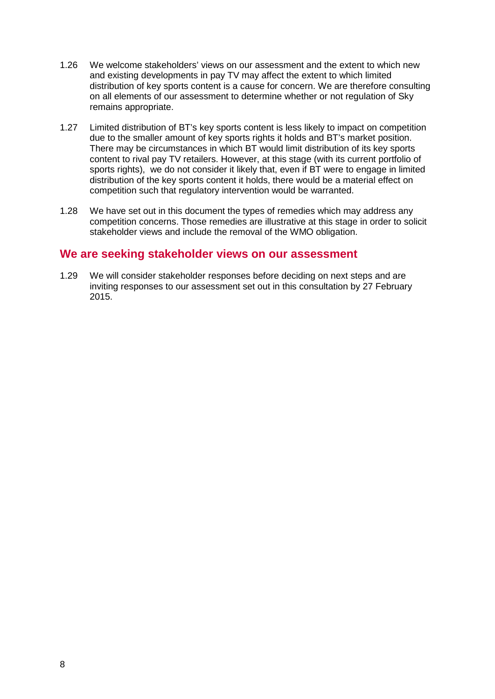- 1.26 We welcome stakeholders' views on our assessment and the extent to which new and existing developments in pay TV may affect the extent to which limited distribution of key sports content is a cause for concern. We are therefore consulting on all elements of our assessment to determine whether or not regulation of Sky remains appropriate.
- 1.27 Limited distribution of BT's key sports content is less likely to impact on competition due to the smaller amount of key sports rights it holds and BT's market position. There may be circumstances in which BT would limit distribution of its key sports content to rival pay TV retailers. However, at this stage (with its current portfolio of sports rights), we do not consider it likely that, even if BT were to engage in limited distribution of the key sports content it holds, there would be a material effect on competition such that regulatory intervention would be warranted.
- 1.28 We have set out in this document the types of remedies which may address any competition concerns. Those remedies are illustrative at this stage in order to solicit stakeholder views and include the removal of the WMO obligation.

### **We are seeking stakeholder views on our assessment**

1.29 We will consider stakeholder responses before deciding on next steps and are inviting responses to our assessment set out in this consultation by 27 February 2015.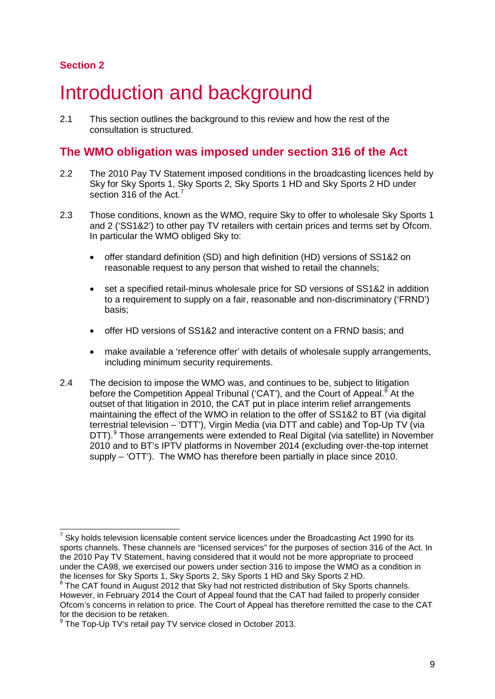### **Section 2**

# Introduction and background

2.1 This section outlines the background to this review and how the rest of the consultation is structured.

## **The WMO obligation was imposed under section 316 of the Act**

- 2.2 The 2010 Pay TV Statement imposed conditions in the broadcasting licences held by Sky for Sky Sports 1, Sky Sports 2, Sky Sports 1 HD and Sky Sports 2 HD under section 316 of the Act.<sup>[7](#page-9-0)</sup>
- 2.3 Those conditions, known as the WMO, require Sky to offer to wholesale Sky Sports 1 and 2 ('SS1&2') to other pay TV retailers with certain prices and terms set by Ofcom. In particular the WMO obliged Sky to:
	- offer standard definition (SD) and high definition (HD) versions of SS1&2 on reasonable request to any person that wished to retail the channels;
	- set a specified retail-minus wholesale price for SD versions of SS1&2 in addition to a requirement to supply on a fair, reasonable and non-discriminatory ('FRND') basis;
	- offer HD versions of SS1&2 and interactive content on a FRND basis; and
	- make available a 'reference offer' with details of wholesale supply arrangements, including minimum security requirements.
- 2.4 The decision to impose the WMO was, and continues to be, subject to litigation before the Competition Appeal Tribunal ('CAT'), and the Court of Appeal.<sup>[8](#page-9-1)</sup> At the outset of that litigation in 2010, the CAT put in place interim relief arrangements maintaining the effect of the WMO in relation to the offer of SS1&2 to BT (via digital terrestrial television – 'DTT'), Virgin Media (via DTT and cable) and Top-Up TV (via DTT).<sup>[9](#page-9-2)</sup> Those arrangements were extended to Real Digital (via satellite) in November 2010 and to BT's IPTV platforms in November 2014 (excluding over-the-top internet supply – 'OTT'). The WMO has therefore been partially in place since 2010.

<span id="page-9-0"></span> $7$  Sky holds television licensable content service licences under the Broadcasting Act 1990 for its sports channels. These channels are "licensed services" for the purposes of section 316 of the Act. In the 2010 Pay TV Statement, having considered that it would not be more appropriate to proceed under the CA98, we exercised our powers under section 316 to impose the WMO as a condition in the licenses for Sky Sports 1, Sky Sports 2, Sky Sports 1 HD and Sky Sports 2 HD.  $\overline{a}$ 

<span id="page-9-1"></span> $8$  The CAT found in August 2012 that Sky had not restricted distribution of Sky Sports channels. However, in February 2014 the Court of Appeal found that the CAT had failed to properly consider Ofcom's concerns in relation to price. The Court of Appeal has therefore remitted the case to the CAT for the decision to be retaken.

<span id="page-9-2"></span>The Top-Up TV's retail pay TV service closed in October 2013.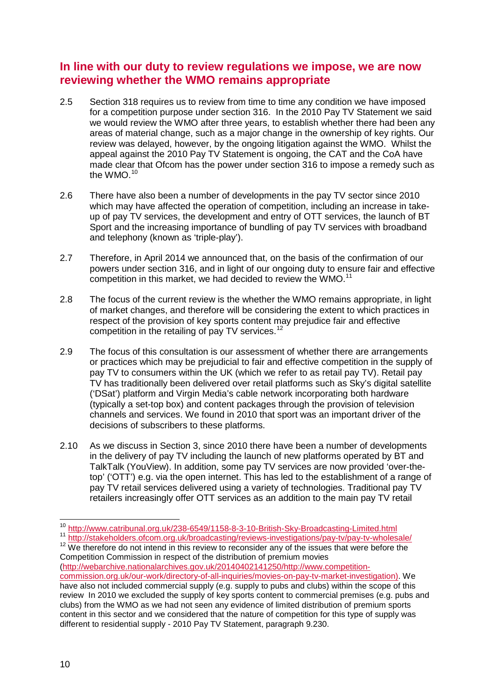## **In line with our duty to review regulations we impose, we are now reviewing whether the WMO remains appropriate**

- 2.5 Section 318 requires us to review from time to time any condition we have imposed for a competition purpose under section 316. In the 2010 Pay TV Statement we said we would review the WMO after three years, to establish whether there had been any areas of material change, such as a major change in the ownership of key rights. Our review was delayed, however, by the ongoing litigation against the WMO. Whilst the appeal against the 2010 Pay TV Statement is ongoing, the CAT and the CoA have made clear that Ofcom has the power under section 316 to impose a remedy such as the WMO.<sup>10</sup>
- 2.6 There have also been a number of developments in the pay TV sector since 2010 which may have affected the operation of competition, including an increase in takeup of pay TV services, the development and entry of OTT services, the launch of BT Sport and the increasing importance of bundling of pay TV services with broadband and telephony (known as 'triple-play').
- 2.7 Therefore, in April 2014 we announced that, on the basis of the confirmation of our powers under section 316, and in light of our ongoing duty to ensure fair and effective competition in this market, we had decided to review the WMO.<sup>[11](#page-10-1)</sup>
- 2.8 The focus of the current review is the whether the WMO remains appropriate, in light of market changes, and therefore will be considering the extent to which practices in respect of the provision of key sports content may prejudice fair and effective competition in the retailing of pay TV services.<sup>[12](#page-10-2)</sup>
- 2.9 The focus of this consultation is our assessment of whether there are arrangements or practices which may be prejudicial to fair and effective competition in the supply of pay TV to consumers within the UK (which we refer to as retail pay TV). Retail pay TV has traditionally been delivered over retail platforms such as Sky's digital satellite ('DSat') platform and Virgin Media's cable network incorporating both hardware (typically a set-top box) and content packages through the provision of television channels and services. We found in 2010 that sport was an important driver of the decisions of subscribers to these platforms.
- 2.10 As we discuss in Section 3, since 2010 there have been a number of developments in the delivery of pay TV including the launch of new platforms operated by BT and TalkTalk (YouView). In addition, some pay TV services are now provided 'over-thetop' ('OTT') e.g. via the open internet. This has led to the establishment of a range of pay TV retail services delivered using a variety of technologies. Traditional pay TV retailers increasingly offer OTT services as an addition to the main pay TV retail

<span id="page-10-2"></span><span id="page-10-1"></span><span id="page-10-0"></span>11 http://stakeholders.ofcom.org.uk/broadcasting/reviews-investigations/pay-tv/pay-tv-wholesale/<br><sup>12</sup> We therefore do not intend in this review to reconsider any of the issues that were before the Competition Commission in respect of the distribution of premium movies [\(http://webarchive.nationalarchives.gov.uk/20140402141250/http://www.competition](http://webarchive.nationalarchives.gov.uk/20140402141250/http:/www.competition-commission.org.uk/our-work/directory-of-all-inquiries/movies-on-pay-tv-market-investigation)[commission.org.uk/our-work/directory-of-all-inquiries/movies-on-pay-tv-market-investigation\)](http://webarchive.nationalarchives.gov.uk/20140402141250/http:/www.competition-commission.org.uk/our-work/directory-of-all-inquiries/movies-on-pay-tv-market-investigation). We have also not included commercial supply (e.g. supply to pubs and clubs) within the scope of this review In 2010 we excluded the supply of key sports content to commercial premises (e.g. pubs and clubs) from the WMO as we had not seen any evidence of limited distribution of premium sports content in this sector and we considered that the nature of competition for this type of supply was different to residential supply - 2010 Pay TV Statement, paragraph 9.230.

<sup>&</sup>lt;sup>10</sup> <http://www.catribunal.org.uk/238-6549/1158-8-3-10-British-Sky-Broadcasting-Limited.html>  $\overline{a}$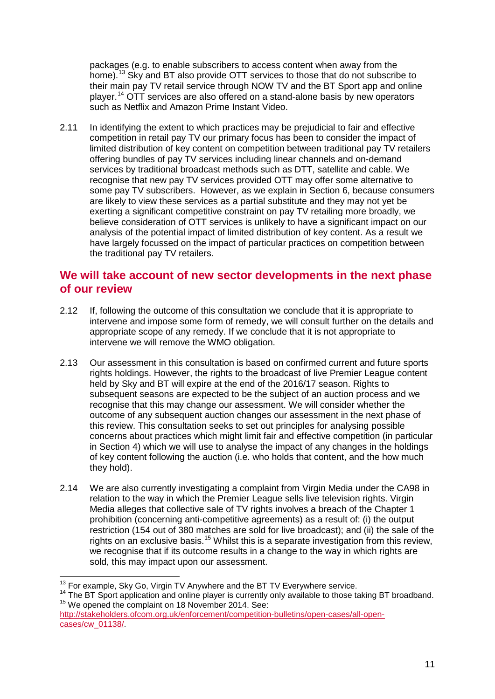packages (e.g. to enable subscribers to access content when away from the home).<sup>[13](#page-11-0)</sup> Sky and BT also provide OTT services to those that do not subscribe to their main pay TV retail service through NOW TV and the BT Sport app and online player.[14](#page-11-1) OTT services are also offered on a stand-alone basis by new operators such as Netflix and Amazon Prime Instant Video.

2.11 In identifying the extent to which practices may be prejudicial to fair and effective competition in retail pay TV our primary focus has been to consider the impact of limited distribution of key content on competition between traditional pay TV retailers offering bundles of pay TV services including linear channels and on-demand services by traditional broadcast methods such as DTT, satellite and cable. We recognise that new pay TV services provided OTT may offer some alternative to some pay TV subscribers. However, as we explain in Section 6, because consumers are likely to view these services as a partial substitute and they may not yet be exerting a significant competitive constraint on pay TV retailing more broadly, we believe consideration of OTT services is unlikely to have a significant impact on our analysis of the potential impact of limited distribution of key content. As a result we have largely focussed on the impact of particular practices on competition between the traditional pay TV retailers.

## **We will take account of new sector developments in the next phase of our review**

- 2.12 If, following the outcome of this consultation we conclude that it is appropriate to intervene and impose some form of remedy, we will consult further on the details and appropriate scope of any remedy. If we conclude that it is not appropriate to intervene we will remove the WMO obligation.
- 2.13 Our assessment in this consultation is based on confirmed current and future sports rights holdings. However, the rights to the broadcast of live Premier League content held by Sky and BT will expire at the end of the 2016/17 season. Rights to subsequent seasons are expected to be the subject of an auction process and we recognise that this may change our assessment. We will consider whether the outcome of any subsequent auction changes our assessment in the next phase of this review. This consultation seeks to set out principles for analysing possible concerns about practices which might limit fair and effective competition (in particular in Section 4) which we will use to analyse the impact of any changes in the holdings of key content following the auction (i.e. who holds that content, and the how much they hold).
- 2.14 We are also currently investigating a complaint from Virgin Media under the CA98 in relation to the way in which the Premier League sells live television rights. Virgin Media alleges that collective sale of TV rights involves a breach of the Chapter 1 prohibition (concerning anti-competitive agreements) as a result of: (i) the output restriction (154 out of 380 matches are sold for live broadcast); and (ii) the sale of the rights on an exclusive basis.<sup>[15](#page-11-2)</sup> Whilst this is a separate investigation from this review, we recognise that if its outcome results in a change to the way in which rights are sold, this may impact upon our assessment.

```
http://stakeholders.ofcom.org.uk/enforcement/competition-bulletins/open-cases/all-open-
cases/cw_01138/.
```
<span id="page-11-0"></span><sup>&</sup>lt;sup>13</sup> For example, Sky Go, Virgin TV Anywhere and the BT TV Everywhere service.

<span id="page-11-1"></span><sup>&</sup>lt;sup>14</sup> The BT Sport application and online player is currently only available to those taking BT broadband.<br><sup>15</sup> We opened the complaint on 18 November 2014. See: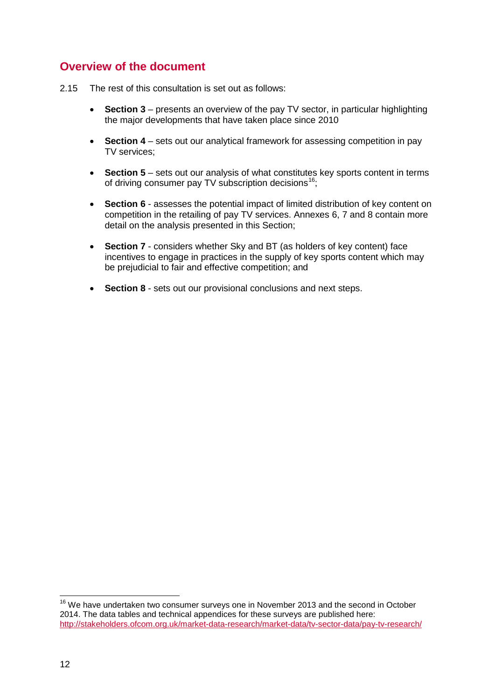# **Overview of the document**

- 2.15 The rest of this consultation is set out as follows:
	- **Section 3** presents an overview of the pay TV sector, in particular highlighting the major developments that have taken place since 2010
	- **Section 4** sets out our analytical framework for assessing competition in pay TV services;
	- **Section 5** sets out our analysis of what constitutes key sports content in terms of driving consumer pay TV subscription decisions<sup>16</sup>;
	- **Section 6** assesses the potential impact of limited distribution of key content on competition in the retailing of pay TV services. Annexes 6, 7 and 8 contain more detail on the analysis presented in this Section;
	- **Section 7** considers whether Sky and BT (as holders of key content) face incentives to engage in practices in the supply of key sports content which may be prejudicial to fair and effective competition; and
	- **Section 8** sets out our provisional conclusions and next steps.

 $\overline{a}$ 

<span id="page-12-0"></span><sup>&</sup>lt;sup>16</sup> We have undertaken two consumer surveys one in November 2013 and the second in October 2014. The data tables and technical appendices for these surveys are published here: <http://stakeholders.ofcom.org.uk/market-data-research/market-data/tv-sector-data/pay-tv-research/>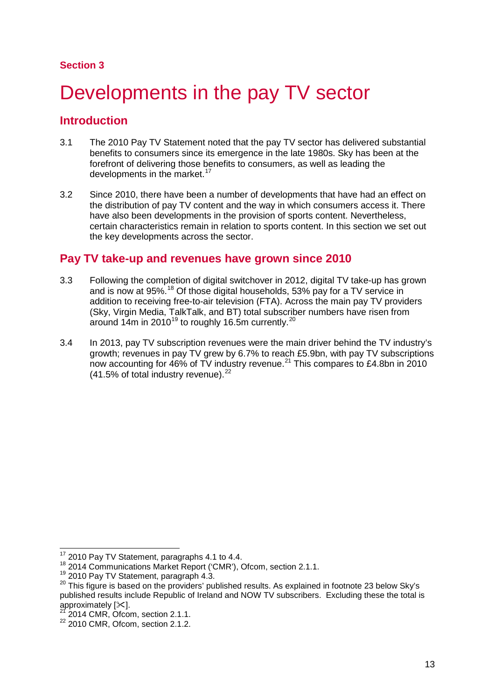#### **Section 3**

# <span id="page-13-0"></span>Developments in the pay TV sector

## **Introduction**

- 3.1 The 2010 Pay TV Statement noted that the pay TV sector has delivered substantial benefits to consumers since its emergence in the late 1980s. Sky has been at the forefront of delivering those benefits to consumers, as well as leading the developments in the market.<sup>[17](#page-13-1)</sup>
- 3.2 Since 2010, there have been a number of developments that have had an effect on the distribution of pay TV content and the way in which consumers access it. There have also been developments in the provision of sports content. Nevertheless, certain characteristics remain in relation to sports content. In this section we set out the key developments across the sector.

## **Pay TV take-up and revenues have grown since 2010**

- 3.3 Following the completion of digital switchover in 2012, digital TV take-up has grown and is now at 95%.<sup>[18](#page-13-2)</sup> Of those digital households, 53% pay for a TV service in addition to receiving free-to-air television (FTA). Across the main pay TV providers (Sky, Virgin Media, TalkTalk, and BT) total subscriber numbers have risen from around 14m in 2010<sup>[19](#page-13-3)</sup> to roughly 16.5m currently.<sup>[20](#page-13-4)</sup>
- 3.4 In 2013, pay TV subscription revenues were the main driver behind the TV industry's growth; revenues in pay TV grew by 6.7% to reach £5.9bn, with pay TV subscriptions now accounting for  $46\%$  of TV industry revenue.<sup>[21](#page-13-5)</sup> This compares to £4.8bn in 2010  $(41.5\%$  of total industry revenue).<sup>[22](#page-13-6)</sup>

 $\overline{a}$ 

 $17$  2010 Pay TV Statement, paragraphs 4.1 to 4.4.

<span id="page-13-2"></span><span id="page-13-1"></span> $18$  2014 Communications Market Report ('CMR'), Ofcom, section 2.1.1.<br> $19$  2010 Pav TV Statement, paragraph 4.3.

<span id="page-13-4"></span><span id="page-13-3"></span><sup>&</sup>lt;sup>20</sup> This figure is based on the providers' published results. As explained in footnote 23 below Sky's published results include Republic of Ireland and NOW TV subscribers. Excluding these the total is approximately [ $\geq 1$ .

 $21$  2014 CMR, Ofcom, section 2.1.1.

<span id="page-13-6"></span><span id="page-13-5"></span><sup>22 2010</sup> CMR, Ofcom, section 2.1.2.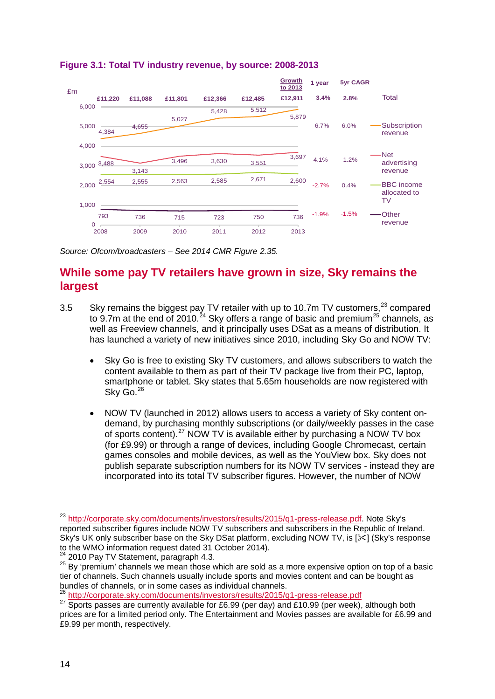

### **Figure 3.1: Total TV industry revenue, by source: 2008-2013**

*Source: Ofcom/broadcasters – See 2014 CMR Figure 2.35.* 

# **While some pay TV retailers have grown in size, Sky remains the largest**

- 3.5 Sky remains the biggest pay TV retailer with up to 10.7m TV customers, $^{23}$  $^{23}$  $^{23}$  compared to 9.7m at the end of 2010.<sup>[24](#page-14-1)</sup> Sky offers a range of basic and premium<sup>[25](#page-14-2)</sup> channels, as well as Freeview channels, and it principally uses DSat as a means of distribution. It has launched a variety of new initiatives since 2010, including Sky Go and NOW TV:
	- Sky Go is free to existing Sky TV customers, and allows subscribers to watch the content available to them as part of their TV package live from their PC, laptop, smartphone or tablet. Sky states that 5.65m households are now registered with Sky Go.<sup>[26](#page-14-3)</sup>
	- NOW TV (launched in 2012) allows users to access a variety of Sky content ondemand, by purchasing monthly subscriptions (or daily/weekly passes in the case of sports content).[27](#page-14-4) NOW TV is available either by purchasing a NOW TV box (for £9.99) or through a range of devices, including Google Chromecast, certain games consoles and mobile devices, as well as the YouView box. Sky does not publish separate subscription numbers for its NOW TV services - instead they are incorporated into its total TV subscriber figures. However, the number of NOW

<span id="page-14-0"></span><sup>&</sup>lt;sup>23</sup> [http://corporate.sky.com/documents/investors/results/2015/q1-press-release.pdf.](http://corporate.sky.com/documents/investors/results/2015/q1-press-release.pdf) Note Sky's reported subscriber figures include NOW TV subscribers and subscribers in the Republic of Ireland. Sky's UK only subscriber base on the Sky DSat platform, excluding NOW TV, is  $[\times]$  (Sky's response to the WMO information request dated 31 October 2014).  $\overline{a}$ 

<span id="page-14-2"></span><span id="page-14-1"></span> $^{24}$  2010 Pay TV Statement, paragraph 4.3.<br><sup>25</sup> Bv 'premium' channels we mean those which are sold as a more expensive option on top of a basic tier of channels. Such channels usually include sports and movies content and can be bought as bundles of channels, or in some cases as individual channels.<br><sup>26</sup> http://corporate.sky.com/documents/investors/results/2015/q1-press-release.pdf

<span id="page-14-3"></span>

<span id="page-14-4"></span><sup>&</sup>lt;sup>27</sup> Sports passes are currently available for £6.99 (per day) and £10.99 (per week), although both prices are for a limited period only. The Entertainment and Movies passes are available for £6.99 and £9.99 per month, respectively.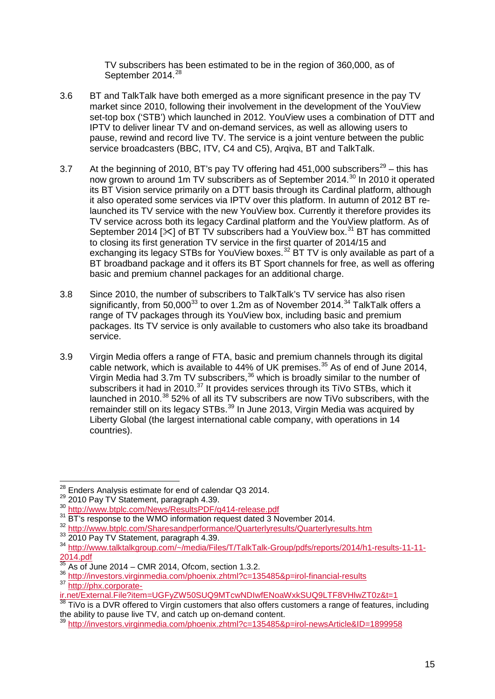TV subscribers has been estimated to be in the region of 360,000, as of September 2014.<sup>[28](#page-15-0)</sup>

- 3.6 BT and TalkTalk have both emerged as a more significant presence in the pay TV market since 2010, following their involvement in the development of the YouView set-top box ('STB') which launched in 2012. YouView uses a combination of DTT and IPTV to deliver linear TV and on-demand services, as well as allowing users to pause, rewind and record live TV. The service is a joint venture between the public service broadcasters (BBC, ITV, C4 and C5), Arqiva, BT and TalkTalk.
- 3.7 At the beginning of 2010, BT's pay TV offering had 451,000 subscribers<sup>[29](#page-15-1)</sup> this has now grown to around 1m TV subscribers as of September 2014.[30](#page-15-2) In 2010 it operated its BT Vision service primarily on a DTT basis through its Cardinal platform, although it also operated some services via IPTV over this platform. In autumn of 2012 BT relaunched its TV service with the new YouView box. Currently it therefore provides its TV service across both its legacy Cardinal platform and the YouView platform. As of September 2014 [ $\angle$ ] of BT TV subscribers had a YouView box.<sup>[31](#page-15-3)</sup> BT has committed to closing its first generation TV service in the first quarter of 2014/15 and exchanging its legacy STBs for YouView boxes.<sup>[32](#page-15-4)</sup> BT TV is only available as part of a BT broadband package and it offers its BT Sport channels for free, as well as offering basic and premium channel packages for an additional charge.
- 3.8 Since 2010, the number of subscribers to TalkTalk's TV service has also risen significantly, from  $50.000^{33}$  $50.000^{33}$  $50.000^{33}$  to over 1.2m as of November 2014.<sup>[34](#page-15-6)</sup> TalkTalk offers a range of TV packages through its YouView box, including basic and premium packages. Its TV service is only available to customers who also take its broadband service.
- 3.9 Virgin Media offers a range of FTA, basic and premium channels through its digital cable network, which is available to 44% of UK premises.<sup>[35](#page-15-7)</sup> As of end of June 2014, Virgin Media had 3.7m TV subscribers,<sup>[36](#page-15-8)</sup> which is broadly similar to the number of subscribers it had in 2010.<sup>[37](#page-15-9)</sup> It provides services through its TiVo STBs, which it launched in 2010.<sup>[38](#page-15-10)</sup> 52% of all its TV subscribers are now TiVo subscribers, with the remainder still on its legacy STBs.<sup>[39](#page-15-11)</sup> In June 2013, Virgin Media was acquired by Liberty Global (the largest international cable company, with operations in 14 countries).

<sup>&</sup>lt;sup>28</sup> Enders Analysis estimate for end of calendar Q3 2014.

<span id="page-15-3"></span>

<span id="page-15-4"></span>

<span id="page-15-6"></span><span id="page-15-5"></span>

<span id="page-15-2"></span><span id="page-15-1"></span><span id="page-15-0"></span><sup>29&</sup>lt;br>
2010 Pay TV Statement, paragraph 4.39.<br>
<sup>30</sup> <http://www.btplc.com/News/ResultsPDF/q414-release.pdf><br>
<sup>31</sup> BT's response to the WMO information request dated 3 November 2014.<br>
<sup>32</sup> http://www.btplc.com/Sharesandperforman  $\frac{2014.4^{11}M}{35}$ 

<span id="page-15-8"></span><span id="page-15-7"></span><sup>&</sup>lt;sup>35</sup> As of June 2014 – CMR 2014, Ofcom, section 1.3.2.<br><sup>36</sup> <http://investors.virginmedia.com/phoenix.zhtml?c=135485&p=irol-financial-results> <sup>37</sup> [http://phx.corporate-](http://phx.corporate-ir.net/External.File?item=UGFyZW50SUQ9MTcwNDIwfENoaWxkSUQ9LTF8VHlwZT0z&t=1)

<span id="page-15-9"></span>[ir.net/External.File?item=UGFyZW50SUQ9MTcwNDIwfENoaWxkSUQ9LTF8VHlwZT0z&t=1](http://phx.corporate-ir.net/External.File?item=UGFyZW50SUQ9MTcwNDIwfENoaWxkSUQ9LTF8VHlwZT0z&t=1)<br><sup>38</sup> TiVo is a DVR offered to Virgin customers that also offers customers a range of features, including

<span id="page-15-10"></span>the ability to pause live TV, and catch up on-demand content.

<span id="page-15-11"></span><sup>39</sup> <http://investors.virginmedia.com/phoenix.zhtml?c=135485&p=irol-newsArticle&ID=1899958>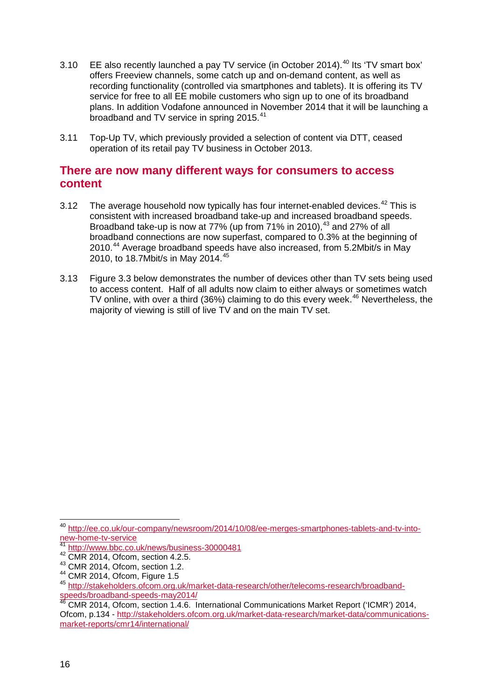- 3.10 EE also recently launched a pay TV service (in October 2014).<sup>[40](#page-16-0)</sup> Its 'TV smart box' offers Freeview channels, some catch up and on-demand content, as well as recording functionality (controlled via smartphones and tablets). It is offering its TV service for free to all EE mobile customers who sign up to one of its broadband plans. In addition Vodafone announced in November 2014 that it will be launching a broadband and TV service in spring 2015.<sup>[41](#page-16-1)</sup>
- 3.11 Top-Up TV, which previously provided a selection of content via DTT, ceased operation of its retail pay TV business in October 2013.

### **There are now many different ways for consumers to access content**

- 3.12 The average household now typically has four internet-enabled devices.<sup>[42](#page-16-2)</sup> This is consistent with increased broadband take-up and increased broadband speeds. Broadband take-up is now at 77% (up from  $71\%$  in 2010),  $43$  and 27% of all broadband connections are now superfast, compared to 0.3% at the beginning of 2010.[44](#page-16-4) Average broadband speeds have also increased, from 5.2Mbit/s in May 2010, to 18.7Mbit/s in May 2014.[45](#page-16-5)
- 3.13 Figure 3.3 below demonstrates the number of devices other than TV sets being used to access content. Half of all adults now claim to either always or sometimes watch TV online, with over a third (36%) claiming to do this every week. $46$  Nevertheless, the majority of viewing is still of live TV and on the main TV set.

 $\overline{a}$ 

<span id="page-16-0"></span><sup>&</sup>lt;sup>40</sup> [http://ee.co.uk/our-company/newsroom/2014/10/08/ee-merges-smartphones-tablets-and-tv-into](http://ee.co.uk/our-company/newsroom/2014/10/08/ee-merges-smartphones-tablets-and-tv-into-new-home-tv-service)[new-home-tv-service](http://ee.co.uk/our-company/newsroom/2014/10/08/ee-merges-smartphones-tablets-and-tv-into-new-home-tv-service)

<http://www.bbc.co.uk/news/business-30000481>

<span id="page-16-2"></span><span id="page-16-1"></span><sup>42</sup> CMR 2014, Ofcom, section 4.2.5.

<span id="page-16-3"></span> $^{43}$  CMR 2014, Ofcom, section 1.2.<br> $^{44}$  CMR 2014. Ofcom, Figure 1.5

<span id="page-16-5"></span><span id="page-16-4"></span><sup>&</sup>lt;sup>45</sup> [http://stakeholders.ofcom.org.uk/market-data-research/other/telecoms-research/broadband](http://stakeholders.ofcom.org.uk/market-data-research/other/telecoms-research/broadband-speeds/broadband-speeds-may2014/)[speeds/broadband-speeds-may2014/](http://stakeholders.ofcom.org.uk/market-data-research/other/telecoms-research/broadband-speeds/broadband-speeds-may2014/) <sup>46</sup> CMR 2014, Ofcom, section 1.4.6. International Communications Market Report ('ICMR') 2014,

<span id="page-16-6"></span>Ofcom, p.134 - [http://stakeholders.ofcom.org.uk/market-data-research/market-data/communications](http://stakeholders.ofcom.org.uk/market-data-research/market-data/communications-market-reports/cmr14/international/)[market-reports/cmr14/international/](http://stakeholders.ofcom.org.uk/market-data-research/market-data/communications-market-reports/cmr14/international/)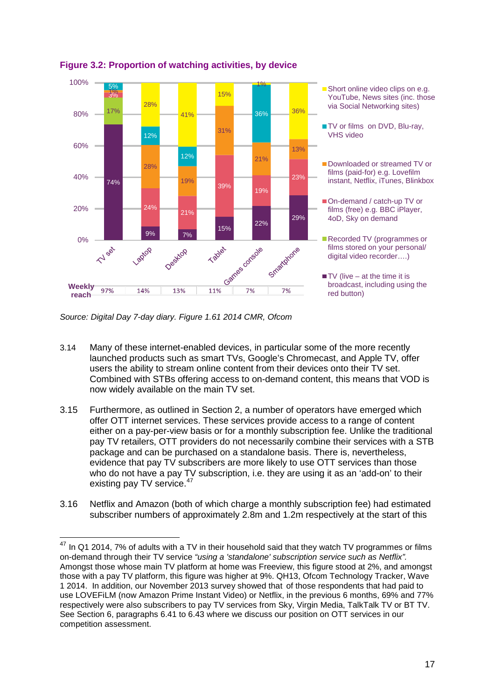

**Figure 3.2: Proportion of watching activities, by device** 

*Source: Digital Day 7-day diary. Figure 1.61 2014 CMR, Ofcom*

-

- 3.14 Many of these internet-enabled devices, in particular some of the more recently launched products such as smart TVs, Google's Chromecast, and Apple TV, offer users the ability to stream online content from their devices onto their TV set. Combined with STBs offering access to on-demand content, this means that VOD is now widely available on the main TV set.
- 3.15 Furthermore, as outlined in Section 2, a number of operators have emerged which offer OTT internet services. These services provide access to a range of content either on a pay-per-view basis or for a monthly subscription fee. Unlike the traditional pay TV retailers, OTT providers do not necessarily combine their services with a STB package and can be purchased on a standalone basis. There is, nevertheless, evidence that pay TV subscribers are more likely to use OTT services than those who do not have a pay TV subscription, i.e. they are using it as an 'add-on' to their existing pay TV service.<sup>[47](#page-17-0)</sup>
- 3.16 Netflix and Amazon (both of which charge a monthly subscription fee) had estimated subscriber numbers of approximately 2.8m and 1.2m respectively at the start of this

<span id="page-17-0"></span> $^{47}$  In Q1 2014, 7% of adults with a TV in their household said that they watch TV programmes or films on-demand through their TV service *"using a 'standalone' subscription service such as Netflix".*  Amongst those whose main TV platform at home was Freeview, this figure stood at 2%, and amongst those with a pay TV platform, this figure was higher at 9%. QH13, Ofcom Technology Tracker, Wave 1 2014. In addition, our November 2013 survey showed that of those respondents that had paid to use LOVEFiLM (now Amazon Prime Instant Video) or Netflix, in the previous 6 months, 69% and 77% respectively were also subscribers to pay TV services from Sky, Virgin Media, TalkTalk TV or BT TV. See Section 6, paragraphs 6.41 to 6.43 where we discuss our position on OTT services in our competition assessment.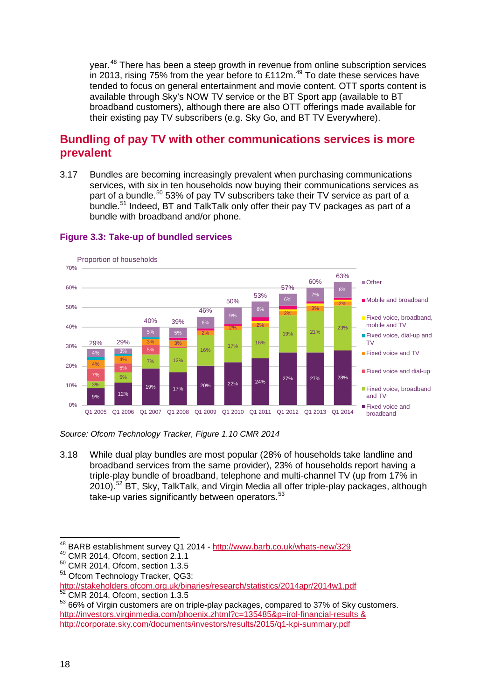year.<sup>[48](#page-18-0)</sup> There has been a steep growth in revenue from online subscription services in 2013, rising 75% from the year before to £112m.<sup>[49](#page-18-1)</sup> To date these services have tended to focus on general entertainment and movie content. OTT sports content is available through Sky's NOW TV service or the BT Sport app (available to BT broadband customers), although there are also OTT offerings made available for their existing pay TV subscribers (e.g. Sky Go, and BT TV Everywhere).

# **Bundling of pay TV with other communications services is more prevalent**

3.17 Bundles are becoming increasingly prevalent when purchasing communications services, with six in ten households now buying their communications services as part of a bundle.<sup>[50](#page-18-2)</sup> 53% of pay TV subscribers take their TV service as part of a bundle.<sup>[51](#page-18-3)</sup> Indeed, BT and TalkTalk only offer their pay TV packages as part of a bundle with broadband and/or phone.



#### **Figure 3.3: Take-up of bundled services**

*Source: Ofcom Technology Tracker, Figure 1.10 CMR 2014*

3.18 While dual play bundles are most popular (28% of households take landline and broadband services from the same provider), 23% of households report having a triple-play bundle of broadband, telephone and multi-channel TV (up from 17% in 2010).[52](#page-18-4) BT, Sky, TalkTalk, and Virgin Media all offer triple-play packages, although take-up varies significantly between operators.<sup>[53](#page-18-5)</sup>

 $^{48}_{\degree}$  BARB establishment survey Q1 2014 - <http://www.barb.co.uk/whats-new/329>  $\overline{\phantom{a}}$ 

<span id="page-18-1"></span><span id="page-18-0"></span><sup>49</sup> CMR 2014, Ofcom, section 2.1.1

<span id="page-18-2"></span><sup>50</sup> CMR 2014, Ofcom, section 1.3.5

<span id="page-18-3"></span><sup>51</sup> Ofcom Technology Tracker, QG3:

<http://stakeholders.ofcom.org.uk/binaries/research/statistics/2014apr/2014w1.pdf> <sup>52</sup> CMR 2014, Ofcom, section 1.3.5

<span id="page-18-5"></span><span id="page-18-4"></span><sup>53 66%</sup> of Virgin customers are on triple-play packages, compared to 37% of Sky customers. <http://investors.virginmedia.com/phoenix.zhtml?c=135485&p=irol-financial-results> & <http://corporate.sky.com/documents/investors/results/2015/q1-kpi-summary.pdf>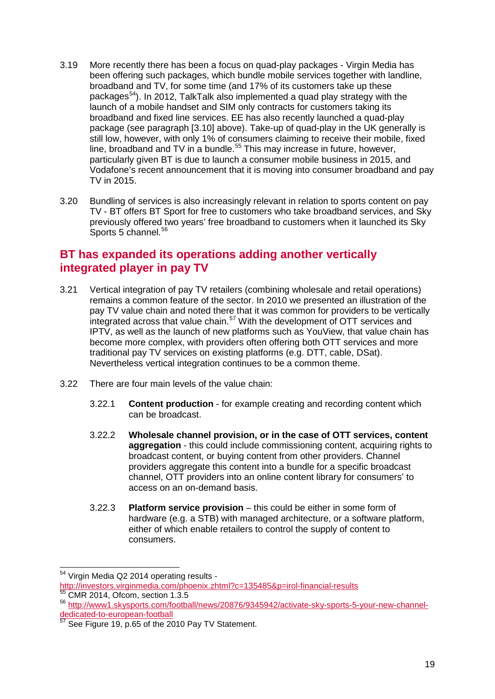- 3.19 More recently there has been a focus on quad-play packages Virgin Media has been offering such packages, which bundle mobile services together with landline, broadband and TV, for some time (and 17% of its customers take up these packages[54](#page-19-0)). In 2012, TalkTalk also implemented a quad play strategy with the launch of a mobile handset and SIM only contracts for customers taking its broadband and fixed line services. EE has also recently launched a quad-play package (see paragraph [3.10] above). Take-up of quad-play in the UK generally is still low, however, with only 1% of consumers claiming to receive their mobile, fixed line, broadband and TV in a bundle.<sup>[55](#page-19-1)</sup> This may increase in future, however, particularly given BT is due to launch a consumer mobile business in 2015, and Vodafone's recent announcement that it is moving into consumer broadband and pay TV in 2015.
- 3.20 Bundling of services is also increasingly relevant in relation to sports content on pay TV - BT offers BT Sport for free to customers who take broadband services, and Sky previously offered two years' free broadband to customers when it launched its Sky Sports  $5$  channel.  $56$

# **BT has expanded its operations adding another vertically integrated player in pay TV**

- 3.21 Vertical integration of pay TV retailers (combining wholesale and retail operations) remains a common feature of the sector. In 2010 we presented an illustration of the pay TV value chain and noted there that it was common for providers to be vertically integrated across that value chain.<sup>[57](#page-19-3)</sup> With the development of OTT services and IPTV, as well as the launch of new platforms such as YouView, that value chain has become more complex, with providers often offering both OTT services and more traditional pay TV services on existing platforms (e.g. DTT, cable, DSat). Nevertheless vertical integration continues to be a common theme.
- 3.22 There are four main levels of the value chain:
	- 3.22.1 **Content production** for example creating and recording content which can be broadcast.
	- 3.22.2 **Wholesale channel provision, or in the case of OTT services, content aggregation** - this could include commissioning content, acquiring rights to broadcast content, or buying content from other providers. Channel providers aggregate this content into a bundle for a specific broadcast channel, OTT providers into an online content library for consumers' to access on an on-demand basis.
	- 3.22.3 **Platform service provision** this could be either in some form of hardware (e.g. a STB) with managed architecture, or a software platform, either of which enable retailers to control the supply of content to consumers.

<span id="page-19-0"></span><sup>&</sup>lt;sup>54</sup> Virgin Media Q2 2014 operating results - $\overline{a}$ 

<http://investors.virginmedia.com/phoenix.zhtml?c=135485&p=irol-financial-results> <sup>55</sup> CMR 2014, Ofcom, section 1.3.5

<span id="page-19-2"></span><span id="page-19-1"></span><sup>56</sup> [http://www1.skysports.com/football/news/20876/9345942/activate-sky-sports-5-your-new-channel](http://www1.skysports.com/football/news/20876/9345942/activate-sky-sports-5-your-new-channel-dedicated-to-european-football)[dedicated-to-european-football](http://www1.skysports.com/football/news/20876/9345942/activate-sky-sports-5-your-new-channel-dedicated-to-european-football)<br>
<sup>57</sup> See Fi

<span id="page-19-3"></span>See Figure 19, p.65 of the 2010 Pay TV Statement.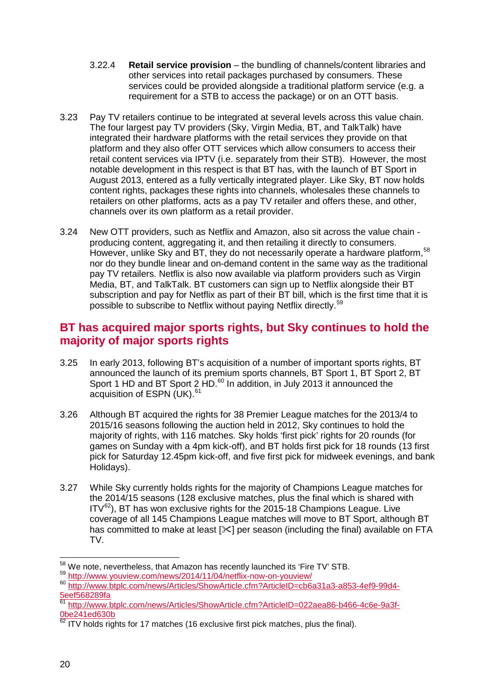- 3.22.4 **Retail service provision** the bundling of channels/content libraries and other services into retail packages purchased by consumers. These services could be provided alongside a traditional platform service (e.g. a requirement for a STB to access the package) or on an OTT basis.
- 3.23 Pay TV retailers continue to be integrated at several levels across this value chain. The four largest pay TV providers (Sky, Virgin Media, BT, and TalkTalk) have integrated their hardware platforms with the retail services they provide on that platform and they also offer OTT services which allow consumers to access their retail content services via IPTV (i.e. separately from their STB). However, the most notable development in this respect is that BT has, with the launch of BT Sport in August 2013, entered as a fully vertically integrated player. Like Sky, BT now holds content rights, packages these rights into channels, wholesales these channels to retailers on other platforms, acts as a pay TV retailer and offers these, and other, channels over its own platform as a retail provider.
- 3.24 New OTT providers, such as Netflix and Amazon, also sit across the value chain producing content, aggregating it, and then retailing it directly to consumers. However, unlike Sky and BT, they do not necessarily operate a hardware platform, <sup>[58](#page-20-0)</sup> nor do they bundle linear and on-demand content in the same way as the traditional pay TV retailers. Netflix is also now available via platform providers such as Virgin Media, BT, and TalkTalk. BT customers can sign up to Netflix alongside their BT subscription and pay for Netflix as part of their BT bill, which is the first time that it is possible to subscribe to Netflix without paying Netflix directly.[59](#page-20-1)

# **BT has acquired major sports rights, but Sky continues to hold the majority of major sports rights**

- 3.25 In early 2013, following BT's acquisition of a number of important sports rights, BT announced the launch of its premium sports channels, BT Sport 1, BT Sport 2, BT Sport 1 HD and BT Sport 2 HD.<sup>[60](#page-20-2)</sup> In addition, in July 2013 it announced the acquisition of ESPN (UK).<sup>[61](#page-20-3)</sup>
- 3.26 Although BT acquired the rights for 38 Premier League matches for the 2013/4 to 2015/16 seasons following the auction held in 2012, Sky continues to hold the majority of rights, with 116 matches. Sky holds 'first pick' rights for 20 rounds (for games on Sunday with a 4pm kick-off), and BT holds first pick for 18 rounds (13 first pick for Saturday 12.45pm kick-off, and five first pick for midweek evenings, and bank Holidays).
- 3.27 While Sky currently holds rights for the majority of Champions League matches for the 2014/15 seasons (128 exclusive matches, plus the final which is shared with  $IV^{62}$  $IV^{62}$  $IV^{62}$ ), BT has won exclusive rights for the 2015-18 Champions League. Live coverage of all 145 Champions League matches will move to BT Sport, although BT has committed to make at least  $[\times]$  per season (including the final) available on FTA TV.

<span id="page-20-0"></span><sup>58</sup> We note. nevertheless, that Amazon has recently launched its 'Fire TV' STB.

<span id="page-20-2"></span><span id="page-20-1"></span><sup>59</sup> <http://www.youview.com/news/2014/11/04/netflix-now-on-youview/><br>60 [http://www.btplc.com/news/Articles/ShowArticle.cfm?ArticleID=cb6a31a3-a853-4ef9-99d4-](http://www.btplc.com/news/Articles/ShowArticle.cfm?ArticleID=cb6a31a3-a853-4ef9-99d4-5eef568289fa) [5eef568289fa](http://www.btplc.com/news/Articles/ShowArticle.cfm?ArticleID=cb6a31a3-a853-4ef9-99d4-5eef568289fa)

<span id="page-20-3"></span><sup>61</sup> [http://www.btplc.com/news/Articles/ShowArticle.cfm?ArticleID=022aea86-b466-4c6e-9a3f-](http://www.btplc.com/news/Articles/ShowArticle.cfm?ArticleID=022aea86-b466-4c6e-9a3f-0be241ed630b)[0be241ed630b](http://www.btplc.com/news/Articles/ShowArticle.cfm?ArticleID=022aea86-b466-4c6e-9a3f-0be241ed630b)

<span id="page-20-4"></span> $\frac{62}{11}$  ITV holds rights for 17 matches (16 exclusive first pick matches, plus the final).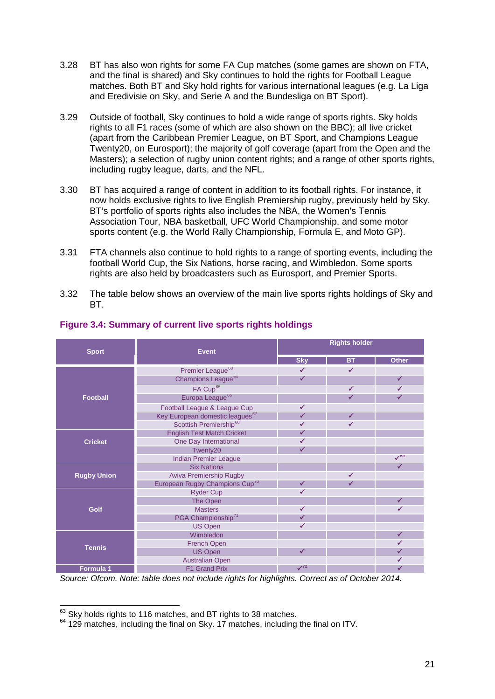- 3.28 BT has also won rights for some FA Cup matches (some games are shown on FTA, and the final is shared) and Sky continues to hold the rights for Football League matches. Both BT and Sky hold rights for various international leagues (e.g. La Liga and Eredivisie on Sky, and Serie A and the Bundesliga on BT Sport).
- 3.29 Outside of football, Sky continues to hold a wide range of sports rights. Sky holds rights to all F1 races (some of which are also shown on the BBC); all live cricket (apart from the Caribbean Premier League, on BT Sport, and Champions League Twenty20, on Eurosport); the majority of golf coverage (apart from the Open and the Masters); a selection of rugby union content rights; and a range of other sports rights, including rugby league, darts, and the NFL.
- 3.30 BT has acquired a range of content in addition to its football rights. For instance, it now holds exclusive rights to live English Premiership rugby, previously held by Sky. BT's portfolio of sports rights also includes the NBA, the Women's Tennis Association Tour, NBA basketball, UFC World Championship, and some motor sports content (e.g. the World Rally Championship, Formula E, and Moto GP).
- 3.31 FTA channels also continue to hold rights to a range of sporting events, including the football World Cup, the Six Nations, horse racing, and Wimbledon. Some sports rights are also held by broadcasters such as Eurosport, and Premier Sports.
- 3.32 The table below shows an overview of the main live sports rights holdings of Sky and BT.

<span id="page-21-9"></span><span id="page-21-8"></span><span id="page-21-7"></span><span id="page-21-6"></span><span id="page-21-5"></span><span id="page-21-4"></span>

|                    | <b>Event</b>                                | <b>Rights holder</b> |              |              |
|--------------------|---------------------------------------------|----------------------|--------------|--------------|
| <b>Sport</b>       |                                             | <b>Sky</b>           | ВT           | <b>Other</b> |
|                    | Premier League <sup>63</sup>                | $\checkmark$         | $\checkmark$ |              |
|                    | Champions League <sup>64</sup>              | ✓                    |              | $\checkmark$ |
|                    | FA Cup <sup>65</sup>                        |                      | $\checkmark$ | $\checkmark$ |
| <b>Football</b>    | Europa League <sup>66</sup>                 |                      | $\checkmark$ | $\checkmark$ |
|                    | Football League & League Cup                | $\checkmark$         |              |              |
|                    | Key European domestic leagues <sup>67</sup> | $\checkmark$         | ✓            |              |
|                    | Scottish Premiership <sup>68</sup>          | $\checkmark$         | ✓            |              |
|                    | <b>English Test Match Cricket</b>           | ✓                    |              |              |
| <b>Cricket</b>     | One Day International                       | ✓                    |              |              |
|                    | Twenty20                                    | ✔                    |              |              |
|                    | <b>Indian Premier League</b>                |                      |              | $\sqrt{69}$  |
|                    | <b>Six Nations</b>                          |                      |              | $\checkmark$ |
| <b>Rugby Union</b> | Aviva Premiership Rugby                     |                      | $\checkmark$ |              |
|                    | European Rugby Champions Cup <sup>"</sup>   | ✓                    | ✓            |              |
|                    | <b>Ryder Cup</b>                            | $\checkmark$         |              |              |
|                    | The Open                                    |                      |              | ✓            |
| <b>Golf</b>        | <b>Masters</b>                              | $\checkmark$         |              | $\checkmark$ |
|                    | PGA Championship <sup>71</sup>              | ✔                    |              |              |
|                    | <b>US Open</b>                              | $\checkmark$         |              |              |
|                    | Wimbledon                                   |                      |              | ✔            |
| <b>Tennis</b>      | French Open                                 |                      |              | ✓            |
|                    | <b>US Open</b>                              | ✔                    |              | ✓            |
|                    | <b>Australian Open</b>                      |                      |              | ✓            |
| Formula 1          | F1 Grand Prix                               | $\sqrt{12}$          |              | ✓            |

#### <span id="page-21-3"></span><span id="page-21-2"></span>**Figure 3.4: Summary of current live sports rights holdings**

*Source: Ofcom. Note: table does not include rights for highlights. Correct as of October 2014.* 

<span id="page-21-0"></span><sup>63</sup> Skv holds rights to 116 matches, and BT rights to 38 matches.

<span id="page-21-1"></span> $64$  129 matches, including the final on Sky. 17 matches, including the final on ITV.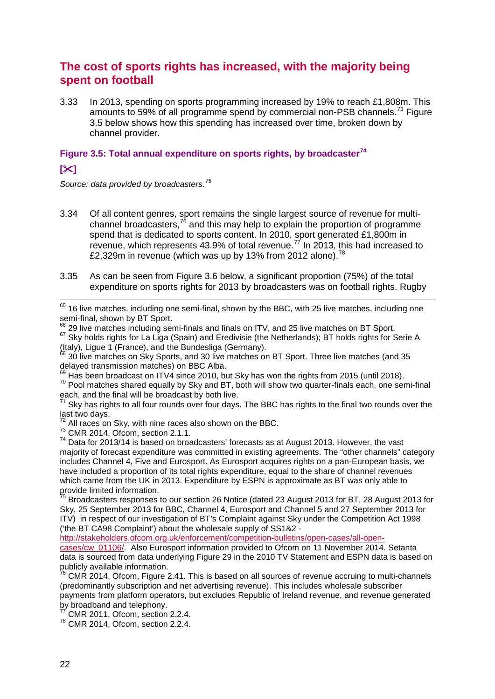# **The cost of sports rights has increased, with the majority being spent on football**

3.33 In 2013, spending on sports programming increased by 19% to reach £1,808m. This amounts to 59% of all programme spend by commercial non-PSB channels.<sup>[73](#page-22-0)</sup> Figure 3.5 below shows how this spending has increased over time, broken down by channel provider.

## **Figure 3.5: Total annual expenditure on sports rights, by broadcaster[74](#page-22-1)**

#### **[]**

*Source: data provided by broadcasters.[75](#page-22-2)*

- 3.34 Of all content genres, sport remains the single largest source of revenue for multi-channel broadcasters,<sup>[76](#page-22-3)</sup> and this may help to explain the proportion of programme spend that is dedicated to sports content. In 2010, sport generated £1,800m in revenue, which represents 43.9% of total revenue.<sup> $77$ </sup> In 2013, this had increased to £2,329m in revenue (which was up by 13% from 2012 alone).<sup>[78](#page-22-5)</sup>
- 3.35 As can be seen from Figure 3.6 below, a significant proportion (75%) of the total expenditure on sports rights for 2013 by broadcasters was on football rights. Rugby

 $<sup>65</sup>$  16 live matches, including one semi-final, shown by the BBC, with 25 live matches, including one</sup>  $\overline{a}$ 

semi-final, shown by BT Sport.<br>
<sup>66</sup> 29 live matches including semi-finals and finals on ITV, and 25 live matches on BT Sport.<br>
<sup>67</sup> Sky holds rights for La Liga (Spain) and Eredivisie (the Netherlands); BT holds rights fo (Italy), Ligue 1 (France), and the Bundesliga (Germany).<br><sup>68</sup> 30 live matches on Sky Sports, and 30 live matches on BT Sport. Three live matches (and 35

delayed transmission matches) on BBC Alba.<br><sup>69</sup> Has been broadcast on ITV4 since 2010, but Sky has won the rights from 2015 (until 2018).  $\frac{70}{20}$  Pool matches shared equally by Sky and BT, both will show two quarter-finals each, one semi-final each, and the final will be broadcast by both live.

 $71$  Sky has rights to all four rounds over four days. The BBC has rights to the final two rounds over the last two days.

 $\frac{72}{73}$  All races on Sky, with nine races also shown on the BBC.  $\frac{73}{73}$  CMR 2014, Ofcom, section 2.1.1.

<span id="page-22-1"></span><span id="page-22-0"></span><sup>74</sup> Data for 2013/14 is based on broadcasters' forecasts as at August 2013. However, the vast majority of forecast expenditure was committed in existing agreements. The "other channels" category includes Channel 4, Five and Eurosport. As Eurosport acquires rights on a pan-European basis, we have included a proportion of its total rights expenditure, equal to the share of channel revenues which came from the UK in 2013. Expenditure by ESPN is approximate as BT was only able to provide limited information.

<span id="page-22-2"></span><sup>75</sup> Broadcasters responses to our section 26 Notice (dated 23 August 2013 for BT, 28 August 2013 for Sky, 25 September 2013 for BBC, Channel 4, Eurosport and Channel 5 and 27 September 2013 for ITV) in respect of our investigation of BT's Complaint against Sky under the Competition Act 1998 ('the BT CA98 Complaint') about the wholesale supply of SS1&2 -

[http://stakeholders.ofcom.org.uk/enforcement/competition-bulletins/open-cases/all-open](http://stakeholders.ofcom.org.uk/enforcement/competition-bulletins/open-cases/all-open-cases/cw_01106/)[cases/cw\\_01106/.](http://stakeholders.ofcom.org.uk/enforcement/competition-bulletins/open-cases/all-open-cases/cw_01106/) Also Eurosport information provided to Ofcom on 11 November 2014. Setanta data is sourced from data underlying Figure 29 in the 2010 TV Statement and ESPN data is based on publicly available information.

<span id="page-22-3"></span> $76$  CMR 2014, Ofcom, Figure 2.41. This is based on all sources of revenue accruing to multi-channels (predominantly subscription and net advertising revenue). This includes wholesale subscriber payments from platform operators, but excludes Republic of Ireland revenue, and revenue generated by broadband and telephony.

 $\overline{C}$  CMR 2011, Ofcom, section 2.2.4.

<span id="page-22-5"></span><span id="page-22-4"></span><sup>78</sup> CMR 2014, Ofcom, section 2.2.4.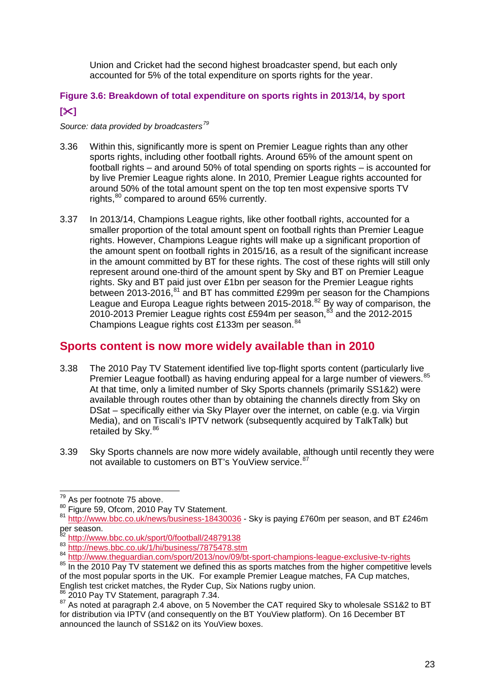Union and Cricket had the second highest broadcaster spend, but each only accounted for 5% of the total expenditure on sports rights for the year.

## **Figure 3.6: Breakdown of total expenditure on sports rights in 2013/14, by sport []**

#### *Source: data provided by broadcasters[79](#page-23-0)*

- 3.36 Within this, significantly more is spent on Premier League rights than any other sports rights, including other football rights. Around 65% of the amount spent on football rights – and around 50% of total spending on sports rights – is accounted for by live Premier League rights alone. In 2010, Premier League rights accounted for around 50% of the total amount spent on the top ten most expensive sports TV rights,<sup>[80](#page-23-1)</sup> compared to around 65% currently.
- 3.37 In 2013/14, Champions League rights, like other football rights, accounted for a smaller proportion of the total amount spent on football rights than Premier League rights. However, Champions League rights will make up a significant proportion of the amount spent on football rights in 2015/16, as a result of the significant increase in the amount committed by BT for these rights. The cost of these rights will still only represent around one-third of the amount spent by Sky and BT on Premier League rights. Sky and BT paid just over £1bn per season for the Premier League rights between 2013-2016,<sup>[81](#page-23-2)</sup> and BT has committed £299m per season for the Champions League and Europa League rights between 2015-2018.<sup>[82](#page-23-3)</sup> By way of comparison, the 2010-2013 Premier League rights cost £594m per season, $^{83}$  $^{83}$  $^{83}$  and the 2012-2015 Champions League rights cost £133m per season.<sup>[84](#page-23-5)</sup>

# **Sports content is now more widely available than in 2010**

- 3.38 The 2010 Pay TV Statement identified live top-flight sports content (particularly live Premier League football) as having enduring appeal for a large number of viewers.<sup>[85](#page-23-6)</sup> At that time, only a limited number of Sky Sports channels (primarily SS1&2) were available through routes other than by obtaining the channels directly from Sky on DSat – specifically either via Sky Player over the internet, on cable (e.g. via Virgin Media), and on Tiscali's IPTV network (subsequently acquired by TalkTalk) but retailed by Sky.<sup>[86](#page-23-7)</sup>
- 3.39 Sky Sports channels are now more widely available, although until recently they were not available to customers on BT's YouView service.<sup>[87](#page-23-8)</sup>

<span id="page-23-0"></span> $\frac{1}{79}$  As per footnote 75 above.

<span id="page-23-2"></span><span id="page-23-1"></span><sup>&</sup>lt;sup>80</sup> Figure 59, Ofcom, 2010 Pay TV Statement.<br><sup>81</sup> http://www.bbc.co.uk/news/business-18<u>430036</u> - Sky is paying £760m per season, and BT £246m per season.<br><sup>82</sup> http://www.bbc.co.uk/sport/0/football/24879138

<span id="page-23-4"></span><span id="page-23-3"></span><sup>&</sup>lt;sup>83</sup> <http://news.bbc.co.uk/1/hi/business/7875478.stm><br>
<sup>84</sup> <http://www.theguardian.com/sport/2013/nov/09/bt-sport-champions-league-exclusive-tv-rights><br>
<sup>85</sup> In the 2010 Pav TV statement we defined this as sports matches fro

<span id="page-23-6"></span><span id="page-23-5"></span>of the most popular sports in the UK. For example Premier League matches, FA Cup matches, English test cricket matches, the Ryder Cup, Six Nations rugby union.

<span id="page-23-8"></span><span id="page-23-7"></span> $^{86}$  2010 Pay TV Statement, paragraph 7.34.<br><sup>87</sup> As noted at paragraph 2.4 above, on 5 November the CAT required Sky to wholesale SS1&2 to BT for distribution via IPTV (and consequently on the BT YouView platform). On 16 December BT announced the launch of SS1&2 on its YouView boxes.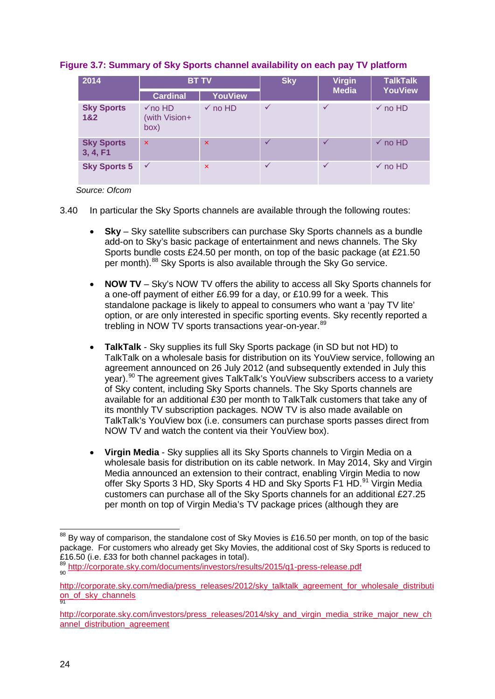| 2014                          | <b>BT TV</b>                            |                           | <b>Sky</b>   | <b>Virgin</b> | <b>TalkTalk</b>    |
|-------------------------------|-----------------------------------------|---------------------------|--------------|---------------|--------------------|
|                               | <b>Cardinal</b>                         | <b>YouView</b>            |              | <b>Media</b>  | <b>YouView</b>     |
| <b>Sky Sports</b><br>1&2      | $\sqrt{no}$ HD<br>(with Vision+<br>box) | $\checkmark$ no HD        | $\checkmark$ | $\checkmark$  | $\checkmark$ no HD |
| <b>Sky Sports</b><br>3, 4, F1 | $\boldsymbol{\mathsf{x}}$               | $\boldsymbol{\mathsf{x}}$ | ✓            | $\checkmark$  | $\checkmark$ no HD |
| <b>Sky Sports 5</b>           | $\checkmark$                            | $\boldsymbol{\mathsf{x}}$ | $\checkmark$ | ✓             | $\checkmark$ no HD |

#### **Figure 3.7: Summary of Sky Sports channel availability on each pay TV platform**

 *Source: Ofcom*

3.40 In particular the Sky Sports channels are available through the following routes:

- **Sky** Sky satellite subscribers can purchase Sky Sports channels as a bundle add-on to Sky's basic package of entertainment and news channels. The Sky Sports bundle costs £24.50 per month, on top of the basic package (at £21.50 per month).<sup>[88](#page-24-0)</sup> Sky Sports is also available through the Sky Go service.
- **NOW TV** Sky's NOW TV offers the ability to access all Sky Sports channels for a one-off payment of either £6.99 for a day, or £10.99 for a week. This standalone package is likely to appeal to consumers who want a 'pay TV lite' option, or are only interested in specific sporting events. Sky recently reported a trebling in NOW TV sports transactions vear-on-vear.<sup>[89](#page-24-1)</sup>
- **TalkTalk**  Sky supplies its full Sky Sports package (in SD but not HD) to TalkTalk on a wholesale basis for distribution on its YouView service, following an agreement announced on 26 July 2012 (and subsequently extended in July this year). [90](#page-24-2) The agreement gives TalkTalk's YouView subscribers access to a variety of Sky content, including Sky Sports channels. The Sky Sports channels are available for an additional £30 per month to TalkTalk customers that take any of its monthly TV subscription packages. NOW TV is also made available on TalkTalk's YouView box (i.e. consumers can purchase sports passes direct from NOW TV and watch the content via their YouView box).
- **Virgin Media** Sky supplies all its Sky Sports channels to Virgin Media on a wholesale basis for distribution on its cable network. In May 2014, Sky and Virgin Media announced an extension to their contract, enabling Virgin Media to now offer Sky Sports 3 HD, Sky Sports 4 HD and Sky Sports F1 HD.<sup>[91](#page-24-3)</sup> Virgin Media customers can purchase all of the Sky Sports channels for an additional £27.25 per month on top of Virgin Media's TV package prices (although they are

<span id="page-24-0"></span> $88$  By way of comparison, the standalone cost of Sky Movies is £16.50 per month, on top of the basic package. For customers who already get Sky Movies, the additional cost of Sky Sports is reduced to £16.50 (i.e. £33 for both channel packages in total).  $\overline{a}$ 

<span id="page-24-1"></span><sup>89</sup> <http://corporate.sky.com/documents/investors/results/2015/q1-press-release.pdf>

<span id="page-24-2"></span>[http://corporate.sky.com/media/press\\_releases/2012/sky\\_talktalk\\_agreement\\_for\\_wholesale\\_distributi](http://corporate.sky.com/media/press_releases/2012/sky_talktalk_agreement_for_wholesale_distribution_of_sky_channels) <u>[on\\_of\\_sky\\_channels](http://corporate.sky.com/media/press_releases/2012/sky_talktalk_agreement_for_wholesale_distribution_of_sky_channels)</u><br><sup>91</sup>

<span id="page-24-3"></span>[http://corporate.sky.com/investors/press\\_releases/2014/sky\\_and\\_virgin\\_media\\_strike\\_major\\_new\\_ch](http://corporate.sky.com/investors/press_releases/2014/sky_and_virgin_media_strike_major_new_channel_distribution_agreement) annel distribution agreement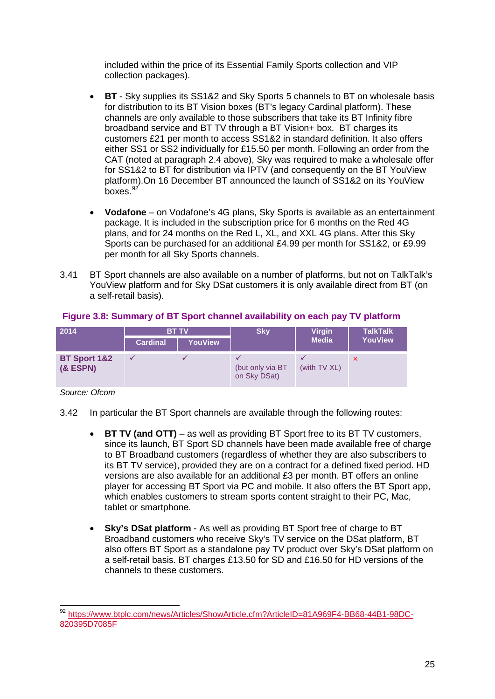included within the price of its Essential Family Sports collection and VIP collection packages).

- **BT**  Sky supplies its SS1&2 and Sky Sports 5 channels to BT on wholesale basis for distribution to its BT Vision boxes (BT's legacy Cardinal platform). These channels are only available to those subscribers that take its BT Infinity fibre broadband service and BT TV through a BT Vision+ box. BT charges its customers £21 per month to access SS1&2 in standard definition. It also offers either SS1 or SS2 individually for £15.50 per month. Following an order from the CAT (noted at paragraph 2.4 above), Sky was required to make a wholesale offer for SS1&2 to BT for distribution via IPTV (and consequently on the BT YouView platform).On 16 December BT announced the launch of SS1&2 on its YouView boxes. $92'$  $92'$
- **Vodafone**  on Vodafone's 4G plans, Sky Sports is available as an entertainment package. It is included in the subscription price for 6 months on the Red 4G plans, and for 24 months on the Red L, XL, and XXL 4G plans. After this Sky Sports can be purchased for an additional £4.99 per month for SS1&2, or £9.99 per month for all Sky Sports channels.
- 3.41 BT Sport channels are also available on a number of platforms, but not on TalkTalk's YouView platform and for Sky DSat customers it is only available direct from BT (on a self-retail basis).

| 2014                                  | <b>BT TV</b>    |                | <b>Sky</b>                       | <b>Virgin</b> | <b>TalkTalk</b>           |
|---------------------------------------|-----------------|----------------|----------------------------------|---------------|---------------------------|
|                                       | <b>Cardinal</b> | <b>YouView</b> |                                  | <b>Media</b>  | <b>YouView</b>            |
| <b>BT Sport 1&amp;2</b><br>$(8$ ESPN) |                 |                | (but only via BT<br>on Sky DSat) | (with TV XL)  | $\boldsymbol{\mathsf{x}}$ |

#### **Figure 3.8: Summary of BT Sport channel availability on each pay TV platform**

*Source: Ofcom*

3.42 In particular the BT Sport channels are available through the following routes:

- **BT TV (and OTT)** as well as providing BT Sport free to its BT TV customers, since its launch, BT Sport SD channels have been made available free of charge to BT Broadband customers (regardless of whether they are also subscribers to its BT TV service), provided they are on a contract for a defined fixed period. HD versions are also available for an additional £3 per month. BT offers an online player for accessing BT Sport via PC and mobile. It also offers the BT Sport app, which enables customers to stream sports content straight to their PC, Mac, tablet or smartphone.
- **Sky's DSat platform** As well as providing BT Sport free of charge to BT Broadband customers who receive Sky's TV service on the DSat platform, BT also offers BT Sport as a standalone pay TV product over Sky's DSat platform on a self-retail basis. BT charges £13.50 for SD and £16.50 for HD versions of the channels to these customers.

<span id="page-25-0"></span><sup>&</sup>lt;sup>92</sup> [https://www.btplc.com/news/Articles/ShowArticle.cfm?ArticleID=81A969F4-BB68-44B1-98DC-](https://www.btplc.com/news/Articles/ShowArticle.cfm?ArticleID=81A969F4-BB68-44B1-98DC-820395D7085F)[820395D7085F](https://www.btplc.com/news/Articles/ShowArticle.cfm?ArticleID=81A969F4-BB68-44B1-98DC-820395D7085F)  $\overline{a}$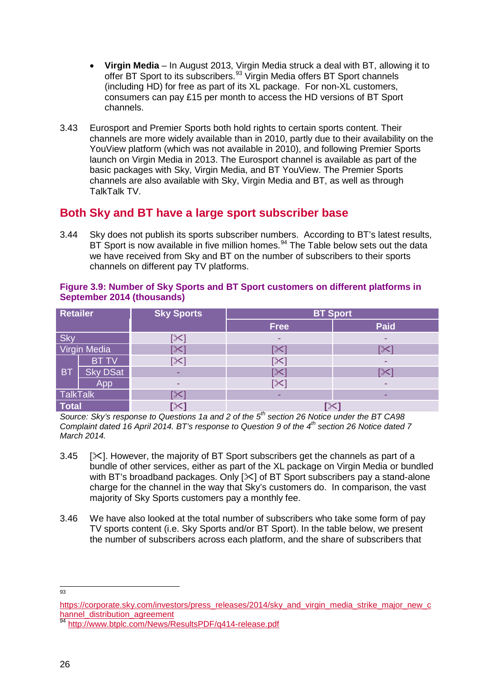- **Virgin Media** In August 2013, Virgin Media struck a deal with BT, allowing it to offer BT Sport to its subscribers.<sup>[93](#page-26-0)</sup> Virgin Media offers BT Sport channels (including HD) for free as part of its XL package. For non-XL customers, consumers can pay £15 per month to access the HD versions of BT Sport channels.
- 3.43 Eurosport and Premier Sports both hold rights to certain sports content. Their channels are more widely available than in 2010, partly due to their availability on the YouView platform (which was not available in 2010), and following Premier Sports launch on Virgin Media in 2013. The Eurosport channel is available as part of the basic packages with Sky, Virgin Media, and BT YouView. The Premier Sports channels are also available with Sky, Virgin Media and BT, as well as through TalkTalk TV.

# **Both Sky and BT have a large sport subscriber base**

3.44 Sky does not publish its sports subscriber numbers. According to BT's latest results, BT Sport is now available in five million homes.<sup>[94](#page-26-1)</sup> The Table below sets out the data we have received from Sky and BT on the number of subscribers to their sports channels on different pay TV platforms.

#### **Figure 3.9: Number of Sky Sports and BT Sport customers on different platforms in September 2014 (thousands)**

| <b>Retailer</b>     |                 | <b>Sky Sports</b>      | <b>BT Sport</b> |             |  |
|---------------------|-----------------|------------------------|-----------------|-------------|--|
|                     |                 |                        | <b>Free</b>     | <b>Paid</b> |  |
| Sky                 |                 | [X]                    | ۰               |             |  |
| <b>Virgin Media</b> |                 | $\mathbb{K}$           |                 | [⊱          |  |
| <b>BT</b>           | <b>BT TV</b>    | $\mathbb{K}$           | <b>1X</b>       |             |  |
|                     | <b>Sky DSat</b> |                        |                 | <b>SK</b>   |  |
|                     | App             |                        | [⊱              |             |  |
| <b>TalkTalk</b>     |                 | $\mathsf{I}\mathsf{X}$ | -               |             |  |
| <b>Total</b>        |                 |                        | $\infty$        |             |  |

*Source: Sky's response to Questions 1a and 2 of the 5th section 26 Notice under the BT CA98 Complaint dated 16 April 2014. BT's response to Question 9 of the 4th section 26 Notice dated 7 March 2014.*

- 3.45  $\sqrt{3}$ . However, the majority of BT Sport subscribers get the channels as part of a bundle of other services, either as part of the XL package on Virgin Media or bundled with BT's broadband packages. Only  $[\times]$  of BT Sport subscribers pay a stand-alone charge for the channel in the way that Sky's customers do. In comparison, the vast majority of Sky Sports customers pay a monthly fee.
- 3.46 We have also looked at the total number of subscribers who take some form of pay TV sports content (i.e. Sky Sports and/or BT Sport). In the table below, we present the number of subscribers across each platform, and the share of subscribers that

<sup>—&</sup>lt;br>93

<span id="page-26-0"></span>[https://corporate.sky.com/investors/press\\_releases/2014/sky\\_and\\_virgin\\_media\\_strike\\_major\\_new\\_c](https://corporate.sky.com/investors/press_releases/2014/sky_and_virgin_media_strike_major_new_channel_distribution_agreement) [hannel\\_distribution\\_agreement](https://corporate.sky.com/investors/press_releases/2014/sky_and_virgin_media_strike_major_new_channel_distribution_agreement)

<span id="page-26-1"></span><http://www.btplc.com/News/ResultsPDF/q414-release.pdf>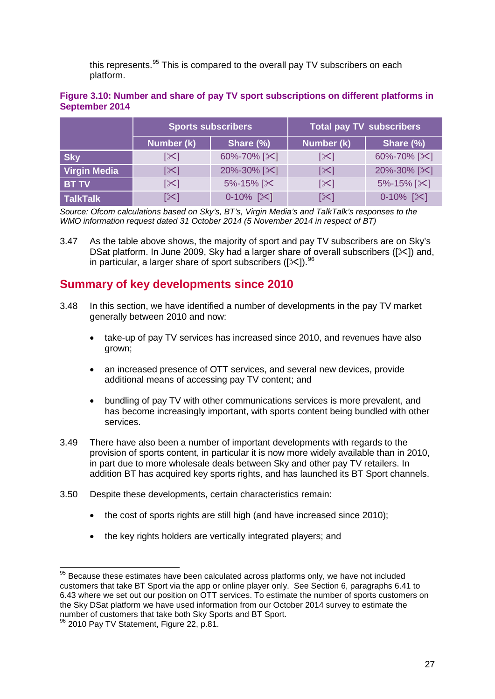this represents.<sup>[95](#page-27-0)</sup> This is compared to the overall pay TV subscribers on each platform.

#### **Figure 3.10: Number and share of pay TV sport subscriptions on different platforms in September 2014**

|                     | <b>Sports subscribers</b> |                       | <b>Total pay TV subscribers</b> |                           |  |
|---------------------|---------------------------|-----------------------|---------------------------------|---------------------------|--|
|                     | Number (k)                | Share (%)             | Number (k)                      | Share (%)                 |  |
| <b>Sky</b>          | [X]                       | 60%-70% [ $\approx$ ] | $\mathbb{R}$                    | 60%-70% [ $\approx$ ]     |  |
| <b>Virgin Media</b> | $ \mathcal{X} $           | 20%-30% [ $\&$ ]      | $ \mathcal{X} $                 | 20%-30% [ $\times$ ]      |  |
| <b>BT TV</b>        | [≻]                       | 5%-15% [ $\times$     | $ \mathcal{X} $                 | $5\% - 15\%$ [ $\times$ ] |  |
| <b>TalkTalk</b>     | [≻]                       | $0-10\%$ [ $\times$ ] | $\mathbb{K}$                    | $0-10\%$ [ $\times$ ]     |  |

*Source: Ofcom calculations based on Sky's, BT's, Virgin Media's and TalkTalk's responses to the WMO information request dated 31 October 2014 (5 November 2014 in respect of BT)*

3.47 As the table above shows, the majority of sport and pay TV subscribers are on Sky's DSat platform. In June 2009, Sky had a larger share of overall subscribers ( $[\times]$ ) and, in particular, a larger share of sport subscribers ([ $\ll$ ]). <sup>[96](#page-27-1)</sup>

## **Summary of key developments since 2010**

- 3.48 In this section, we have identified a number of developments in the pay TV market generally between 2010 and now:
	- take-up of pay TV services has increased since 2010, and revenues have also grown;
	- an increased presence of OTT services, and several new devices, provide additional means of accessing pay TV content; and
	- bundling of pay TV with other communications services is more prevalent, and has become increasingly important, with sports content being bundled with other services.
- 3.49 There have also been a number of important developments with regards to the provision of sports content, in particular it is now more widely available than in 2010, in part due to more wholesale deals between Sky and other pay TV retailers. In addition BT has acquired key sports rights, and has launched its BT Sport channels.
- 3.50 Despite these developments, certain characteristics remain:
	- the cost of sports rights are still high (and have increased since 2010);
	- the key rights holders are vertically integrated players; and

<span id="page-27-0"></span> $95$  Because these estimates have been calculated across platforms only, we have not included customers that take BT Sport via the app or online player only. See Section 6, paragraphs 6.41 to 6.43 where we set out our position on OTT services. To estimate the number of sports customers on the Sky DSat platform we have used information from our October 2014 survey to estimate the number of customers that take both Sky Sports and BT Sport.  $\overline{a}$ 

<span id="page-27-1"></span><sup>&</sup>lt;sup>96</sup> 2010 Pay TV Statement, Figure 22, p.81.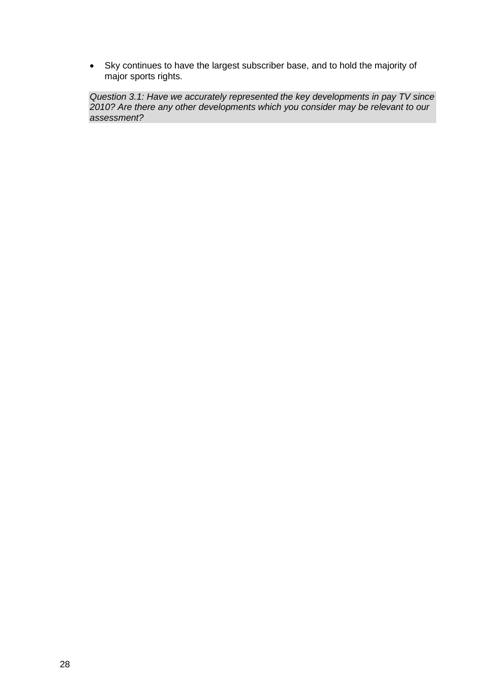• Sky continues to have the largest subscriber base, and to hold the majority of major sports rights.

*Question 3.1: Have we accurately represented the key developments in pay TV since 2010? Are there any other developments which you consider may be relevant to our assessment?*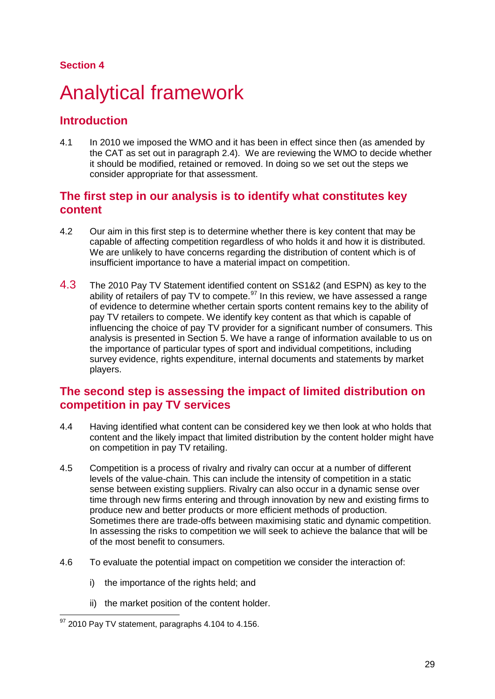#### **Section 4**

# <span id="page-29-0"></span>4 Analytical framework

# **Introduction**

4.1 In 2010 we imposed the WMO and it has been in effect since then (as amended by the CAT as set out in paragraph 2.4). We are reviewing the WMO to decide whether it should be modified, retained or removed. In doing so we set out the steps we consider appropriate for that assessment.

## **The first step in our analysis is to identify what constitutes key content**

- 4.2 Our aim in this first step is to determine whether there is key content that may be capable of affecting competition regardless of who holds it and how it is distributed. We are unlikely to have concerns regarding the distribution of content which is of insufficient importance to have a material impact on competition.
- 4.3 The 2010 Pay TV Statement identified content on SS1&2 (and ESPN) as key to the ability of retailers of pay TV to compete.<sup>[97](#page-29-1)</sup> In this review, we have assessed a range of evidence to determine whether certain sports content remains key to the ability of pay TV retailers to compete. We identify key content as that which is capable of influencing the choice of pay TV provider for a significant number of consumers. This analysis is presented in Section 5. We have a range of information available to us on the importance of particular types of sport and individual competitions, including survey evidence, rights expenditure, internal documents and statements by market players.

# **The second step is assessing the impact of limited distribution on competition in pay TV services**

- 4.4 Having identified what content can be considered key we then look at who holds that content and the likely impact that limited distribution by the content holder might have on competition in pay TV retailing.
- 4.5 Competition is a process of rivalry and rivalry can occur at a number of different levels of the value-chain. This can include the intensity of competition in a static sense between existing suppliers. Rivalry can also occur in a dynamic sense over time through new firms entering and through innovation by new and existing firms to produce new and better products or more efficient methods of production. Sometimes there are trade-offs between maximising static and dynamic competition. In assessing the risks to competition we will seek to achieve the balance that will be of the most benefit to consumers.
- 4.6 To evaluate the potential impact on competition we consider the interaction of:
	- i) the importance of the rights held; and
	- ii) the market position of the content holder.

<span id="page-29-1"></span> $^{97}$  2010 Pay TV statement, paragraphs 4.104 to 4.156.  $\overline{a}$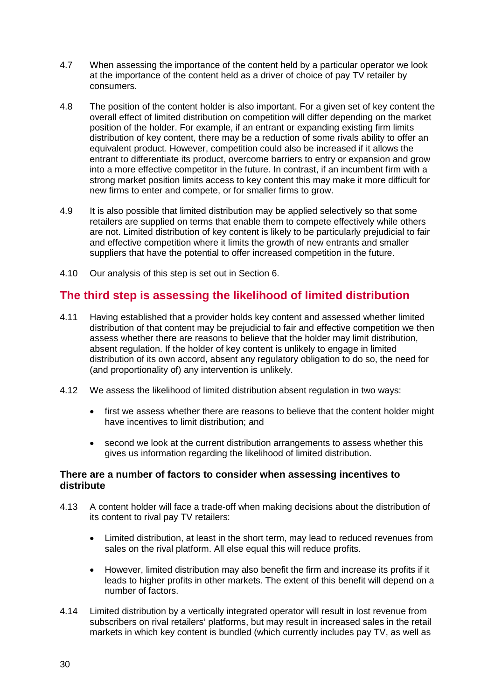- 4.7 When assessing the importance of the content held by a particular operator we look at the importance of the content held as a driver of choice of pay TV retailer by consumers.
- 4.8 The position of the content holder is also important. For a given set of key content the overall effect of limited distribution on competition will differ depending on the market position of the holder. For example, if an entrant or expanding existing firm limits distribution of key content, there may be a reduction of some rivals ability to offer an equivalent product. However, competition could also be increased if it allows the entrant to differentiate its product, overcome barriers to entry or expansion and grow into a more effective competitor in the future. In contrast, if an incumbent firm with a strong market position limits access to key content this may make it more difficult for new firms to enter and compete, or for smaller firms to grow.
- 4.9 It is also possible that limited distribution may be applied selectively so that some retailers are supplied on terms that enable them to compete effectively while others are not. Limited distribution of key content is likely to be particularly prejudicial to fair and effective competition where it limits the growth of new entrants and smaller suppliers that have the potential to offer increased competition in the future.
- 4.10 Our analysis of this step is set out in Section 6.

# **The third step is assessing the likelihood of limited distribution**

- 4.11 Having established that a provider holds key content and assessed whether limited distribution of that content may be prejudicial to fair and effective competition we then assess whether there are reasons to believe that the holder may limit distribution, absent regulation. If the holder of key content is unlikely to engage in limited distribution of its own accord, absent any regulatory obligation to do so, the need for (and proportionality of) any intervention is unlikely.
- 4.12 We assess the likelihood of limited distribution absent regulation in two ways:
	- first we assess whether there are reasons to believe that the content holder might have incentives to limit distribution; and
	- second we look at the current distribution arrangements to assess whether this gives us information regarding the likelihood of limited distribution.

#### **There are a number of factors to consider when assessing incentives to distribute**

- 4.13 A content holder will face a trade-off when making decisions about the distribution of its content to rival pay TV retailers:
	- Limited distribution, at least in the short term, may lead to reduced revenues from sales on the rival platform. All else equal this will reduce profits.
	- However, limited distribution may also benefit the firm and increase its profits if it leads to higher profits in other markets. The extent of this benefit will depend on a number of factors.
- 4.14 Limited distribution by a vertically integrated operator will result in lost revenue from subscribers on rival retailers' platforms, but may result in increased sales in the retail markets in which key content is bundled (which currently includes pay TV, as well as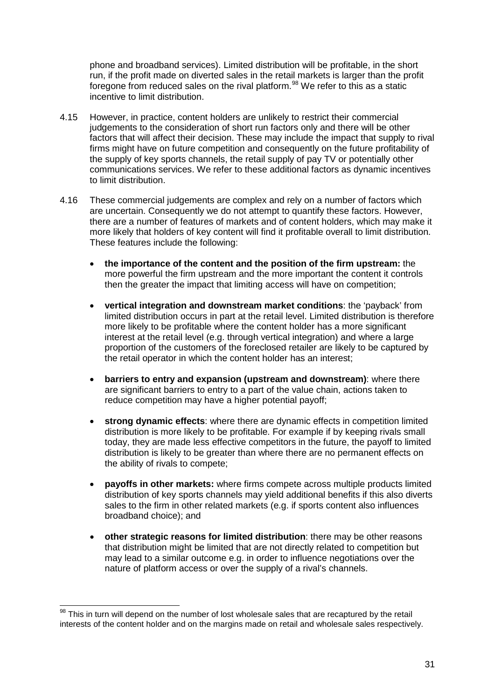phone and broadband services). Limited distribution will be profitable, in the short run, if the profit made on diverted sales in the retail markets is larger than the profit foregone from reduced sales on the rival platform.<sup>[98](#page-31-0)</sup> We refer to this as a static incentive to limit distribution.

- 4.15 However, in practice, content holders are unlikely to restrict their commercial judgements to the consideration of short run factors only and there will be other factors that will affect their decision. These may include the impact that supply to rival firms might have on future competition and consequently on the future profitability of the supply of key sports channels, the retail supply of pay TV or potentially other communications services. We refer to these additional factors as dynamic incentives to limit distribution.
- 4.16 These commercial judgements are complex and rely on a number of factors which are uncertain. Consequently we do not attempt to quantify these factors. However, there are a number of features of markets and of content holders, which may make it more likely that holders of key content will find it profitable overall to limit distribution. These features include the following:
	- **the importance of the content and the position of the firm upstream:** the more powerful the firm upstream and the more important the content it controls then the greater the impact that limiting access will have on competition;
	- **vertical integration and downstream market conditions**: the 'payback' from limited distribution occurs in part at the retail level. Limited distribution is therefore more likely to be profitable where the content holder has a more significant interest at the retail level (e.g. through vertical integration) and where a large proportion of the customers of the foreclosed retailer are likely to be captured by the retail operator in which the content holder has an interest;
	- **barriers to entry and expansion (upstream and downstream)**: where there are significant barriers to entry to a part of the value chain, actions taken to reduce competition may have a higher potential payoff;
	- **strong dynamic effects**: where there are dynamic effects in competition limited distribution is more likely to be profitable. For example if by keeping rivals small today, they are made less effective competitors in the future, the payoff to limited distribution is likely to be greater than where there are no permanent effects on the ability of rivals to compete;
	- **payoffs in other markets:** where firms compete across multiple products limited distribution of key sports channels may yield additional benefits if this also diverts sales to the firm in other related markets (e.g. if sports content also influences broadband choice); and
	- **other strategic reasons for limited distribution**: there may be other reasons that distribution might be limited that are not directly related to competition but may lead to a similar outcome e.g. in order to influence negotiations over the nature of platform access or over the supply of a rival's channels.

<span id="page-31-0"></span> $98$  This in turn will depend on the number of lost wholesale sales that are recaptured by the retail interests of the content holder and on the margins made on retail and wholesale sales respectively.  $\overline{a}$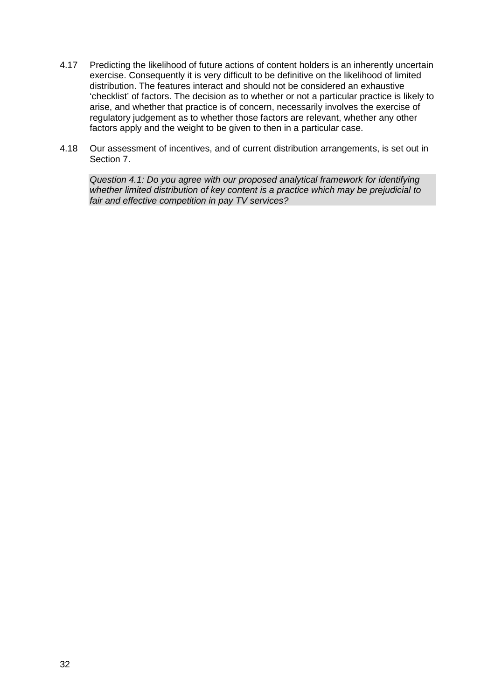- 4.17 Predicting the likelihood of future actions of content holders is an inherently uncertain exercise. Consequently it is very difficult to be definitive on the likelihood of limited distribution. The features interact and should not be considered an exhaustive 'checklist' of factors. The decision as to whether or not a particular practice is likely to arise, and whether that practice is of concern, necessarily involves the exercise of regulatory judgement as to whether those factors are relevant, whether any other factors apply and the weight to be given to then in a particular case.
- 4.18 Our assessment of incentives, and of current distribution arrangements, is set out in Section 7.

*Question 4.1: Do you agree with our proposed analytical framework for identifying whether limited distribution of key content is a practice which may be prejudicial to fair and effective competition in pay TV services?*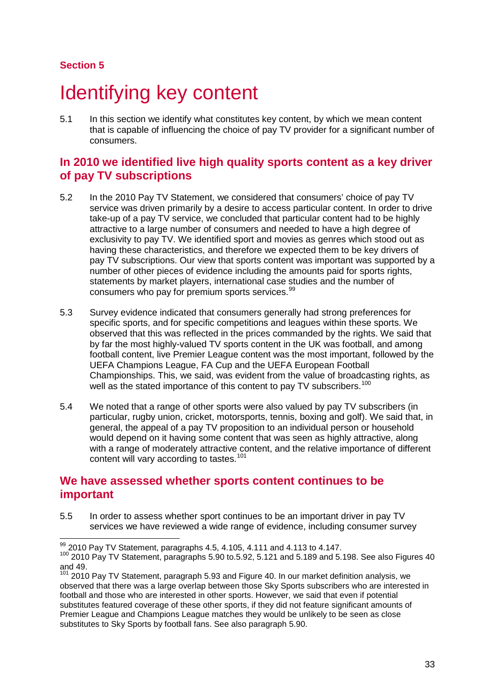### **Section 5**

# <span id="page-33-0"></span>Identifying key content

5.1 In this section we identify what constitutes key content, by which we mean content that is capable of influencing the choice of pay TV provider for a significant number of consumers.

# **In 2010 we identified live high quality sports content as a key driver of pay TV subscriptions**

- 5.2 In the 2010 Pay TV Statement, we considered that consumers' choice of pay TV service was driven primarily by a desire to access particular content. In order to drive take-up of a pay TV service, we concluded that particular content had to be highly attractive to a large number of consumers and needed to have a high degree of exclusivity to pay TV. We identified sport and movies as genres which stood out as having these characteristics, and therefore we expected them to be key drivers of pay TV subscriptions. Our view that sports content was important was supported by a number of other pieces of evidence including the amounts paid for sports rights, statements by market players, international case studies and the number of consumers who pay for premium sports services.<sup>[99](#page-33-1)</sup>
- 5.3 Survey evidence indicated that consumers generally had strong preferences for specific sports, and for specific competitions and leagues within these sports. We observed that this was reflected in the prices commanded by the rights. We said that by far the most highly-valued TV sports content in the UK was football, and among football content, live Premier League content was the most important, followed by the UEFA Champions League, FA Cup and the UEFA European Football Championships. This, we said, was evident from the value of broadcasting rights, as well as the stated importance of this content to pay TV subscribers.<sup>[100](#page-33-2)</sup>
- 5.4 We noted that a range of other sports were also valued by pay TV subscribers (in particular, rugby union, cricket, motorsports, tennis, boxing and golf). We said that, in general, the appeal of a pay TV proposition to an individual person or household would depend on it having some content that was seen as highly attractive, along with a range of moderately attractive content, and the relative importance of different content will vary according to tastes.<sup>[101](#page-33-3)</sup>

## **We have assessed whether sports content continues to be important**

5.5 In order to assess whether sport continues to be an important driver in pay TV services we have reviewed a wide range of evidence, including consumer survey

 $^{99}_{12}$ 2010 Pay TV Statement, paragraphs 4.5, 4.105, 4.111 and 4.113 to 4.147.  $\overline{a}$ 

<span id="page-33-2"></span><span id="page-33-1"></span><sup>100</sup> 2010 Pay TV Statement, paragraphs 5.90 to.5.92, 5.121 and 5.189 and 5.198. See also Figures 40 and 49.

<span id="page-33-3"></span> $101$  2010 Pav TV Statement, paragraph 5.93 and Figure 40. In our market definition analysis, we observed that there was a large overlap between those Sky Sports subscribers who are interested in football and those who are interested in other sports. However, we said that even if potential substitutes featured coverage of these other sports, if they did not feature significant amounts of Premier League and Champions League matches they would be unlikely to be seen as close substitutes to Sky Sports by football fans. See also paragraph 5.90.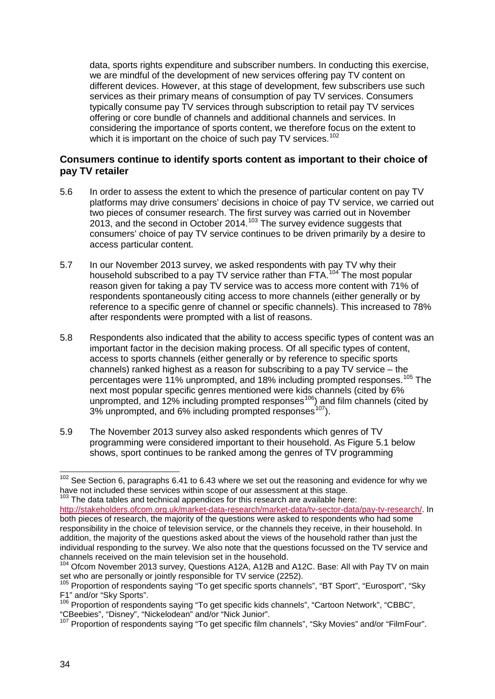data, sports rights expenditure and subscriber numbers. In conducting this exercise, we are mindful of the development of new services offering pay TV content on different devices. However, at this stage of development, few subscribers use such services as their primary means of consumption of pay TV services. Consumers typically consume pay TV services through subscription to retail pay TV services offering or core bundle of channels and additional channels and services. In considering the importance of sports content, we therefore focus on the extent to which it is important on the choice of such pay TV services.<sup>[102](#page-34-0)</sup>

#### **Consumers continue to identify sports content as important to their choice of pay TV retailer**

- 5.6 In order to assess the extent to which the presence of particular content on pay TV platforms may drive consumers' decisions in choice of pay TV service, we carried out two pieces of consumer research. The first survey was carried out in November 2013, and the second in October 2014.<sup>[103](#page-34-1)</sup> The survey evidence suggests that consumers' choice of pay TV service continues to be driven primarily by a desire to access particular content.
- 5.7 In our November 2013 survey, we asked respondents with pay TV why their household subscribed to a pay TV service rather than FTA.<sup>[104](#page-34-2)</sup> The most popular reason given for taking a pay TV service was to access more content with 71% of respondents spontaneously citing access to more channels (either generally or by reference to a specific genre of channel or specific channels). This increased to 78% after respondents were prompted with a list of reasons.
- 5.8 Respondents also indicated that the ability to access specific types of content was an important factor in the decision making process. Of all specific types of content, access to sports channels (either generally or by reference to specific sports channels) ranked highest as a reason for subscribing to a pay TV service – the percentages were 11% unprompted, and 18% including prompted responses.<sup>[105](#page-34-3)</sup> The next most popular specific genres mentioned were kids channels (cited by 6% unprompted, and 12% including prompted responses<sup>[106](#page-34-4)</sup>) and film channels (cited by  $3\%$  unprompted, and 6% including prompted responses<sup>107</sup>).
- 5.9 The November 2013 survey also asked respondents which genres of TV programming were considered important to their household. As Figure 5.1 below shows, sport continues to be ranked among the genres of TV programming

<span id="page-34-0"></span> $102$  See Section 6, paragraphs 6.41 to 6.43 where we set out the reasoning and evidence for why we have not included these services within scope of our assessment at this stage.  $\overline{a}$ 

<span id="page-34-1"></span> $103$  The data tables and technical appendices for this research are available here: [http://stakeholders.ofcom.org.uk/market-data-research/market-data/tv-sector-data/pay-tv-research/.](http://stakeholders.ofcom.org.uk/market-data-research/market-data/tv-sector-data/pay-tv-research/) In both pieces of research, the majority of the questions were asked to respondents who had some responsibility in the choice of television service, or the channels they receive, in their household. In addition, the majority of the questions asked about the views of the household rather than just the individual responding to the survey. We also note that the questions focussed on the TV service and channels received on the main television set in the household.

<span id="page-34-2"></span><sup>&</sup>lt;sup>104</sup> Ofcom November 2013 survey, Questions A12A, A12B and A12C. Base: All with Pay TV on main set who are personally or jointly responsible for TV service (2252).<br><sup>105</sup> Proportion of respondents saying "To get specific sports channels", "BT Sport", "Eurosport", "Sky

<span id="page-34-3"></span>F1" and/or "Sky Sports".

<span id="page-34-4"></span><sup>&</sup>lt;sup>106</sup> Proportion of respondents saying "To get specific kids channels", "Cartoon Network", "CBBC", "CBeebies", "Disney", "Nickelodean" and/or "Nick Junior". 107 Proportion of respondents saying "To get specific film channels", "Sky Movies" and/or "FilmFour".

<span id="page-34-5"></span>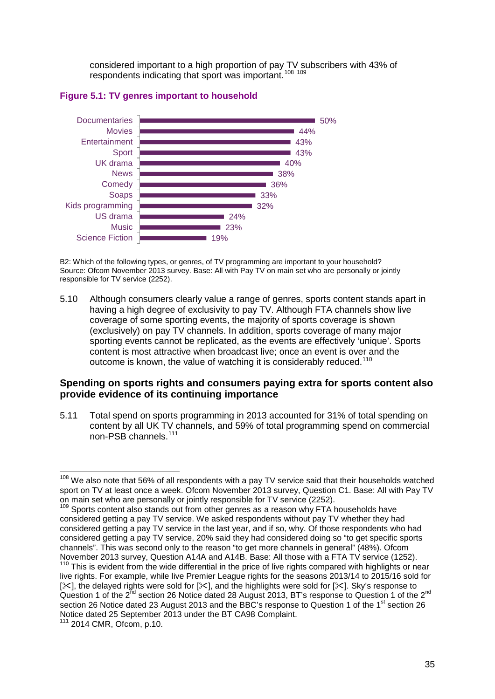considered important to a high proportion of pay TV subscribers with 43% of respondents indicating that sport was important.<sup>[108](#page-35-0) [109](#page-35-1)</sup>





B2: Which of the following types, or genres, of TV programming are important to your household? Source: Ofcom November 2013 survey. Base: All with Pay TV on main set who are personally or jointly responsible for TV service (2252).

5.10 Although consumers clearly value a range of genres, sports content stands apart in having a high degree of exclusivity to pay TV. Although FTA channels show live coverage of some sporting events, the majority of sports coverage is shown (exclusively) on pay TV channels. In addition, sports coverage of many major sporting events cannot be replicated, as the events are effectively 'unique'. Sports content is most attractive when broadcast live; once an event is over and the outcome is known, the value of watching it is considerably reduced.<sup>[110](#page-35-2)</sup>

#### **Spending on sports rights and consumers paying extra for sports content also provide evidence of its continuing importance**

5.11 Total spend on sports programming in 2013 accounted for 31% of total spending on content by all UK TV channels, and 59% of total programming spend on commercial non-PSB channels.<sup>[111](#page-35-3)</sup>

<span id="page-35-0"></span><sup>&</sup>lt;sup>108</sup> We also note that 56% of all respondents with a pay TV service said that their households watched sport on TV at least once a week. Ofcom November 2013 survey, Question C1. Base: All with Pay TV on main set who are personally or jointly responsible for TV service (2252).<br><sup>109</sup> Sports content also stands out from other genres as a reason why FTA households have  $\overline{a}$ 

<span id="page-35-1"></span>considered getting a pay TV service. We asked respondents without pay TV whether they had considered getting a pay TV service in the last year, and if so, why. Of those respondents who had considered getting a pay TV service, 20% said they had considered doing so "to get specific sports channels". This was second only to the reason "to get more channels in general" (48%). Ofcom

<span id="page-35-2"></span>November 2013 survey, Question A14A and A14B. Base: All those with a FTA TV service (1252).<br><sup>110</sup> This is evident from the wide differential in the price of live rights compared with highlights or near live rights. For example, while live Premier League rights for the seasons 2013/14 to 2015/16 sold for [ $\times$ ], the delayed rights were sold for [ $\times$ ], and the highlights were sold for [ $\times$ ]. Sky's response to Question 1 of the 2<sup>nd</sup> section 26 Notice dated 28 August 2013, BT's response to Question 1 of the 2<sup>nd</sup> section 26 Notice dated 23 August 2013 and the BBC's response to Question 1 of the 1<sup>st</sup> section 26 Notice dated 25 September 2013 under the BT CA98 Complaint.

<span id="page-35-3"></span><sup>111</sup> 2014 CMR, Ofcom, p.10.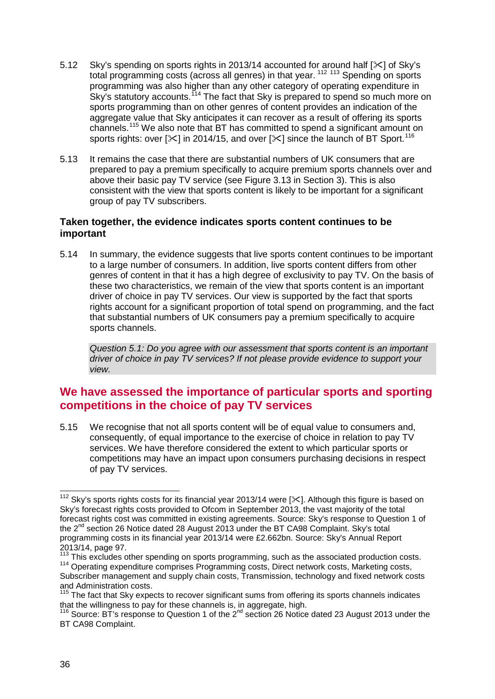- 5.12 Sky's spending on sports rights in 2013/14 accounted for around half [ $\ge$ ] of Sky's total programming costs (across all genres) in that year. [112](#page-36-0) [113](#page-36-1) Spending on sports programming was also higher than any other category of operating expenditure in Sky's statutory accounts.<sup>[114](#page-36-2)</sup> The fact that Sky is prepared to spend so much more on sports programming than on other genres of content provides an indication of the aggregate value that Sky anticipates it can recover as a result of offering its sports channels.[115](#page-36-3) We also note that BT has committed to spend a significant amount on sports rights: over  $[\times]$  in 2014/15, and over  $[\times]$  since the launch of BT Sport.<sup>[116](#page-36-4)</sup>
- 5.13 It remains the case that there are substantial numbers of UK consumers that are prepared to pay a premium specifically to acquire premium sports channels over and above their basic pay TV service (see Figure 3.13 in Section 3). This is also consistent with the view that sports content is likely to be important for a significant group of pay TV subscribers.

# **Taken together, the evidence indicates sports content continues to be important**

5.14 In summary, the evidence suggests that live sports content continues to be important to a large number of consumers. In addition, live sports content differs from other genres of content in that it has a high degree of exclusivity to pay TV. On the basis of these two characteristics, we remain of the view that sports content is an important driver of choice in pay TV services. Our view is supported by the fact that sports rights account for a significant proportion of total spend on programming, and the fact that substantial numbers of UK consumers pay a premium specifically to acquire sports channels.

*Question 5.1: Do you agree with our assessment that sports content is an important driver of choice in pay TV services? If not please provide evidence to support your view.* 

# **We have assessed the importance of particular sports and sporting competitions in the choice of pay TV services**

5.15 We recognise that not all sports content will be of equal value to consumers and, consequently, of equal importance to the exercise of choice in relation to pay TV services. We have therefore considered the extent to which particular sports or competitions may have an impact upon consumers purchasing decisions in respect of pay TV services.

<span id="page-36-0"></span><sup>&</sup>lt;sup>112</sup> Sky's sports rights costs for its financial year 2013/14 were [ $\ll$ ]. Although this figure is based on Sky's forecast rights costs provided to Ofcom in September 2013, the vast majority of the total forecast rights cost was committed in existing agreements. Source: Sky's response to Question 1 of the 2<sup>nd</sup> section 26 Notice dated 28 August 2013 under the BT CA98 Complaint. Sky's total programming costs in its financial year 2013/14 were £2.662bn. Source: Sky's Annual Report 2013/14, page 97.<br><sup>113</sup> This excludes other spending on sports programming, such as the associated production costs.  $\overline{a}$ 

<span id="page-36-2"></span><span id="page-36-1"></span><sup>&</sup>lt;sup>114</sup> Operating expenditure comprises Programming costs, Direct network costs, Marketing costs, Subscriber management and supply chain costs, Transmission, technology and fixed network costs and Administration costs.

<span id="page-36-3"></span> $115$  The fact that Sky expects to recover significant sums from offering its sports channels indicates that the willingness to pay for these channels is, in aggregate, high.

<span id="page-36-4"></span> $116$  Source: BT's response to Question 1 of the  $2^{nd}$  section 26 Notice dated 23 August 2013 under the BT CA98 Complaint.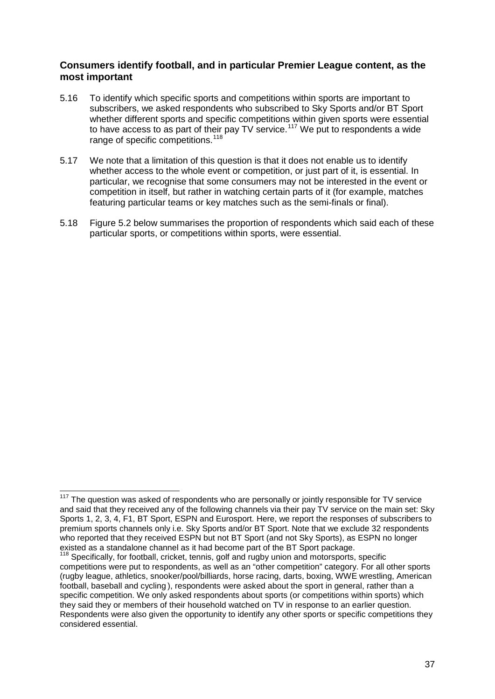## **Consumers identify football, and in particular Premier League content, as the most important**

- 5.16 To identify which specific sports and competitions within sports are important to subscribers, we asked respondents who subscribed to Sky Sports and/or BT Sport whether different sports and specific competitions within given sports were essential to have access to as part of their pay TV service.<sup>[117](#page-37-0)</sup> We put to respondents a wide range of specific competitions.<sup>[118](#page-37-1)</sup>
- 5.17 We note that a limitation of this question is that it does not enable us to identify whether access to the whole event or competition, or just part of it, is essential. In particular, we recognise that some consumers may not be interested in the event or competition in itself, but rather in watching certain parts of it (for example, matches featuring particular teams or key matches such as the semi-finals or final).
- 5.18 Figure 5.2 below summarises the proportion of respondents which said each of these particular sports, or competitions within sports, were essential.

 $\overline{a}$ 

<span id="page-37-0"></span>The question was asked of respondents who are personally or jointly responsible for TV service and said that they received any of the following channels via their pay TV service on the main set: Sky Sports 1, 2, 3, 4, F1, BT Sport, ESPN and Eurosport. Here, we report the responses of subscribers to premium sports channels only i.e. Sky Sports and/or BT Sport. Note that we exclude 32 respondents who reported that they received ESPN but not BT Sport (and not Sky Sports), as ESPN no longer existed as a standalone channel as it had become part of the BT Sport package.

<span id="page-37-1"></span><sup>&</sup>lt;sup>118</sup> Specifically, for football, cricket, tennis, golf and rugby union and motorsports, specific competitions were put to respondents, as well as an "other competition" category. For all other sports (rugby league, athletics, snooker/pool/billiards, horse racing, darts, boxing, WWE wrestling, American football, baseball and cycling ), respondents were asked about the sport in general, rather than a specific competition. We only asked respondents about sports (or competitions within sports) which they said they or members of their household watched on TV in response to an earlier question. Respondents were also given the opportunity to identify any other sports or specific competitions they considered essential.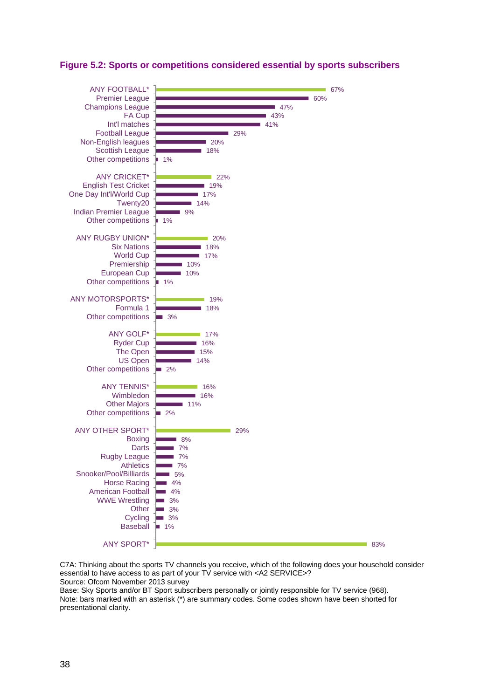

## **Figure 5.2: Sports or competitions considered essential by sports subscribers**

C7A: Thinking about the sports TV channels you receive, which of the following does your household consider essential to have access to as part of your TV service with <A2 SERVICE>? Source: Ofcom November 2013 survey

Base: Sky Sports and/or BT Sport subscribers personally or jointly responsible for TV service (968). Note: bars marked with an asterisk (\*) are summary codes. Some codes shown have been shorted for presentational clarity.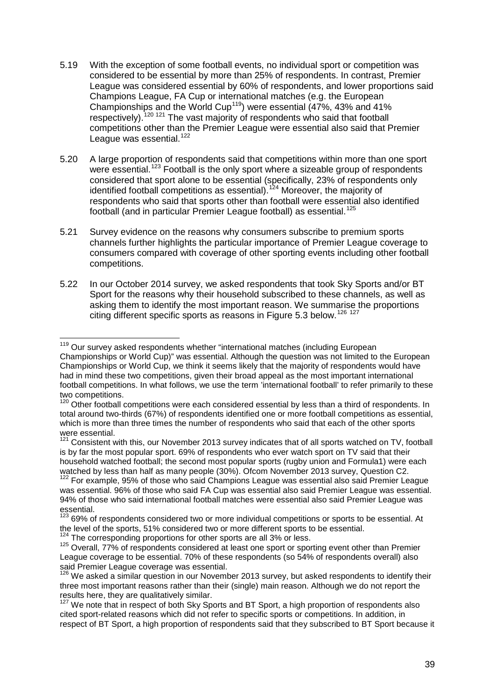- 5.19 With the exception of some football events, no individual sport or competition was considered to be essential by more than 25% of respondents. In contrast, Premier League was considered essential by 60% of respondents, and lower proportions said Champions League, FA Cup or international matches (e.g. the European Championships and the World Cup[119\)](#page-39-0) were essential (47%, 43% and 41% respectively).<sup>[120](#page-39-1)</sup> <sup>[121](#page-39-2)</sup> The vast majority of respondents who said that football competitions other than the Premier League were essential also said that Premier League was essential.<sup>[122](#page-39-3)</sup>
- 5.20 A large proportion of respondents said that competitions within more than one sport were essential.<sup>[123](#page-39-4)</sup> Football is the only sport where a sizeable group of respondents considered that sport alone to be essential (specifically, 23% of respondents only identified football competitions as essential).<sup>[124](#page-39-5)</sup> Moreover, the majority of respondents who said that sports other than football were essential also identified football (and in particular Premier League football) as essential.<sup>[125](#page-39-6)</sup>
- 5.21 Survey evidence on the reasons why consumers subscribe to premium sports channels further highlights the particular importance of Premier League coverage to consumers compared with coverage of other sporting events including other football competitions.
- 5.22 In our October 2014 survey, we asked respondents that took Sky Sports and/or BT Sport for the reasons why their household subscribed to these channels, as well as asking them to identify the most important reason. We summarise the proportions citing different specific sports as reasons in Figure 5.3 below.[126](#page-39-7) [127](#page-39-8)

 $\overline{a}$ 

<span id="page-39-0"></span><sup>&</sup>lt;sup>119</sup> Our survey asked respondents whether "international matches (including European Championships or World Cup)" was essential. Although the question was not limited to the European Championships or World Cup, we think it seems likely that the majority of respondents would have had in mind these two competitions, given their broad appeal as the most important international football competitions. In what follows, we use the term 'international football' to refer primarily to these two competitions.

<span id="page-39-1"></span><sup>&</sup>lt;sup>120</sup> Other football competitions were each considered essential by less than a third of respondents. In total around two-thirds (67%) of respondents identified one or more football competitions as essential, which is more than three times the number of respondents who said that each of the other sports were essential.

<span id="page-39-2"></span><sup>&</sup>lt;sup>121</sup> Consistent with this, our November 2013 survey indicates that of all sports watched on TV, football is by far the most popular sport. 69% of respondents who ever watch sport on TV said that their household watched football; the second most popular sports (rugby union and Formula1) were each watched by less than half as many people (30%). Ofcom November 2013 survey, Question C2.

<span id="page-39-3"></span><sup>122</sup> For example, 95% of those who said Champions League was essential also said Premier League was essential. 96% of those who said FA Cup was essential also said Premier League was essential. 94% of those who said international football matches were essential also said Premier League was essential.

<span id="page-39-4"></span><sup>&</sup>lt;sup>123</sup> 69% of respondents considered two or more individual competitions or sports to be essential. At the level of the sports, 51% considered two or more different sports to be essential.

<span id="page-39-6"></span><span id="page-39-5"></span> $124$  The corresponding proportions for other sports are all 3% or less.<br><sup>125</sup> Overall, 77% of respondents considered at least one sport or sporting event other than Premier League coverage to be essential. 70% of these respondents (so 54% of respondents overall) also said Premier League coverage was essential.

<span id="page-39-7"></span><sup>&</sup>lt;sup>126</sup> We asked a similar question in our November 2013 survey, but asked respondents to identify their three most important reasons rather than their (single) main reason. Although we do not report the results here, they are qualitatively similar.

<span id="page-39-8"></span> $127$  We note that in respect of both Sky Sports and BT Sport, a high proportion of respondents also cited sport-related reasons which did not refer to specific sports or competitions. In addition, in respect of BT Sport, a high proportion of respondents said that they subscribed to BT Sport because it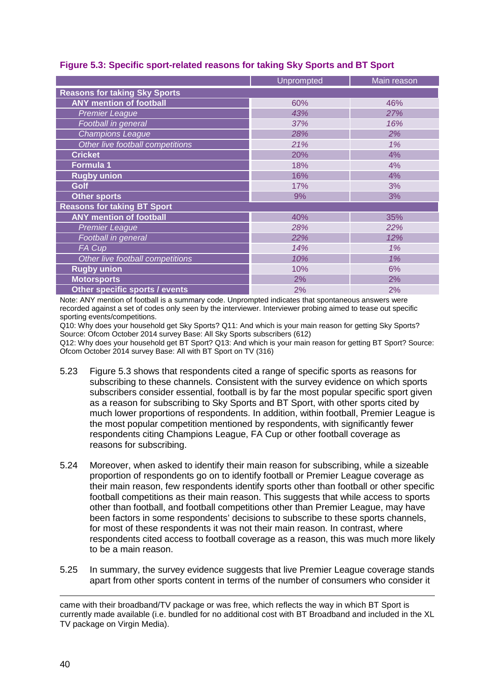|                                      | Unprompted | Main reason |
|--------------------------------------|------------|-------------|
| <b>Reasons for taking Sky Sports</b> |            |             |
| <b>ANY mention of football</b>       | 60%        | 46%         |
| <b>Premier League</b>                | 43%        | 27%         |
| Football in general                  | 37%        | 16%         |
| <b>Champions League</b>              | 28%        | 2%          |
| Other live football competitions     | 21%        | 1%          |
| <b>Cricket</b>                       | 20%        | 4%          |
| Formula 1                            | 18%        | 4%          |
| <b>Rugby union</b>                   | 16%        | 4%          |
| Golf                                 | 17%        | 3%          |
| <b>Other sports</b>                  | 9%         | 3%          |
| <b>Reasons for taking BT Sport</b>   |            |             |
| <b>ANY mention of football</b>       | 40%        | 35%         |
| <b>Premier League</b>                | 28%        | 22%         |
| Football in general                  | 22%        | 12%         |
| FA Cup                               | 14%        | 1%          |
| Other live football competitions     | 10%        | 1%          |
| <b>Rugby union</b>                   | 10%        | 6%          |
| <b>Motorsports</b>                   | 2%         | 2%          |
| Other specific sports / events       | 2%         | 2%          |

## **Figure 5.3: Specific sport-related reasons for taking Sky Sports and BT Sport**

Note: ANY mention of football is a summary code. Unprompted indicates that spontaneous answers were recorded against a set of codes only seen by the interviewer. Interviewer probing aimed to tease out specific sporting events/competitions.

Q10: Why does your household get Sky Sports? Q11: And which is your main reason for getting Sky Sports? Source: Ofcom October 2014 survey Base: All Sky Sports subscribers (612)

Q12: Why does your household get BT Sport? Q13: And which is your main reason for getting BT Sport? Source: Ofcom October 2014 survey Base: All with BT Sport on TV (316)

- 5.23 Figure 5.3 shows that respondents cited a range of specific sports as reasons for subscribing to these channels. Consistent with the survey evidence on which sports subscribers consider essential, football is by far the most popular specific sport given as a reason for subscribing to Sky Sports and BT Sport, with other sports cited by much lower proportions of respondents. In addition, within football, Premier League is the most popular competition mentioned by respondents, with significantly fewer respondents citing Champions League, FA Cup or other football coverage as reasons for subscribing.
- 5.24 Moreover, when asked to identify their main reason for subscribing, while a sizeable proportion of respondents go on to identify football or Premier League coverage as their main reason, few respondents identify sports other than football or other specific football competitions as their main reason. This suggests that while access to sports other than football, and football competitions other than Premier League, may have been factors in some respondents' decisions to subscribe to these sports channels, for most of these respondents it was not their main reason. In contrast, where respondents cited access to football coverage as a reason, this was much more likely to be a main reason.
- 5.25 In summary, the survey evidence suggests that live Premier League coverage stands apart from other sports content in terms of the number of consumers who consider it

came with their broadband/TV package or was free, which reflects the way in which BT Sport is currently made available (i.e. bundled for no additional cost with BT Broadband and included in the XL TV package on Virgin Media). -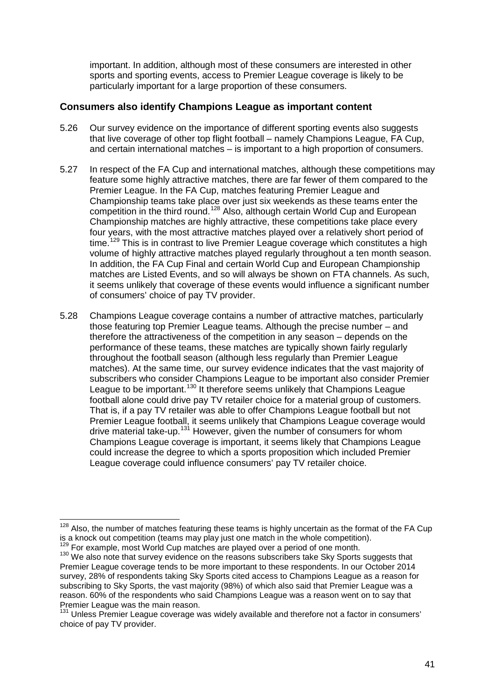important. In addition, although most of these consumers are interested in other sports and sporting events, access to Premier League coverage is likely to be particularly important for a large proportion of these consumers.

## **Consumers also identify Champions League as important content**

- 5.26 Our survey evidence on the importance of different sporting events also suggests that live coverage of other top flight football – namely Champions League, FA Cup, and certain international matches – is important to a high proportion of consumers.
- 5.27 In respect of the FA Cup and international matches, although these competitions may feature some highly attractive matches, there are far fewer of them compared to the Premier League. In the FA Cup, matches featuring Premier League and Championship teams take place over just six weekends as these teams enter the competition in the third round.<sup>[128](#page-41-0)</sup> Also, although certain World Cup and European Championship matches are highly attractive, these competitions take place every four years, with the most attractive matches played over a relatively short period of time.<sup>[129](#page-41-1)</sup> This is in contrast to live Premier League coverage which constitutes a high volume of highly attractive matches played regularly throughout a ten month season. In addition, the FA Cup Final and certain World Cup and European Championship matches are Listed Events, and so will always be shown on FTA channels. As such, it seems unlikely that coverage of these events would influence a significant number of consumers' choice of pay TV provider.
- 5.28 Champions League coverage contains a number of attractive matches, particularly those featuring top Premier League teams. Although the precise number – and therefore the attractiveness of the competition in any season – depends on the performance of these teams, these matches are typically shown fairly regularly throughout the football season (although less regularly than Premier League matches). At the same time, our survey evidence indicates that the vast majority of subscribers who consider Champions League to be important also consider Premier League to be important.<sup>[130](#page-41-2)</sup> It therefore seems unlikely that Champions League football alone could drive pay TV retailer choice for a material group of customers. That is, if a pay TV retailer was able to offer Champions League football but not Premier League football, it seems unlikely that Champions League coverage would drive material take-up.<sup>[131](#page-41-3)</sup> However, given the number of consumers for whom Champions League coverage is important, it seems likely that Champions League could increase the degree to which a sports proposition which included Premier League coverage could influence consumers' pay TV retailer choice.

<span id="page-41-0"></span> $128$  Also, the number of matches featuring these teams is highly uncertain as the format of the FA Cup is a knock out competition (teams may play just one match in the whole competition).<br><sup>129</sup> For example, most World Cup matches are played over a period of one month.  $\overline{a}$ 

<span id="page-41-2"></span><span id="page-41-1"></span> $130$  We also note that survey evidence on the reasons subscribers take Sky Sports suggests that Premier League coverage tends to be more important to these respondents. In our October 2014 survey, 28% of respondents taking Sky Sports cited access to Champions League as a reason for subscribing to Sky Sports, the vast majority (98%) of which also said that Premier League was a reason. 60% of the respondents who said Champions League was a reason went on to say that Premier League was the main reason.

<span id="page-41-3"></span><sup>&</sup>lt;sup>131</sup> Unless Premier League coverage was widely available and therefore not a factor in consumers' choice of pay TV provider.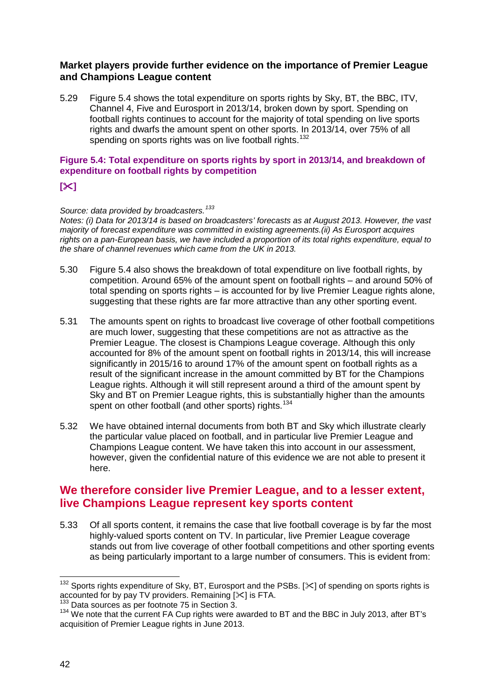## **Market players provide further evidence on the importance of Premier League and Champions League content**

5.29 Figure 5.4 shows the total expenditure on sports rights by Sky, BT, the BBC, ITV, Channel 4, Five and Eurosport in 2013/14, broken down by sport. Spending on football rights continues to account for the majority of total spending on live sports rights and dwarfs the amount spent on other sports. In 2013/14, over 75% of all spending on sports rights was on live football rights.<sup>[132](#page-42-0)</sup>

# **Figure 5.4: Total expenditure on sports rights by sport in 2013/14, and breakdown of expenditure on football rights by competition**

# **[]**

#### *Source: data provided by broadcasters.[133](#page-42-1)*

*Notes: (i) Data for 2013/14 is based on broadcasters' forecasts as at August 2013. However, the vast majority of forecast expenditure was committed in existing agreements.(ii) As Eurosport acquires rights on a pan-European basis, we have included a proportion of its total rights expenditure, equal to the share of channel revenues which came from the UK in 2013.* 

- 5.30 Figure 5.4 also shows the breakdown of total expenditure on live football rights, by competition. Around 65% of the amount spent on football rights – and around 50% of total spending on sports rights – is accounted for by live Premier League rights alone, suggesting that these rights are far more attractive than any other sporting event.
- 5.31 The amounts spent on rights to broadcast live coverage of other football competitions are much lower, suggesting that these competitions are not as attractive as the Premier League. The closest is Champions League coverage. Although this only accounted for 8% of the amount spent on football rights in 2013/14, this will increase significantly in 2015/16 to around 17% of the amount spent on football rights as a result of the significant increase in the amount committed by BT for the Champions League rights. Although it will still represent around a third of the amount spent by Sky and BT on Premier League rights, this is substantially higher than the amounts spent on other football (and other sports) rights.<sup>[134](#page-42-2)</sup>
- 5.32 We have obtained internal documents from both BT and Sky which illustrate clearly the particular value placed on football, and in particular live Premier League and Champions League content. We have taken this into account in our assessment, however, given the confidential nature of this evidence we are not able to present it here.

# **We therefore consider live Premier League, and to a lesser extent, live Champions League represent key sports content**

5.33 Of all sports content, it remains the case that live football coverage is by far the most highly-valued sports content on TV. In particular, live Premier League coverage stands out from live coverage of other football competitions and other sporting events as being particularly important to a large number of consumers. This is evident from:

 $\overline{a}$ 

<span id="page-42-0"></span> $132$  Sports rights expenditure of Sky, BT, Eurosport and the PSBs. [ $\ll$ ] of spending on sports rights is accounted for by pay TV providers. Remaining  $[\times]$  is FTA.<br><sup>133</sup> Data sources as per footnote 75 in Section 3.

<span id="page-42-1"></span>

<span id="page-42-2"></span><sup>&</sup>lt;sup>134</sup> We note that the current FA Cup rights were awarded to BT and the BBC in July 2013, after BT's acquisition of Premier League rights in June 2013.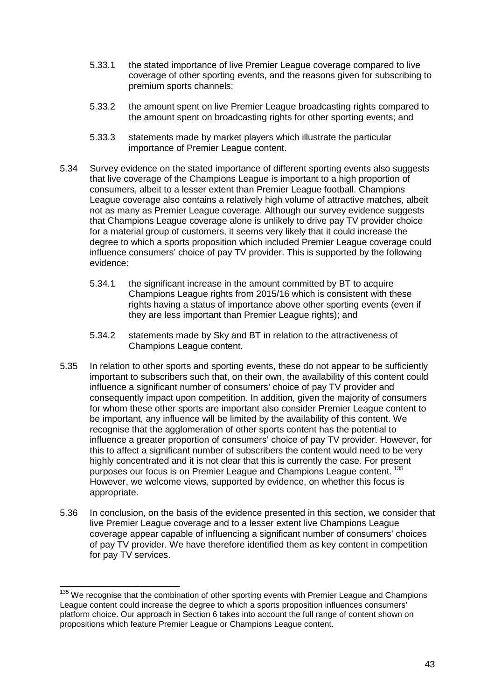- 5.33.1 the stated importance of live Premier League coverage compared to live coverage of other sporting events, and the reasons given for subscribing to premium sports channels;
- 5.33.2 the amount spent on live Premier League broadcasting rights compared to the amount spent on broadcasting rights for other sporting events; and
- 5.33.3 statements made by market players which illustrate the particular importance of Premier League content.
- 5.34 Survey evidence on the stated importance of different sporting events also suggests that live coverage of the Champions League is important to a high proportion of consumers, albeit to a lesser extent than Premier League football. Champions League coverage also contains a relatively high volume of attractive matches, albeit not as many as Premier League coverage. Although our survey evidence suggests that Champions League coverage alone is unlikely to drive pay TV provider choice for a material group of customers, it seems very likely that it could increase the degree to which a sports proposition which included Premier League coverage could influence consumers' choice of pay TV provider. This is supported by the following evidence:
	- 5.34.1 the significant increase in the amount committed by BT to acquire Champions League rights from 2015/16 which is consistent with these rights having a status of importance above other sporting events (even if they are less important than Premier League rights); and
	- 5.34.2 statements made by Sky and BT in relation to the attractiveness of Champions League content.
- 5.35 In relation to other sports and sporting events, these do not appear to be sufficiently important to subscribers such that, on their own, the availability of this content could influence a significant number of consumers' choice of pay TV provider and consequently impact upon competition. In addition, given the majority of consumers for whom these other sports are important also consider Premier League content to be important, any influence will be limited by the availability of this content. We recognise that the agglomeration of other sports content has the potential to influence a greater proportion of consumers' choice of pay TV provider. However, for this to affect a significant number of subscribers the content would need to be very highly concentrated and it is not clear that this is currently the case. For present purposes our focus is on Premier League and Champions League content. [135](#page-43-0) However, we welcome views, supported by evidence, on whether this focus is appropriate.
- 5.36 In conclusion, on the basis of the evidence presented in this section, we consider that live Premier League coverage and to a lesser extent live Champions League coverage appear capable of influencing a significant number of consumers' choices of pay TV provider. We have therefore identified them as key content in competition for pay TV services.

<span id="page-43-0"></span><sup>&</sup>lt;sup>135</sup> We recognise that the combination of other sporting events with Premier League and Champions League content could increase the degree to which a sports proposition influences consumers' platform choice. Our approach in Section 6 takes into account the full range of content shown on propositions which feature Premier League or Champions League content.  $\overline{a}$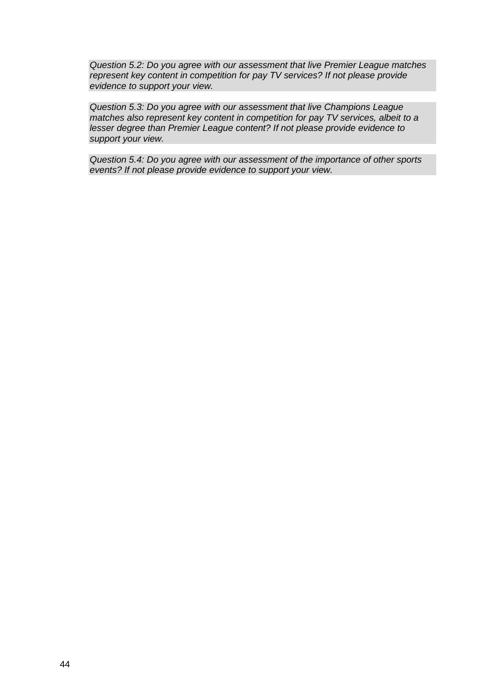*Question 5.2: Do you agree with our assessment that live Premier League matches represent key content in competition for pay TV services? If not please provide evidence to support your view.*

*Question 5.3: Do you agree with our assessment that live Champions League matches also represent key content in competition for pay TV services, albeit to a lesser degree than Premier League content? If not please provide evidence to support your view.*

*Question 5.4: Do you agree with our assessment of the importance of other sports events? If not please provide evidence to support your view.*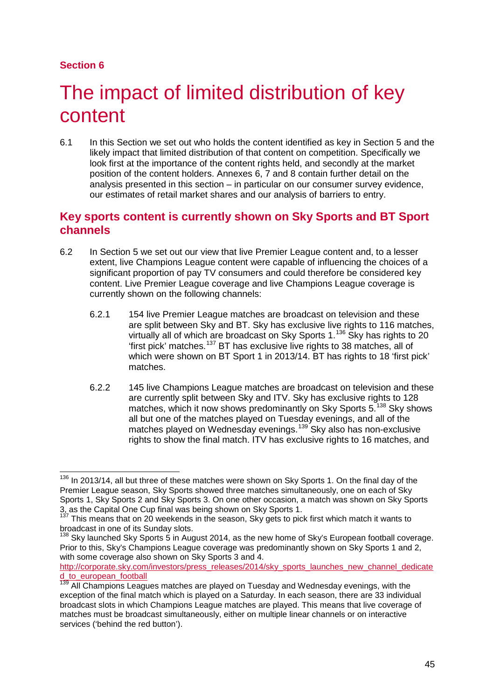# **Section 6**

# The impact of limited distribution of key content

6.1 In this Section we set out who holds the content identified as key in Section 5 and the likely impact that limited distribution of that content on competition. Specifically we look first at the importance of the content rights held, and secondly at the market position of the content holders. Annexes 6, 7 and 8 contain further detail on the analysis presented in this section – in particular on our consumer survey evidence, our estimates of retail market shares and our analysis of barriers to entry.

# **Key sports content is currently shown on Sky Sports and BT Sport channels**

- 6.2 In Section 5 we set out our view that live Premier League content and, to a lesser extent, live Champions League content were capable of influencing the choices of a significant proportion of pay TV consumers and could therefore be considered key content. Live Premier League coverage and live Champions League coverage is currently shown on the following channels:
	- 6.2.1 154 live Premier League matches are broadcast on television and these are split between Sky and BT. Sky has exclusive live rights to 116 matches, virtually all of which are broadcast on Sky Sports 1.[136](#page-45-0) Sky has rights to 20 'first pick' matches.[137](#page-45-1) BT has exclusive live rights to 38 matches, all of which were shown on BT Sport 1 in 2013/14. BT has rights to 18 'first pick' matches.
	- 6.2.2 145 live Champions League matches are broadcast on television and these are currently split between Sky and ITV. Sky has exclusive rights to 128 matches, which it now shows predominantly on Sky Sports 5.<sup>[138](#page-45-2)</sup> Sky shows all but one of the matches played on Tuesday evenings, and all of the matches played on Wednesday evenings.<sup>[139](#page-45-3)</sup> Sky also has non-exclusive rights to show the final match. ITV has exclusive rights to 16 matches, and

<span id="page-45-0"></span> $136$  In 2013/14, all but three of these matches were shown on Sky Sports 1. On the final day of the Premier League season, Sky Sports showed three matches simultaneously, one on each of Sky Sports 1, Sky Sports 2 and Sky Sports 3. On one other occasion, a match was shown on Sky Sports 3, as the Capital One Cup final was being shown on Sky Sports 1.  $\overline{a}$ 

<span id="page-45-1"></span> $137$  This means that on 20 weekends in the season, Sky gets to pick first which match it wants to broadcast in one of its Sunday slots.<br><sup>138</sup> Sky launched Sky Sports 5 in August 2014, as the new home of Sky's European football coverage.

<span id="page-45-2"></span>Prior to this, Sky's Champions League coverage was predominantly shown on Sky Sports 1 and 2, with some coverage also shown on Sky Sports 3 and 4.

[http://corporate.sky.com/investors/press\\_releases/2014/sky\\_sports\\_launches\\_new\\_channel\\_dedicate](http://corporate.sky.com/investors/press_releases/2014/sky_sports_launches_new_channel_dedicated_to_european_football) d to european football

<span id="page-45-3"></span><sup>&</sup>lt;sup>139</sup> All Champions Leagues matches are played on Tuesday and Wednesday evenings, with the exception of the final match which is played on a Saturday. In each season, there are 33 individual broadcast slots in which Champions League matches are played. This means that live coverage of matches must be broadcast simultaneously, either on multiple linear channels or on interactive services ('behind the red button').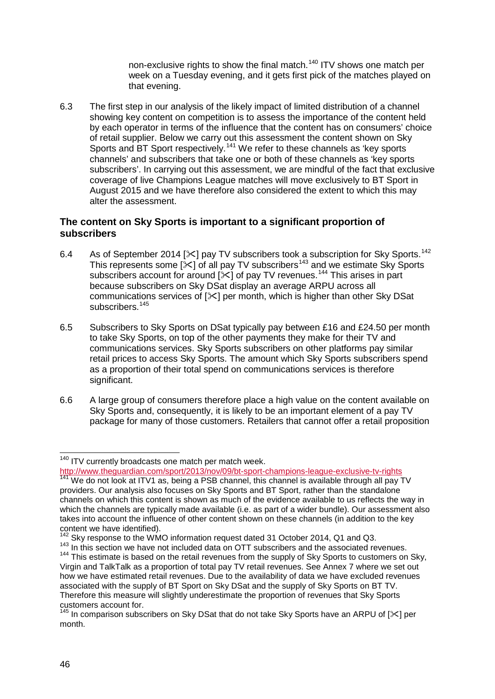non-exclusive rights to show the final match.<sup>[140](#page-46-0)</sup> ITV shows one match per week on a Tuesday evening, and it gets first pick of the matches played on that evening.

6.3 The first step in our analysis of the likely impact of limited distribution of a channel showing key content on competition is to assess the importance of the content held by each operator in terms of the influence that the content has on consumers' choice of retail supplier. Below we carry out this assessment the content shown on Sky Sports and BT Sport respectively.<sup>[141](#page-46-1)</sup> We refer to these channels as 'key sports channels' and subscribers that take one or both of these channels as 'key sports subscribers'. In carrying out this assessment, we are mindful of the fact that exclusive coverage of live Champions League matches will move exclusively to BT Sport in August 2015 and we have therefore also considered the extent to which this may alter the assessment.

# **The content on Sky Sports is important to a significant proportion of subscribers**

- 6.4 As of September 2014 [ $\ll$ ] pay TV subscribers took a subscription for Sky Sports.<sup>[142](#page-46-2)</sup> This represents some [ $\ll$ ] of all pay TV subscribers<sup>[143](#page-46-3)</sup> and we estimate Sky Sports subscribers account for around  $[\times]$  of pay TV revenues.<sup>[144](#page-46-4)</sup> This arises in part because subscribers on Sky DSat display an average ARPU across all communications services of [ $\leq$ ] per month, which is higher than other Sky DSat subscribers.<sup>[145](#page-46-5)</sup>
- 6.5 Subscribers to Sky Sports on DSat typically pay between £16 and £24.50 per month to take Sky Sports, on top of the other payments they make for their TV and communications services. Sky Sports subscribers on other platforms pay similar retail prices to access Sky Sports. The amount which Sky Sports subscribers spend as a proportion of their total spend on communications services is therefore significant.
- 6.6 A large group of consumers therefore place a high value on the content available on Sky Sports and, consequently, it is likely to be an important element of a pay TV package for many of those customers. Retailers that cannot offer a retail proposition

<span id="page-46-0"></span><http://www.theguardian.com/sport/2013/nov/09/bt-sport-champions-league-exclusive-tv-rights> 141 We do not look at ITV1 as, being a PSB channel, this channel is available through all pay TV

<sup>&</sup>lt;sup>140</sup> ITV currently broadcasts one match per match week.  $\overline{a}$ 

<span id="page-46-1"></span>providers. Our analysis also focuses on Sky Sports and BT Sport, rather than the standalone channels on which this content is shown as much of the evidence available to us reflects the way in which the channels are typically made available (i.e. as part of a wider bundle). Our assessment also takes into account the influence of other content shown on these channels (in addition to the key content we have identified).<br><sup>142</sup> Sky response to the WMO information request dated 31 October 2014, Q1 and Q3.

<span id="page-46-4"></span><span id="page-46-3"></span><span id="page-46-2"></span> $143$  In this section we have not included data on OTT subscribers and the associated revenues. <sup>144</sup> This estimate is based on the retail revenues from the supply of Sky Sports to customers on Sky, Virgin and TalkTalk as a proportion of total pay TV retail revenues. See Annex 7 where we set out how we have estimated retail revenues. Due to the availability of data we have excluded revenues associated with the supply of BT Sport on Sky DSat and the supply of Sky Sports on BT TV. Therefore this measure will slightly underestimate the proportion of revenues that Sky Sports customers account for.

<span id="page-46-5"></span><sup>&</sup>lt;sup>145</sup> In comparison subscribers on Sky DSat that do not take Sky Sports have an ARPU of [ $\le$ ] per month.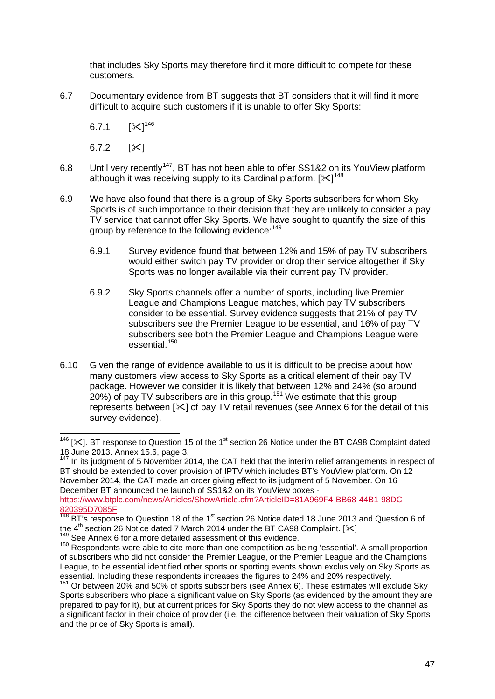that includes Sky Sports may therefore find it more difficult to compete for these customers.

6.7 Documentary evidence from BT suggests that BT considers that it will find it more difficult to acquire such customers if it is unable to offer Sky Sports:

 $6.7.1$  $125^{146}$  $125^{146}$  $125^{146}$ 

6.7.2  $[ $\times$ ]$ 

- 6.8 Until very recently<sup>[147](#page-47-1)</sup>, BT has not been able to offer SS1&2 on its YouView platform although it was receiving supply to its Cardinal platform. [ $\ll$ ]<sup>[148](#page-47-2)</sup>
- 6.9 We have also found that there is a group of Sky Sports subscribers for whom Sky Sports is of such importance to their decision that they are unlikely to consider a pay TV service that cannot offer Sky Sports. We have sought to quantify the size of this group by reference to the following evidence: [149](#page-47-3)
	- 6.9.1 Survey evidence found that between 12% and 15% of pay TV subscribers would either switch pay TV provider or drop their service altogether if Sky Sports was no longer available via their current pay TV provider.
	- 6.9.2 Sky Sports channels offer a number of sports, including live Premier League and Champions League matches, which pay TV subscribers consider to be essential. Survey evidence suggests that 21% of pay TV subscribers see the Premier League to be essential, and 16% of pay TV subscribers see both the Premier League and Champions League were essential.[150](#page-47-4)
- 6.10 Given the range of evidence available to us it is difficult to be precise about how many customers view access to Sky Sports as a critical element of their pay TV package. However we consider it is likely that between 12% and 24% (so around  $20\%$ ) of pay TV subscribers are in this group.<sup>[151](#page-47-5)</sup> We estimate that this group represents between  $[\times]$  of pay TV retail revenues (see Annex 6 for the detail of this survey evidence).

<span id="page-47-0"></span><sup>&</sup>lt;sup>146</sup> [ $\times$ ]. BT response to Question 15 of the 1<sup>st</sup> section 26 Notice under the BT CA98 Complaint dated 18 June 2013. Annex 15.6, page 3.<br><sup>147</sup> In its judgment of 5 November 2014, the CAT held that the interim relief arrangements in respect of  $\overline{a}$ 

<span id="page-47-1"></span>BT should be extended to cover provision of IPTV which includes BT's YouView platform. On 12 November 2014, the CAT made an order giving effect to its judgment of 5 November. On 16 December BT announced the launch of SS1&2 on its YouView boxes [https://www.btplc.com/news/Articles/ShowArticle.cfm?ArticleID=81A969F4-BB68-44B1-98DC-](https://www.btplc.com/news/Articles/ShowArticle.cfm?ArticleID=81A969F4-BB68-44B1-98DC-820395D7085F)[820395D7085F](https://www.btplc.com/news/Articles/ShowArticle.cfm?ArticleID=81A969F4-BB68-44B1-98DC-820395D7085F)

<span id="page-47-2"></span> $148$  BT's response to Question 18 of the 1<sup>st</sup> section 26 Notice dated 18 June 2013 and Question 6 of the 4<sup>th</sup> section 26 Notice dated 7 March 2014 under the BT CA98 Complaint. [ $\times$ ] <sup>149</sup> See Annex 6 for a more detailed assessment of this evidence.

<span id="page-47-4"></span><span id="page-47-3"></span><sup>&</sup>lt;sup>150</sup> Respondents were able to cite more than one competition as being 'essential'. A small proportion of subscribers who did not consider the Premier League, or the Premier League and the Champions League, to be essential identified other sports or sporting events shown exclusively on Sky Sports as essential. Including these respondents increases the figures to 24% and 20% respectively.

<span id="page-47-5"></span> $151$  Or between 20% and 50% of sports subscribers (see Annex 6). These estimates will exclude Sky Sports subscribers who place a significant value on Sky Sports (as evidenced by the amount they are prepared to pay for it), but at current prices for Sky Sports they do not view access to the channel as a significant factor in their choice of provider (i.e. the difference between their valuation of Sky Sports and the price of Sky Sports is small).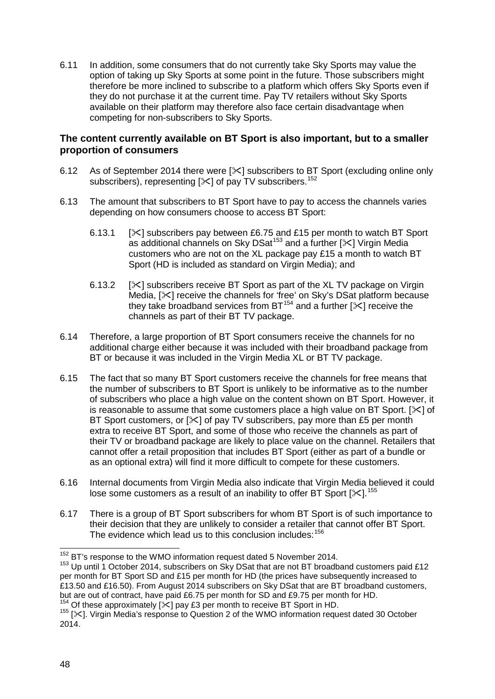6.11 In addition, some consumers that do not currently take Sky Sports may value the option of taking up Sky Sports at some point in the future. Those subscribers might therefore be more inclined to subscribe to a platform which offers Sky Sports even if they do not purchase it at the current time. Pay TV retailers without Sky Sports available on their platform may therefore also face certain disadvantage when competing for non-subscribers to Sky Sports.

## **The content currently available on BT Sport is also important, but to a smaller proportion of consumers**

- 6.12 As of September 2014 there were [ $\ll$ ] subscribers to BT Sport (excluding online only subscribers), representing  $[35]$  of pay TV subscribers.<sup>[152](#page-48-0)</sup>
- 6.13 The amount that subscribers to BT Sport have to pay to access the channels varies depending on how consumers choose to access BT Sport:
	- 6.13.1  $[\times]$  subscribers pay between £6.75 and £15 per month to watch BT Sport as additional channels on Sky DSat<sup>[153](#page-48-1)</sup> and a further  $[\times]$  Virgin Media customers who are not on the XL package pay £15 a month to watch BT Sport (HD is included as standard on Virgin Media); and
	- 6.13.2  $[\times]$  subscribers receive BT Sport as part of the XL TV package on Virgin Media, [ $\ll$ ] receive the channels for 'free' on Sky's DSat platform because they take broadband services from  $BT^{154}$  $BT^{154}$  $BT^{154}$  and a further  $[\times]$  receive the channels as part of their BT TV package.
- 6.14 Therefore, a large proportion of BT Sport consumers receive the channels for no additional charge either because it was included with their broadband package from BT or because it was included in the Virgin Media XL or BT TV package.
- 6.15 The fact that so many BT Sport customers receive the channels for free means that the number of subscribers to BT Sport is unlikely to be informative as to the number of subscribers who place a high value on the content shown on BT Sport. However, it is reasonable to assume that some customers place a high value on BT Sport.  $[\times]$  of BT Sport customers, or  $[\times]$  of pay TV subscribers, pay more than £5 per month extra to receive BT Sport, and some of those who receive the channels as part of their TV or broadband package are likely to place value on the channel. Retailers that cannot offer a retail proposition that includes BT Sport (either as part of a bundle or as an optional extra) will find it more difficult to compete for these customers.
- 6.16 Internal documents from Virgin Media also indicate that Virgin Media believed it could lose some customers as a result of an inability to offer BT Sport [ $\ll$ ].<sup>[155](#page-48-3)</sup>
- 6.17 There is a group of BT Sport subscribers for whom BT Sport is of such importance to their decision that they are unlikely to consider a retailer that cannot offer BT Sport. The evidence which lead us to this conclusion includes:<sup>[156](#page-48-4)</sup>

<sup>&</sup>lt;sup>152</sup> BT's response to the WMO information request dated 5 November 2014.

<span id="page-48-4"></span><span id="page-48-1"></span><span id="page-48-0"></span> $153$  Up until 1 October 2014, subscribers on Sky DSat that are not BT broadband customers paid £12 per month for BT Sport SD and £15 per month for HD (the prices have subsequently increased to £13.50 and £16.50). From August 2014 subscribers on Sky DSat that are BT broadband customers, but are out of contract, have paid £6.75 per month for SD and £9.75 per month for HD.<br><sup>154</sup> Of these approximately [ $\le$ ] pay £3 per month to receive BT Sport in HD.

<span id="page-48-3"></span><span id="page-48-2"></span> $155$  [ $\ll$ ]. Virgin Media's response to Question 2 of the WMO information request dated 30 October 2014.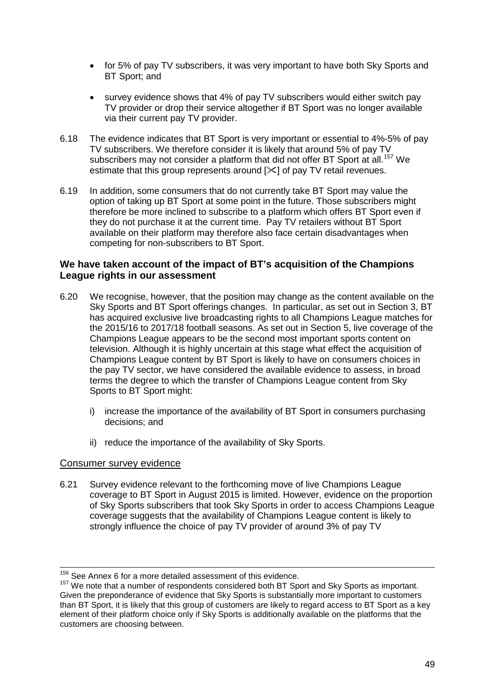- for 5% of pay TV subscribers, it was very important to have both Sky Sports and BT Sport; and
- survey evidence shows that 4% of pay TV subscribers would either switch pay TV provider or drop their service altogether if BT Sport was no longer available via their current pay TV provider.
- 6.18 The evidence indicates that BT Sport is very important or essential to 4%-5% of pay TV subscribers. We therefore consider it is likely that around 5% of pay TV subscribers may not consider a platform that did not offer BT Sport at all.<sup>[157](#page-49-0)</sup> We estimate that this group represents around  $[\times]$  of pay TV retail revenues.
- 6.19 In addition, some consumers that do not currently take BT Sport may value the option of taking up BT Sport at some point in the future. Those subscribers might therefore be more inclined to subscribe to a platform which offers BT Sport even if they do not purchase it at the current time. Pay TV retailers without BT Sport available on their platform may therefore also face certain disadvantages when competing for non-subscribers to BT Sport.

## **We have taken account of the impact of BT's acquisition of the Champions League rights in our assessment**

- 6.20 We recognise, however, that the position may change as the content available on the Sky Sports and BT Sport offerings changes. In particular, as set out in Section 3, BT has acquired exclusive live broadcasting rights to all Champions League matches for the 2015/16 to 2017/18 football seasons. As set out in Section 5, live coverage of the Champions League appears to be the second most important sports content on television. Although it is highly uncertain at this stage what effect the acquisition of Champions League content by BT Sport is likely to have on consumers choices in the pay TV sector, we have considered the available evidence to assess, in broad terms the degree to which the transfer of Champions League content from Sky Sports to BT Sport might:
	- i) increase the importance of the availability of BT Sport in consumers purchasing decisions; and
	- ii) reduce the importance of the availability of Sky Sports.

# Consumer survey evidence

6.21 Survey evidence relevant to the forthcoming move of live Champions League coverage to BT Sport in August 2015 is limited. However, evidence on the proportion of Sky Sports subscribers that took Sky Sports in order to access Champions League coverage suggests that the availability of Champions League content is likely to strongly influence the choice of pay TV provider of around 3% of pay TV

 $156$  See Annex 6 for a more detailed assessment of this evidence.  $\overline{a}$ 

<span id="page-49-0"></span> $157$  We note that a number of respondents considered both BT Sport and Sky Sports as important. Given the preponderance of evidence that Sky Sports is substantially more important to customers than BT Sport, it is likely that this group of customers are likely to regard access to BT Sport as a key element of their platform choice only if Sky Sports is additionally available on the platforms that the customers are choosing between.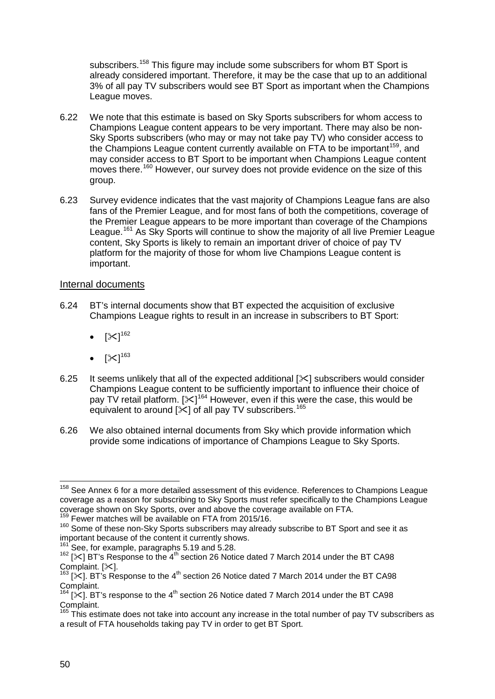subscribers.<sup>[158](#page-50-0)</sup> This figure may include some subscribers for whom BT Sport is already considered important. Therefore, it may be the case that up to an additional 3% of all pay TV subscribers would see BT Sport as important when the Champions League moves.

- 6.22 We note that this estimate is based on Sky Sports subscribers for whom access to Champions League content appears to be very important. There may also be non-Sky Sports subscribers (who may or may not take pay TV) who consider access to the Champions League content currently available on FTA to be important<sup>[159](#page-50-1)</sup>, and may consider access to BT Sport to be important when Champions League content moves there.<sup>[160](#page-50-2)</sup> However, our survey does not provide evidence on the size of this group.
- 6.23 Survey evidence indicates that the vast majority of Champions League fans are also fans of the Premier League, and for most fans of both the competitions, coverage of the Premier League appears to be more important than coverage of the Champions League.<sup>[161](#page-50-3)</sup> As Sky Sports will continue to show the majority of all live Premier League content, Sky Sports is likely to remain an important driver of choice of pay TV platform for the majority of those for whom live Champions League content is important.

## Internal documents

- 6.24 BT's internal documents show that BT expected the acquisition of exclusive Champions League rights to result in an increase in subscribers to BT Sport:
	- $\bullet \quad [\divideontimes]^{162}$  $\bullet \quad [\divideontimes]^{162}$  $\bullet \quad [\divideontimes]^{162}$
	- $\bullet \quad [\divideontimes]^{163}$  $\bullet \quad [\divideontimes]^{163}$  $\bullet \quad [\divideontimes]^{163}$
- 6.25 It seems unlikely that all of the expected additional  $[\times]$  subscribers would consider Champions League content to be sufficiently important to influence their choice of pay TV retail platform.  $[\mathbb{X}]^{164}$  $[\mathbb{X}]^{164}$  $[\mathbb{X}]^{164}$  However, even if this were the case, this would be equivalent to around  $[\times]$  of all pay TV subscribers.<sup>[165](#page-50-7)</sup>
- 6.26 We also obtained internal documents from Sky which provide information which provide some indications of importance of Champions League to Sky Sports.

<span id="page-50-0"></span><sup>&</sup>lt;sup>158</sup> See Annex 6 for a more detailed assessment of this evidence. References to Champions League coverage as a reason for subscribing to Sky Sports must refer specifically to the Champions League coverage shown on Sky Sports, over and above the coverage available on FTA. <sup>159</sup> Fewer matches will be available on FTA from 2015/16.  $\overline{a}$ 

<span id="page-50-2"></span><span id="page-50-1"></span><sup>&</sup>lt;sup>160</sup> Some of these non-Sky Sports subscribers may already subscribe to BT Sport and see it as important because of the content it currently shows.

 $161$  See, for example, paragraphs 5.19 and 5.28.

<span id="page-50-4"></span><span id="page-50-3"></span> $162$  [ $\times$ ] BT's Response to the 4<sup>th</sup> section 26 Notice dated 7 March 2014 under the BT CA98 Complaint. [ $\times$ ].<br><sup>163</sup> [ $\times$ ]. BT's Response to the 4<sup>th</sup> section 26 Notice dated 7 March 2014 under the BT CA98

<span id="page-50-6"></span><span id="page-50-5"></span>Complaint.<br><sup>164</sup> [ $\times$ ]. BT's response to the 4<sup>th</sup> section 26 Notice dated 7 March 2014 under the BT CA98<br>Complaint.

<span id="page-50-7"></span> $165$  This estimate does not take into account any increase in the total number of pay TV subscribers as a result of FTA households taking pay TV in order to get BT Sport.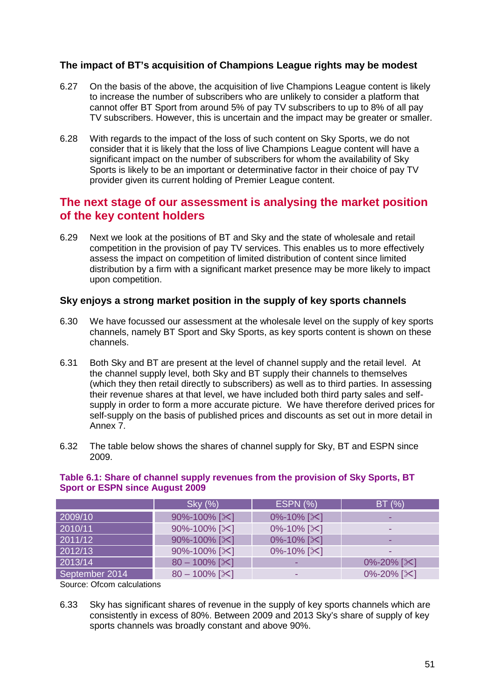# **The impact of BT's acquisition of Champions League rights may be modest**

- 6.27 On the basis of the above, the acquisition of live Champions League content is likely to increase the number of subscribers who are unlikely to consider a platform that cannot offer BT Sport from around 5% of pay TV subscribers to up to 8% of all pay TV subscribers. However, this is uncertain and the impact may be greater or smaller.
- 6.28 With regards to the impact of the loss of such content on Sky Sports, we do not consider that it is likely that the loss of live Champions League content will have a significant impact on the number of subscribers for whom the availability of Sky Sports is likely to be an important or determinative factor in their choice of pay TV provider given its current holding of Premier League content.

# **The next stage of our assessment is analysing the market position of the key content holders**

6.29 Next we look at the positions of BT and Sky and the state of wholesale and retail competition in the provision of pay TV services. This enables us to more effectively assess the impact on competition of limited distribution of content since limited distribution by a firm with a significant market presence may be more likely to impact upon competition.

# **Sky enjoys a strong market position in the supply of key sports channels**

- 6.30 We have focussed our assessment at the wholesale level on the supply of key sports channels, namely BT Sport and Sky Sports, as key sports content is shown on these channels.
- 6.31 Both Sky and BT are present at the level of channel supply and the retail level. At the channel supply level, both Sky and BT supply their channels to themselves (which they then retail directly to subscribers) as well as to third parties. In assessing their revenue shares at that level, we have included both third party sales and selfsupply in order to form a more accurate picture. We have therefore derived prices for self-supply on the basis of published prices and discounts as set out in more detail in Annex 7.
- 6.32 The table below shows the shares of channel supply for Sky, BT and ESPN since 2009.

#### **Table 6.1: Share of channel supply revenues from the provision of Sky Sports, BT Sport or ESPN since August 2009**

|                | Sky (%)               | <b>ESPN (%)</b>           | BT(%)                     |  |
|----------------|-----------------------|---------------------------|---------------------------|--|
| 2009/10        | 90%-100% [ $\&$ ]     | $0\% - 10\%$ [ $\times$ ] |                           |  |
| 2010/11        | 90%-100% [ $\times$ ] | $0\% - 10\%$ [ $\times$ ] | -                         |  |
| 2011/12        | 90%-100% [ $\&$ ]     | $0\% - 10\%$ [ $\times$ ] | -                         |  |
| 2012/13        | 90%-100% [ $\times$ ] | $0\% - 10\%$ [ $\times$ ] |                           |  |
| 2013/14        | $80 - 100\%$ [ $\&$ ] |                           | $0\% - 20\%$ [ $\times$ ] |  |
| September 2014 | $80 - 100\%$ [ $\&$ ] | -                         | 0%-20% [ $\times$ ]       |  |

Source: Ofcom calculations

6.33 Sky has significant shares of revenue in the supply of key sports channels which are consistently in excess of 80%. Between 2009 and 2013 Sky's share of supply of key sports channels was broadly constant and above 90%.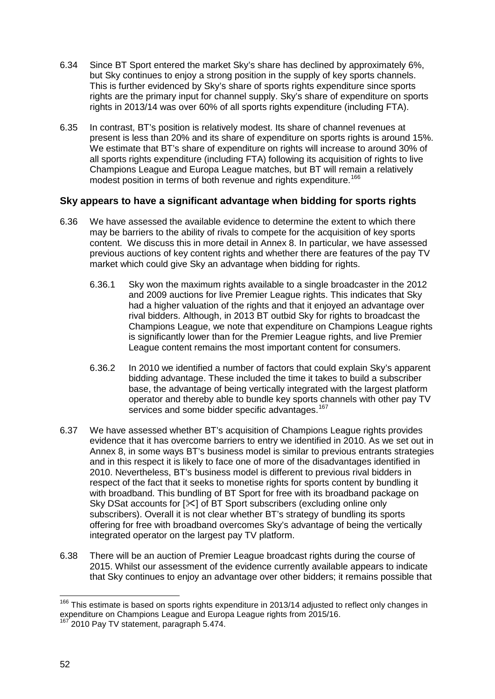- 6.34 Since BT Sport entered the market Sky's share has declined by approximately 6%, but Sky continues to enjoy a strong position in the supply of key sports channels. This is further evidenced by Sky's share of sports rights expenditure since sports rights are the primary input for channel supply. Sky's share of expenditure on sports rights in 2013/14 was over 60% of all sports rights expenditure (including FTA).
- 6.35 In contrast, BT's position is relatively modest. Its share of channel revenues at present is less than 20% and its share of expenditure on sports rights is around 15%. We estimate that BT's share of expenditure on rights will increase to around 30% of all sports rights expenditure (including FTA) following its acquisition of rights to live Champions League and Europa League matches, but BT will remain a relatively modest position in terms of both revenue and rights expenditure.<sup>[166](#page-52-0)</sup>

# **Sky appears to have a significant advantage when bidding for sports rights**

- 6.36 We have assessed the available evidence to determine the extent to which there may be barriers to the ability of rivals to compete for the acquisition of key sports content. We discuss this in more detail in Annex 8. In particular, we have assessed previous auctions of key content rights and whether there are features of the pay TV market which could give Sky an advantage when bidding for rights.
	- 6.36.1 Sky won the maximum rights available to a single broadcaster in the 2012 and 2009 auctions for live Premier League rights. This indicates that Sky had a higher valuation of the rights and that it enjoyed an advantage over rival bidders. Although, in 2013 BT outbid Sky for rights to broadcast the Champions League, we note that expenditure on Champions League rights is significantly lower than for the Premier League rights, and live Premier League content remains the most important content for consumers.
	- 6.36.2 In 2010 we identified a number of factors that could explain Sky's apparent bidding advantage. These included the time it takes to build a subscriber base, the advantage of being vertically integrated with the largest platform operator and thereby able to bundle key sports channels with other pay TV services and some bidder specific advantages.<sup>[167](#page-52-1)</sup>
- 6.37 We have assessed whether BT's acquisition of Champions League rights provides evidence that it has overcome barriers to entry we identified in 2010. As we set out in Annex 8, in some ways BT's business model is similar to previous entrants strategies and in this respect it is likely to face one of more of the disadvantages identified in 2010. Nevertheless, BT's business model is different to previous rival bidders in respect of the fact that it seeks to monetise rights for sports content by bundling it with broadband. This bundling of BT Sport for free with its broadband package on Sky DSat accounts for  $[\times]$  of BT Sport subscribers (excluding online only subscribers). Overall it is not clear whether BT's strategy of bundling its sports offering for free with broadband overcomes Sky's advantage of being the vertically integrated operator on the largest pay TV platform.
- 6.38 There will be an auction of Premier League broadcast rights during the course of 2015. Whilst our assessment of the evidence currently available appears to indicate that Sky continues to enjoy an advantage over other bidders; it remains possible that

<span id="page-52-0"></span><sup>&</sup>lt;sup>166</sup> This estimate is based on sports rights expenditure in 2013/14 adjusted to reflect only changes in expenditure on Champions League and Europa League rights from 2015/16.  $\overline{a}$ 

<span id="page-52-1"></span> $12010$  Pay TV statement, paragraph 5.474.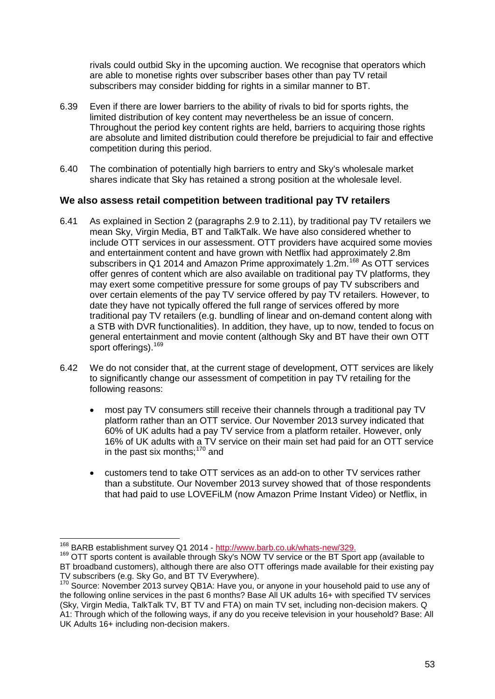rivals could outbid Sky in the upcoming auction. We recognise that operators which are able to monetise rights over subscriber bases other than pay TV retail subscribers may consider bidding for rights in a similar manner to BT.

- 6.39 Even if there are lower barriers to the ability of rivals to bid for sports rights, the limited distribution of key content may nevertheless be an issue of concern. Throughout the period key content rights are held, barriers to acquiring those rights are absolute and limited distribution could therefore be prejudicial to fair and effective competition during this period.
- 6.40 The combination of potentially high barriers to entry and Sky's wholesale market shares indicate that Sky has retained a strong position at the wholesale level.

# **We also assess retail competition between traditional pay TV retailers**

- 6.41 As explained in Section 2 (paragraphs 2.9 to 2.11), by traditional pay TV retailers we mean Sky, Virgin Media, BT and TalkTalk. We have also considered whether to include OTT services in our assessment. OTT providers have acquired some movies and entertainment content and have grown with Netflix had approximately 2.8m subscribers in Q1 2014 and Amazon Prime approximately 1.2m.<sup>[168](#page-53-0)</sup> As OTT services offer genres of content which are also available on traditional pay TV platforms, they may exert some competitive pressure for some groups of pay TV subscribers and over certain elements of the pay TV service offered by pay TV retailers. However, to date they have not typically offered the full range of services offered by more traditional pay TV retailers (e.g. bundling of linear and on-demand content along with a STB with DVR functionalities). In addition, they have, up to now, tended to focus on general entertainment and movie content (although Sky and BT have their own OTT sport offerings).<sup>[169](#page-53-1)</sup>
- 6.42 We do not consider that, at the current stage of development, OTT services are likely to significantly change our assessment of competition in pay TV retailing for the following reasons:
	- most pay TV consumers still receive their channels through a traditional pay TV platform rather than an OTT service. Our November 2013 survey indicated that 60% of UK adults had a pay TV service from a platform retailer. However, only 16% of UK adults with a TV service on their main set had paid for an OTT service in the past six months;<sup>[170](#page-53-2)</sup> and
	- customers tend to take OTT services as an add-on to other TV services rather than a substitute. Our November 2013 survey showed that of those respondents that had paid to use LOVEFiLM (now Amazon Prime Instant Video) or Netflix, in

<sup>&</sup>lt;sup>168</sup> BARB establishment survey Q1 2014 - http://www.barb.co.uk/whats-new/329.

<span id="page-53-1"></span><span id="page-53-0"></span><sup>&</sup>lt;sup>169</sup> OTT sports content is available through Sky's NOW TV service or the BT Sport app (available to BT broadband customers), although there are also OTT offerings made available for their existing pay TV subscribers (e.g. Sky Go, and BT TV Everywhere).

<span id="page-53-2"></span>TV subscribers (e.g. Sky Go, and BT TV Everymore).<br><sup>170</sup> Source: November 2013 survey QB1A: Have you, or anyone in your household paid to use any of the following online services in the past 6 months? Base All UK adults 16+ with specified TV services (Sky, Virgin Media, TalkTalk TV, BT TV and FTA) on main TV set, including non-decision makers. Q A1: Through which of the following ways, if any do you receive television in your household? Base: All UK Adults 16+ including non-decision makers.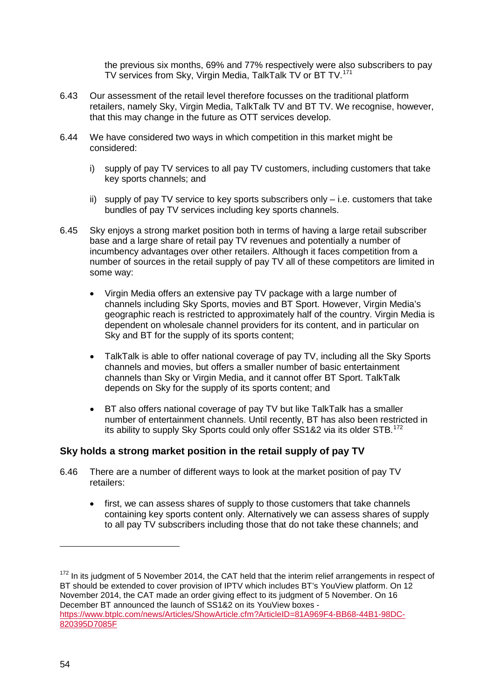the previous six months, 69% and 77% respectively were also subscribers to pay TV services from Sky, Virgin Media, TalkTalk TV or BT TV. [171](#page-54-0)

- 6.43 Our assessment of the retail level therefore focusses on the traditional platform retailers, namely Sky, Virgin Media, TalkTalk TV and BT TV. We recognise, however, that this may change in the future as OTT services develop.
- 6.44 We have considered two ways in which competition in this market might be considered:
	- i) supply of pay TV services to all pay TV customers, including customers that take key sports channels; and
	- ii) supply of pay TV service to key sports subscribers only i.e. customers that take bundles of pay TV services including key sports channels.
- 6.45 Sky enjoys a strong market position both in terms of having a large retail subscriber base and a large share of retail pay TV revenues and potentially a number of incumbency advantages over other retailers. Although it faces competition from a number of sources in the retail supply of pay TV all of these competitors are limited in some way:
	- Virgin Media offers an extensive pay TV package with a large number of channels including Sky Sports, movies and BT Sport. However, Virgin Media's geographic reach is restricted to approximately half of the country. Virgin Media is dependent on wholesale channel providers for its content, and in particular on Sky and BT for the supply of its sports content;
	- TalkTalk is able to offer national coverage of pay TV, including all the Sky Sports channels and movies, but offers a smaller number of basic entertainment channels than Sky or Virgin Media, and it cannot offer BT Sport. TalkTalk depends on Sky for the supply of its sports content; and
	- BT also offers national coverage of pay TV but like TalkTalk has a smaller number of entertainment channels. Until recently, BT has also been restricted in its ability to supply Sky Sports could only offer SS1&2 via its older STB.<sup>[172](#page-54-1)</sup>

# **Sky holds a strong market position in the retail supply of pay TV**

- 6.46 There are a number of different ways to look at the market position of pay TV retailers:
	- first, we can assess shares of supply to those customers that take channels containing key sports content only. Alternatively we can assess shares of supply to all pay TV subscribers including those that do not take these channels; and

-

<span id="page-54-1"></span><span id="page-54-0"></span> $172$  In its judgment of 5 November 2014, the CAT held that the interim relief arrangements in respect of BT should be extended to cover provision of IPTV which includes BT's YouView platform. On 12 November 2014, the CAT made an order giving effect to its judgment of 5 November. On 16 December BT announced the launch of SS1&2 on its YouView boxes [https://www.btplc.com/news/Articles/ShowArticle.cfm?ArticleID=81A969F4-BB68-44B1-98DC-](https://www.btplc.com/news/Articles/ShowArticle.cfm?ArticleID=81A969F4-BB68-44B1-98DC-820395D7085F)[820395D7085F](https://www.btplc.com/news/Articles/ShowArticle.cfm?ArticleID=81A969F4-BB68-44B1-98DC-820395D7085F)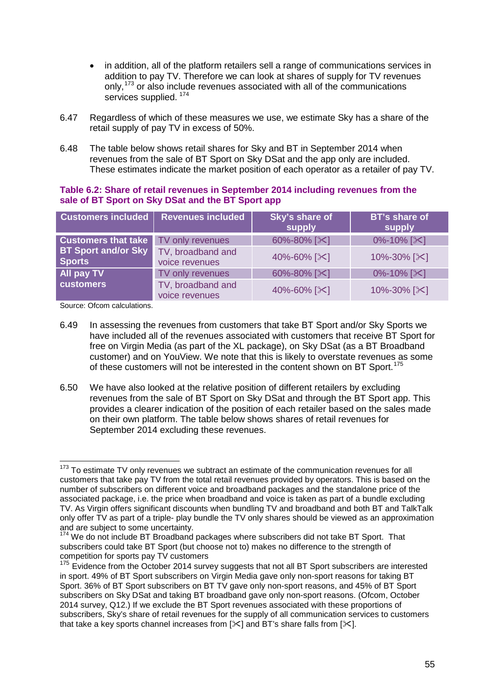- in addition, all of the platform retailers sell a range of communications services in addition to pay TV. Therefore we can look at shares of supply for TV revenues only,<sup>[173](#page-55-0)</sup> or also include revenues associated with all of the communications services supplied.<sup>[174](#page-55-1)</sup>
- 6.47 Regardless of which of these measures we use, we estimate Sky has a share of the retail supply of pay TV in excess of 50%.
- 6.48 The table below shows retail shares for Sky and BT in September 2014 when revenues from the sale of BT Sport on Sky DSat and the app only are included. These estimates indicate the market position of each operator as a retailer of pay TV.

#### **Table 6.2: Share of retail revenues in September 2014 including revenues from the sale of BT Sport on Sky DSat and the BT Sport app**

| <b>Customers included</b>                   | <b>Revenues included</b>            | Sky's share of<br>supply | <b>BT's share of</b><br>supply |
|---------------------------------------------|-------------------------------------|--------------------------|--------------------------------|
| <b>Customers that take</b> TV only revenues |                                     | 60%-80% [ $\times$ ]     | 0%-10% [ $\times$ ]            |
| <b>BT Sport and/or Sky</b><br><b>Sports</b> | TV, broadband and<br>voice revenues | 40%-60% [ $\approx$ ]    | 10%-30% [ $\&$ ]               |
| All pay TV                                  | TV only revenues                    | 60%-80% [ $\times$ ]     | $0\% - 10\%$ [ $\times$ ]      |
| <b>customers</b>                            | TV, broadband and<br>voice revenues | 40%-60% [ $\approx$ ]    | 10%-30% [ $\mathbb{X}$ ]       |

Source: Ofcom calculations.

- 6.49 In assessing the revenues from customers that take BT Sport and/or Sky Sports we have included all of the revenues associated with customers that receive BT Sport for free on Virgin Media (as part of the XL package), on Sky DSat (as a BT Broadband customer) and on YouView. We note that this is likely to overstate revenues as some of these customers will not be interested in the content shown on BT Sport.<sup>[175](#page-55-2)</sup>
- 6.50 We have also looked at the relative position of different retailers by excluding revenues from the sale of BT Sport on Sky DSat and through the BT Sport app. This provides a clearer indication of the position of each retailer based on the sales made on their own platform. The table below shows shares of retail revenues for September 2014 excluding these revenues.

<span id="page-55-0"></span> $173$  To estimate TV only revenues we subtract an estimate of the communication revenues for all customers that take pay TV from the total retail revenues provided by operators. This is based on the number of subscribers on different voice and broadband packages and the standalone price of the associated package, i.e. the price when broadband and voice is taken as part of a bundle excluding TV. As Virgin offers significant discounts when bundling TV and broadband and both BT and TalkTalk only offer TV as part of a triple- play bundle the TV only shares should be viewed as an approximation and are subject to some uncertainty.  $\overline{a}$ 

<span id="page-55-1"></span><sup>&</sup>lt;sup>174</sup> We do not include BT Broadband packages where subscribers did not take BT Sport. That subscribers could take BT Sport (but choose not to) makes no difference to the strength of competition for sports pay TV customers

<span id="page-55-2"></span><sup>&</sup>lt;sup>175</sup> Evidence from the October 2014 survey suggests that not all BT Sport subscribers are interested in sport. 49% of BT Sport subscribers on Virgin Media gave only non-sport reasons for taking BT Sport. 36% of BT Sport subscribers on BT TV gave only non-sport reasons, and 45% of BT Sport subscribers on Sky DSat and taking BT broadband gave only non-sport reasons. (Ofcom, October 2014 survey, Q12.) If we exclude the BT Sport revenues associated with these proportions of subscribers, Sky's share of retail revenues for the supply of all communication services to customers that take a key sports channel increases from  $[\times]$  and BT's share falls from  $[\times]$ .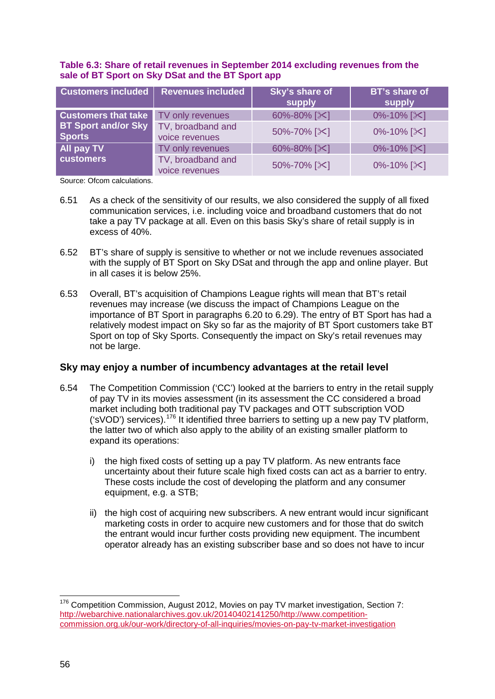#### **Table 6.3: Share of retail revenues in September 2014 excluding revenues from the sale of BT Sport on Sky DSat and the BT Sport app**

| <b>Customers included</b>                   | <b>Revenues included</b>            | Sky's share of<br>supply | <b>BT's share of</b><br>supply |
|---------------------------------------------|-------------------------------------|--------------------------|--------------------------------|
| <b>Customers that take</b>                  | TV only revenues                    | 60%-80% [ $\times$ ]     | 0%-10% [ $\mathsf{\times}$ ]   |
| <b>BT Sport and/or Sky</b><br><b>Sports</b> | TV, broadband and<br>voice revenues | 50%-70% [ $\&$ ]         | $0\% - 10\%$ [ $\times$ ]      |
| All pay TV                                  | TV only revenues                    | 60%-80% [ $\approx$ ]    | 0%-10% [ $\mathsf{X}$ ]        |
| <b>customers</b>                            | TV, broadband and<br>voice revenues | 50%-70% [ $\&$ ]         | $0\% - 10\%$ [ $\times$ ]      |

Source: Ofcom calculations.

- 6.51 As a check of the sensitivity of our results, we also considered the supply of all fixed communication services, i.e. including voice and broadband customers that do not take a pay TV package at all. Even on this basis Sky's share of retail supply is in excess of 40%.
- 6.52 BT's share of supply is sensitive to whether or not we include revenues associated with the supply of BT Sport on Sky DSat and through the app and online player. But in all cases it is below 25%.
- 6.53 Overall, BT's acquisition of Champions League rights will mean that BT's retail revenues may increase (we discuss the impact of Champions League on the importance of BT Sport in paragraphs 6.20 to 6.29). The entry of BT Sport has had a relatively modest impact on Sky so far as the majority of BT Sport customers take BT Sport on top of Sky Sports. Consequently the impact on Sky's retail revenues may not be large.

# **Sky may enjoy a number of incumbency advantages at the retail level**

- 6.54 The Competition Commission ('CC') looked at the barriers to entry in the retail supply of pay TV in its movies assessment (in its assessment the CC considered a broad market including both traditional pay TV packages and OTT subscription VOD ('sVOD') services).[176](#page-56-0) It identified three barriers to setting up a new pay TV platform, the latter two of which also apply to the ability of an existing smaller platform to expand its operations:
	- i) the high fixed costs of setting up a pay TV platform. As new entrants face uncertainty about their future scale high fixed costs can act as a barrier to entry. These costs include the cost of developing the platform and any consumer equipment, e.g. a STB;
	- ii) the high cost of acquiring new subscribers. A new entrant would incur significant marketing costs in order to acquire new customers and for those that do switch the entrant would incur further costs providing new equipment. The incumbent operator already has an existing subscriber base and so does not have to incur

<span id="page-56-0"></span> $176$  Competition Commission, August 2012, Movies on pay TV market investigation, Section 7: [http://webarchive.nationalarchives.gov.uk/20140402141250/http://www.competition](http://webarchive.nationalarchives.gov.uk/20140402141250/http:/www.competition-commission.org.uk/our-work/directory-of-all-inquiries/movies-on-pay-tv-market-investigation)[commission.org.uk/our-work/directory-of-all-inquiries/movies-on-pay-tv-market-investigation](http://webarchive.nationalarchives.gov.uk/20140402141250/http:/www.competition-commission.org.uk/our-work/directory-of-all-inquiries/movies-on-pay-tv-market-investigation)  $\overline{a}$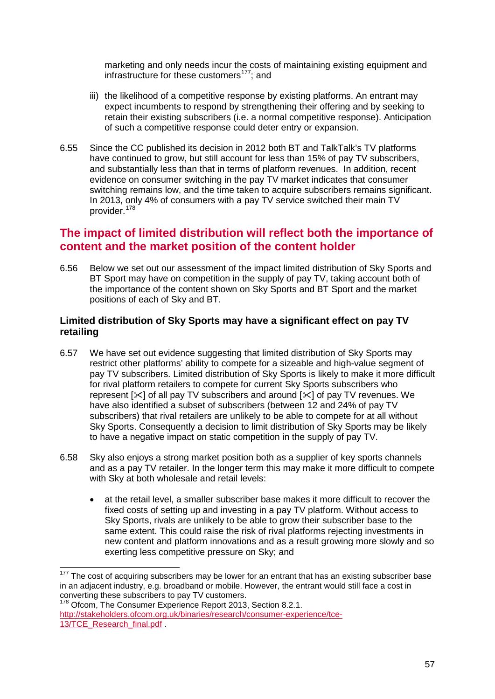marketing and only needs incur the costs of maintaining existing equipment and infrastructure for these customers<sup>177</sup>; and

- iii) the likelihood of a competitive response by existing platforms. An entrant may expect incumbents to respond by strengthening their offering and by seeking to retain their existing subscribers (i.e. a normal competitive response). Anticipation of such a competitive response could deter entry or expansion.
- 6.55 Since the CC published its decision in 2012 both BT and TalkTalk's TV platforms have continued to grow, but still account for less than 15% of pay TV subscribers, and substantially less than that in terms of platform revenues. In addition, recent evidence on consumer switching in the pay TV market indicates that consumer switching remains low, and the time taken to acquire subscribers remains significant. In 2013, only 4% of consumers with a pay TV service switched their main TV provider. [178](#page-57-1)

# **The impact of limited distribution will reflect both the importance of content and the market position of the content holder**

6.56 Below we set out our assessment of the impact limited distribution of Sky Sports and BT Sport may have on competition in the supply of pay TV, taking account both of the importance of the content shown on Sky Sports and BT Sport and the market positions of each of Sky and BT.

## **Limited distribution of Sky Sports may have a significant effect on pay TV retailing**

- 6.57 We have set out evidence suggesting that limited distribution of Sky Sports may restrict other platforms' ability to compete for a sizeable and high-value segment of pay TV subscribers. Limited distribution of Sky Sports is likely to make it more difficult for rival platform retailers to compete for current Sky Sports subscribers who represent  $[\times]$  of all pay TV subscribers and around  $[\times]$  of pay TV revenues. We have also identified a subset of subscribers (between 12 and 24% of pay TV subscribers) that rival retailers are unlikely to be able to compete for at all without Sky Sports. Consequently a decision to limit distribution of Sky Sports may be likely to have a negative impact on static competition in the supply of pay TV.
- 6.58 Sky also enjoys a strong market position both as a supplier of key sports channels and as a pay TV retailer. In the longer term this may make it more difficult to compete with Sky at both wholesale and retail levels:
	- at the retail level, a smaller subscriber base makes it more difficult to recover the fixed costs of setting up and investing in a pay TV platform. Without access to Sky Sports, rivals are unlikely to be able to grow their subscriber base to the same extent. This could raise the risk of rival platforms rejecting investments in new content and platform innovations and as a result growing more slowly and so exerting less competitive pressure on Sky; and

<span id="page-57-1"></span><sup>178</sup> Ofcom, The Consumer Experience Report 2013, Section 8.2.1. [http://stakeholders.ofcom.org.uk/binaries/research/consumer-experience/tce-](http://stakeholders.ofcom.org.uk/binaries/research/consumer-experience/tce-13/TCE_Research_final.pdf)[13/TCE\\_Research\\_final.pdf](http://stakeholders.ofcom.org.uk/binaries/research/consumer-experience/tce-13/TCE_Research_final.pdf)

<span id="page-57-0"></span> $177$  The cost of acquiring subscribers may be lower for an entrant that has an existing subscriber base in an adjacent industry, e.g. broadband or mobile. However, the entrant would still face a cost in converting these subscribers to pay TV customers.  $\overline{a}$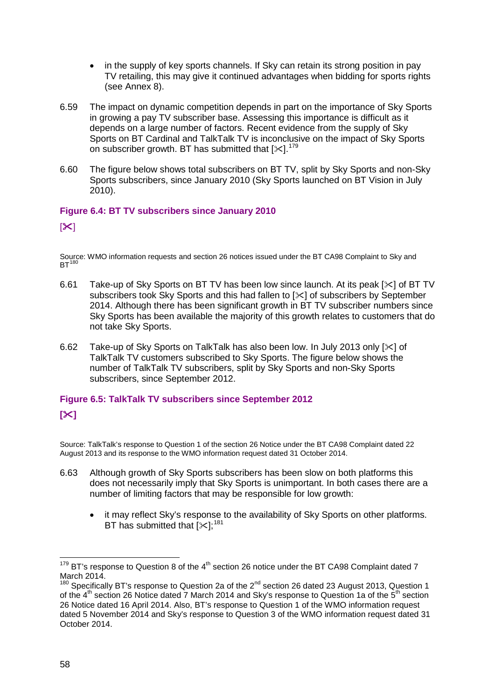- in the supply of key sports channels. If Sky can retain its strong position in pay TV retailing, this may give it continued advantages when bidding for sports rights (see Annex 8).
- 6.59 The impact on dynamic competition depends in part on the importance of Sky Sports in growing a pay TV subscriber base. Assessing this importance is difficult as it depends on a large number of factors. Recent evidence from the supply of Sky Sports on BT Cardinal and TalkTalk TV is inconclusive on the impact of Sky Sports on subscriber growth. BT has submitted that  $[35]$ .<sup>[179](#page-58-0)</sup>
- 6.60 The figure below shows total subscribers on BT TV, split by Sky Sports and non-Sky Sports subscribers, since January 2010 (Sky Sports launched on BT Vision in July 2010).

## **Figure 6.4: BT TV subscribers since January 2010**

## $[\mathsf{X}]$

Source: WMO information requests and section 26 notices issued under the BT CA98 Complaint to Sky and  $BT^{180}$  $BT^{180}$  $BT^{180}$ 

- 6.61 Take-up of Sky Sports on BT TV has been low since launch. At its peak  $[\times]$  of BT TV subscribers took Sky Sports and this had fallen to  $[\times]$  of subscribers by September 2014. Although there has been significant growth in BT TV subscriber numbers since Sky Sports has been available the majority of this growth relates to customers that do not take Sky Sports.
- 6.62 Take-up of Sky Sports on TalkTalk has also been low. In July 2013 only  $[\times]$  of TalkTalk TV customers subscribed to Sky Sports. The figure below shows the number of TalkTalk TV subscribers, split by Sky Sports and non-Sky Sports subscribers, since September 2012.

# **Figure 6.5: TalkTalk TV subscribers since September 2012 []**

Source: TalkTalk's response to Question 1 of the section 26 Notice under the BT CA98 Complaint dated 22 August 2013 and its response to the WMO information request dated 31 October 2014.

- 6.63 Although growth of Sky Sports subscribers has been slow on both platforms this does not necessarily imply that Sky Sports is unimportant. In both cases there are a number of limiting factors that may be responsible for low growth:
	- it may reflect Sky's response to the availability of Sky Sports on other platforms. BT has submitted that  $[\times]$ :<sup>[181](#page-58-2)</sup>

<span id="page-58-2"></span><span id="page-58-0"></span> $179$  BT's response to Question 8 of the 4<sup>th</sup> section 26 notice under the BT CA98 Complaint dated 7 March 2014.  $\overline{a}$ 

<span id="page-58-1"></span> $180$  Specifically BT's response to Question 2a of the  $2^{nd}$  section 26 dated 23 August 2013, Question 1 of the 4<sup>th</sup> section 26 Notice dated 7 March 2014 and Sky's response to Question 1a of the 5<sup>th</sup> section 26 Notice dated 16 April 2014. Also, BT's response to Question 1 of the WMO information request dated 5 November 2014 and Sky's response to Question 3 of the WMO information request dated 31 October 2014.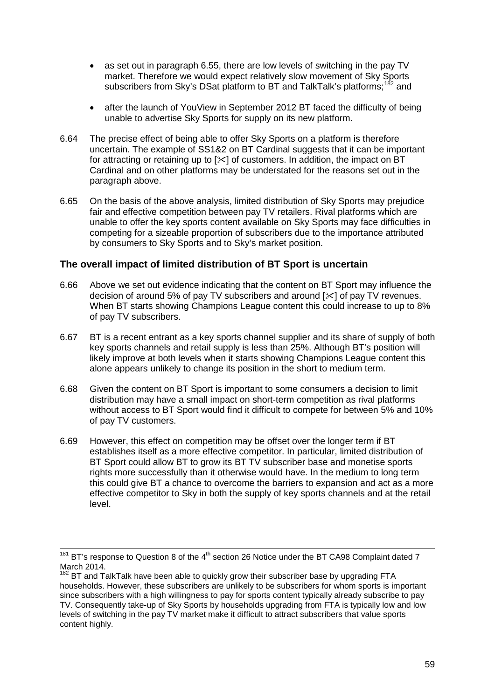- as set out in paragraph 6.55, there are low levels of switching in the pay TV market. Therefore we would expect relatively slow movement of Sky Sports subscribers from Sky's DSat platform to BT and TalkTalk's platforms;<sup>[182](#page-59-0)</sup> and
- after the launch of YouView in September 2012 BT faced the difficulty of being unable to advertise Sky Sports for supply on its new platform.
- 6.64 The precise effect of being able to offer Sky Sports on a platform is therefore uncertain. The example of SS1&2 on BT Cardinal suggests that it can be important for attracting or retaining up to  $[\times]$  of customers. In addition, the impact on BT Cardinal and on other platforms may be understated for the reasons set out in the paragraph above.
- 6.65 On the basis of the above analysis, limited distribution of Sky Sports may prejudice fair and effective competition between pay TV retailers. Rival platforms which are unable to offer the key sports content available on Sky Sports may face difficulties in competing for a sizeable proportion of subscribers due to the importance attributed by consumers to Sky Sports and to Sky's market position.

## **The overall impact of limited distribution of BT Sport is uncertain**

- 6.66 Above we set out evidence indicating that the content on BT Sport may influence the decision of around 5% of pay TV subscribers and around  $[\times]$  of pay TV revenues. When BT starts showing Champions League content this could increase to up to 8% of pay TV subscribers.
- 6.67 BT is a recent entrant as a key sports channel supplier and its share of supply of both key sports channels and retail supply is less than 25%. Although BT's position will likely improve at both levels when it starts showing Champions League content this alone appears unlikely to change its position in the short to medium term.
- 6.68 Given the content on BT Sport is important to some consumers a decision to limit distribution may have a small impact on short-term competition as rival platforms without access to BT Sport would find it difficult to compete for between 5% and 10% of pay TV customers.
- 6.69 However, this effect on competition may be offset over the longer term if BT establishes itself as a more effective competitor. In particular, limited distribution of BT Sport could allow BT to grow its BT TV subscriber base and monetise sports rights more successfully than it otherwise would have. In the medium to long term this could give BT a chance to overcome the barriers to expansion and act as a more effective competitor to Sky in both the supply of key sports channels and at the retail level.

 $\overline{a}$ 

 $181$  BT's response to Question 8 of the  $4<sup>th</sup>$  section 26 Notice under the BT CA98 Complaint dated 7 March 2014.

<span id="page-59-0"></span> $182$  BT and TalkTalk have been able to quickly grow their subscriber base by upgrading FTA households. However, these subscribers are unlikely to be subscribers for whom sports is important since subscribers with a high willingness to pay for sports content typically already subscribe to pay TV. Consequently take-up of Sky Sports by households upgrading from FTA is typically low and low levels of switching in the pay TV market make it difficult to attract subscribers that value sports content highly.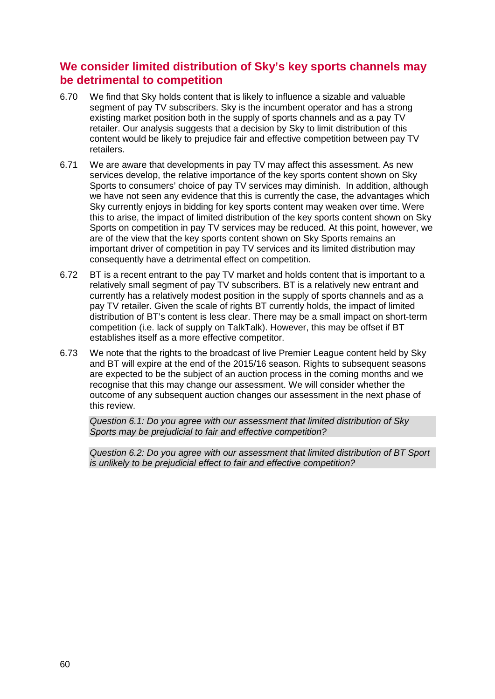# **We consider limited distribution of Sky's key sports channels may be detrimental to competition**

- 6.70 We find that Sky holds content that is likely to influence a sizable and valuable segment of pay TV subscribers. Sky is the incumbent operator and has a strong existing market position both in the supply of sports channels and as a pay TV retailer. Our analysis suggests that a decision by Sky to limit distribution of this content would be likely to prejudice fair and effective competition between pay TV retailers.
- 6.71 We are aware that developments in pay TV may affect this assessment. As new services develop, the relative importance of the key sports content shown on Sky Sports to consumers' choice of pay TV services may diminish. In addition, although we have not seen any evidence that this is currently the case, the advantages which Sky currently enjoys in bidding for key sports content may weaken over time. Were this to arise, the impact of limited distribution of the key sports content shown on Sky Sports on competition in pay TV services may be reduced. At this point, however, we are of the view that the key sports content shown on Sky Sports remains an important driver of competition in pay TV services and its limited distribution may consequently have a detrimental effect on competition.
- 6.72 BT is a recent entrant to the pay TV market and holds content that is important to a relatively small segment of pay TV subscribers. BT is a relatively new entrant and currently has a relatively modest position in the supply of sports channels and as a pay TV retailer. Given the scale of rights BT currently holds, the impact of limited distribution of BT's content is less clear. There may be a small impact on short-term competition (i.e. lack of supply on TalkTalk). However, this may be offset if BT establishes itself as a more effective competitor.
- 6.73 We note that the rights to the broadcast of live Premier League content held by Sky and BT will expire at the end of the 2015/16 season. Rights to subsequent seasons are expected to be the subject of an auction process in the coming months and we recognise that this may change our assessment. We will consider whether the outcome of any subsequent auction changes our assessment in the next phase of this review.

*Question 6.1: Do you agree with our assessment that limited distribution of Sky Sports may be prejudicial to fair and effective competition?* 

*Question 6.2: Do you agree with our assessment that limited distribution of BT Sport is unlikely to be prejudicial effect to fair and effective competition?*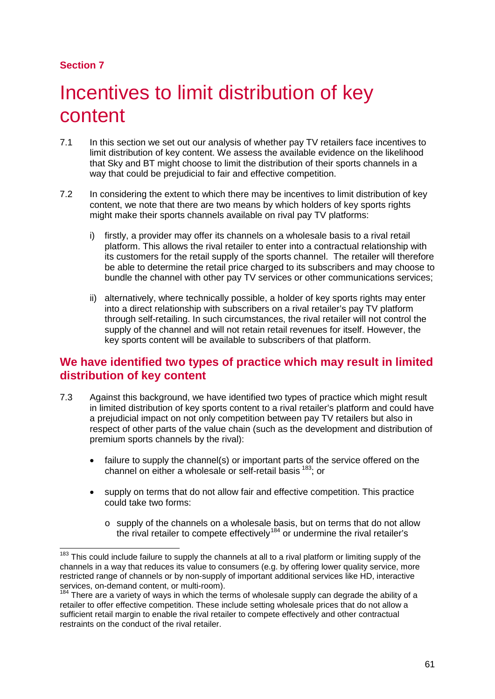# **Section 7**

# Incentives to limit distribution of key content

- 7.1 In this section we set out our analysis of whether pay TV retailers face incentives to limit distribution of key content. We assess the available evidence on the likelihood that Sky and BT might choose to limit the distribution of their sports channels in a way that could be prejudicial to fair and effective competition.
- 7.2 In considering the extent to which there may be incentives to limit distribution of key content, we note that there are two means by which holders of key sports rights might make their sports channels available on rival pay TV platforms:
	- i) firstly, a provider may offer its channels on a wholesale basis to a rival retail platform. This allows the rival retailer to enter into a contractual relationship with its customers for the retail supply of the sports channel. The retailer will therefore be able to determine the retail price charged to its subscribers and may choose to bundle the channel with other pay TV services or other communications services;
	- ii) alternatively, where technically possible, a holder of key sports rights may enter into a direct relationship with subscribers on a rival retailer's pay TV platform through self-retailing. In such circumstances, the rival retailer will not control the supply of the channel and will not retain retail revenues for itself. However, the key sports content will be available to subscribers of that platform.

# **We have identified two types of practice which may result in limited distribution of key content**

- 7.3 Against this background, we have identified two types of practice which might result in limited distribution of key sports content to a rival retailer's platform and could have a prejudicial impact on not only competition between pay TV retailers but also in respect of other parts of the value chain (such as the development and distribution of premium sports channels by the rival):
	- failure to supply the channel(s) or important parts of the service offered on the channel on either a wholesale or self-retail basis [183;](#page-61-0) or
	- supply on terms that do not allow fair and effective competition. This practice could take two forms:
		- o supply of the channels on a wholesale basis, but on terms that do not allow the rival retailer to compete effectively<sup>[184](#page-61-1)</sup> or undermine the rival retailer's

<span id="page-61-0"></span>This could include failure to supply the channels at all to a rival platform or limiting supply of the channels in a way that reduces its value to consumers (e.g. by offering lower quality service, more restricted range of channels or by non-supply of important additional services like HD, interactive services, on-demand content, or multi-room).  $\overline{a}$ 

<span id="page-61-1"></span>There are a variety of ways in which the terms of wholesale supply can degrade the ability of a retailer to offer effective competition. These include setting wholesale prices that do not allow a sufficient retail margin to enable the rival retailer to compete effectively and other contractual restraints on the conduct of the rival retailer.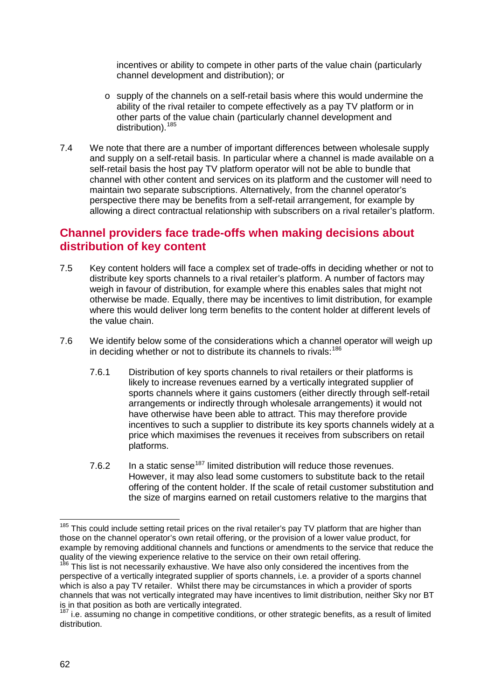incentives or ability to compete in other parts of the value chain (particularly channel development and distribution); or

- $\circ$  supply of the channels on a self-retail basis where this would undermine the ability of the rival retailer to compete effectively as a pay TV platform or in other parts of the value chain (particularly channel development and distribution).<sup>[185](#page-62-0)</sup>
- 7.4 We note that there are a number of important differences between wholesale supply and supply on a self-retail basis. In particular where a channel is made available on a self-retail basis the host pay TV platform operator will not be able to bundle that channel with other content and services on its platform and the customer will need to maintain two separate subscriptions. Alternatively, from the channel operator's perspective there may be benefits from a self-retail arrangement, for example by allowing a direct contractual relationship with subscribers on a rival retailer's platform.

# **Channel providers face trade-offs when making decisions about distribution of key content**

- 7.5 Key content holders will face a complex set of trade-offs in deciding whether or not to distribute key sports channels to a rival retailer's platform. A number of factors may weigh in favour of distribution, for example where this enables sales that might not otherwise be made. Equally, there may be incentives to limit distribution, for example where this would deliver long term benefits to the content holder at different levels of the value chain.
- 7.6 We identify below some of the considerations which a channel operator will weigh up in deciding whether or not to distribute its channels to rivals:<sup>[186](#page-62-1)</sup>
	- 7.6.1 Distribution of key sports channels to rival retailers or their platforms is likely to increase revenues earned by a vertically integrated supplier of sports channels where it gains customers (either directly through self-retail arrangements or indirectly through wholesale arrangements) it would not have otherwise have been able to attract. This may therefore provide incentives to such a supplier to distribute its key sports channels widely at a price which maximises the revenues it receives from subscribers on retail platforms.
	- 7.6.2 In a static sense<sup>[187](#page-62-2)</sup> limited distribution will reduce those revenues. However, it may also lead some customers to substitute back to the retail offering of the content holder. If the scale of retail customer substitution and the size of margins earned on retail customers relative to the margins that

<span id="page-62-0"></span><sup>&</sup>lt;sup>185</sup> This could include setting retail prices on the rival retailer's pay TV platform that are higher than those on the channel operator's own retail offering, or the provision of a lower value product, for example by removing additional channels and functions or amendments to the service that reduce the quality of the viewing experience relative to the service on their own retail offering.<br><sup>186</sup> This list is not necessarily exhaustive. We have also only considered the incentives from the  $\overline{a}$ 

<span id="page-62-1"></span>perspective of a vertically integrated supplier of sports channels, i.e. a provider of a sports channel which is also a pay TV retailer. Whilst there may be circumstances in which a provider of sports channels that was not vertically integrated may have incentives to limit distribution, neither Sky nor BT

<span id="page-62-2"></span> $187$  i.e. assuming no change in competitive conditions, or other strategic benefits, as a result of limited distribution.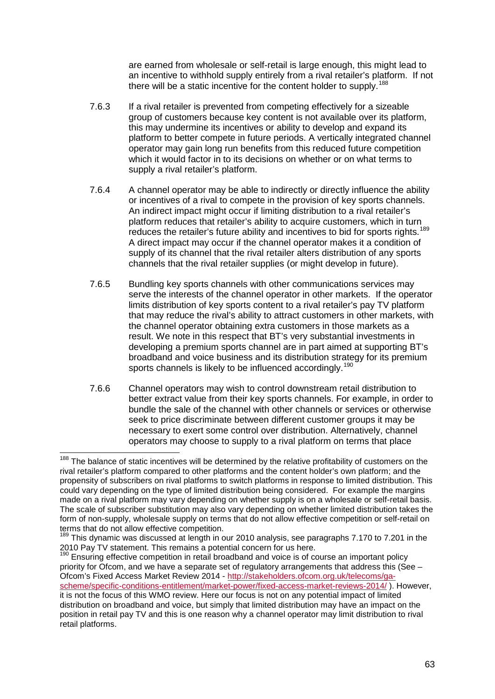are earned from wholesale or self-retail is large enough, this might lead to an incentive to withhold supply entirely from a rival retailer's platform. If not there will be a static incentive for the content holder to supply.<sup>[188](#page-63-0)</sup>

- 7.6.3 If a rival retailer is prevented from competing effectively for a sizeable group of customers because key content is not available over its platform, this may undermine its incentives or ability to develop and expand its platform to better compete in future periods. A vertically integrated channel operator may gain long run benefits from this reduced future competition which it would factor in to its decisions on whether or on what terms to supply a rival retailer's platform.
- 7.6.4 A channel operator may be able to indirectly or directly influence the ability or incentives of a rival to compete in the provision of key sports channels. An indirect impact might occur if limiting distribution to a rival retailer's platform reduces that retailer's ability to acquire customers, which in turn reduces the retailer's future ability and incentives to bid for sports rights.<sup>[189](#page-63-1)</sup> A direct impact may occur if the channel operator makes it a condition of supply of its channel that the rival retailer alters distribution of any sports channels that the rival retailer supplies (or might develop in future).
- 7.6.5 Bundling key sports channels with other communications services may serve the interests of the channel operator in other markets. If the operator limits distribution of key sports content to a rival retailer's pay TV platform that may reduce the rival's ability to attract customers in other markets, with the channel operator obtaining extra customers in those markets as a result. We note in this respect that BT's very substantial investments in developing a premium sports channel are in part aimed at supporting BT's broadband and voice business and its distribution strategy for its premium sports channels is likely to be influenced accordingly.<sup>[190](#page-63-2)</sup>
- 7.6.6 Channel operators may wish to control downstream retail distribution to better extract value from their key sports channels. For example, in order to bundle the sale of the channel with other channels or services or otherwise seek to price discriminate between different customer groups it may be necessary to exert some control over distribution. Alternatively, channel operators may choose to supply to a rival platform on terms that place

<span id="page-63-2"></span>priority for Ofcom, and we have a separate set of regulatory arrangements that address this (See – Ofcom's Fixed Access Market Review 2014 - [http://stakeholders.ofcom.org.uk/telecoms/ga](http://stakeholders.ofcom.org.uk/telecoms/ga-scheme/specific-conditions-entitlement/market-power/fixed-access-market-reviews-2014/)[scheme/specific-conditions-entitlement/market-power/fixed-access-market-reviews-2014/](http://stakeholders.ofcom.org.uk/telecoms/ga-scheme/specific-conditions-entitlement/market-power/fixed-access-market-reviews-2014/) ). However, it is not the focus of this WMO review. Here our focus is not on any potential impact of limited distribution on broadband and voice, but simply that limited distribution may have an impact on the position in retail pay TV and this is one reason why a channel operator may limit distribution to rival retail platforms.

<span id="page-63-0"></span><sup>&</sup>lt;sup>188</sup> The balance of static incentives will be determined by the relative profitability of customers on the rival retailer's platform compared to other platforms and the content holder's own platform; and the propensity of subscribers on rival platforms to switch platforms in response to limited distribution. This could vary depending on the type of limited distribution being considered. For example the margins made on a rival platform may vary depending on whether supply is on a wholesale or self-retail basis. The scale of subscriber substitution may also vary depending on whether limited distribution takes the form of non-supply, wholesale supply on terms that do not allow effective competition or self-retail on terms that do not allow effective competition.  $\overline{a}$ 

<span id="page-63-1"></span><sup>&</sup>lt;sup>189</sup> This dynamic was discussed at length in our 2010 analysis, see paragraphs 7.170 to 7.201 in the 2010 Pay TV statement. This remains a potential concern for us here.<br><sup>190</sup> Ensuring effective competition in retail broadband and voice is of course an important policy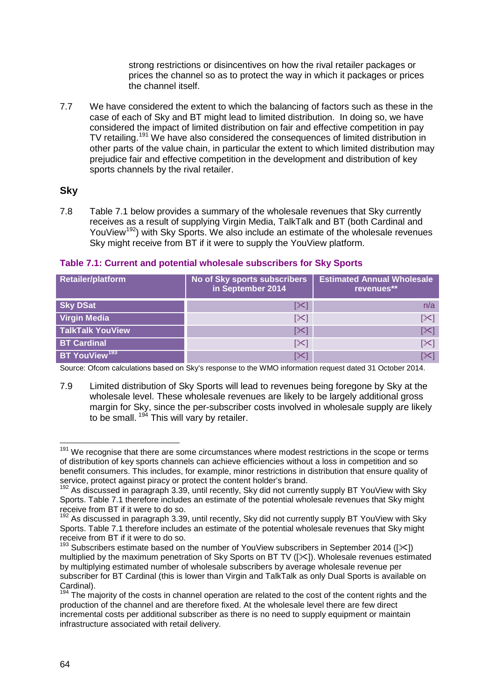strong restrictions or disincentives on how the rival retailer packages or prices the channel so as to protect the way in which it packages or prices the channel itself.

7.7 We have considered the extent to which the balancing of factors such as these in the case of each of Sky and BT might lead to limited distribution. In doing so, we have considered the impact of limited distribution on fair and effective competition in pay TV retailing.<sup>[191](#page-64-0)</sup> We have also considered the consequences of limited distribution in other parts of the value chain, in particular the extent to which limited distribution may prejudice fair and effective competition in the development and distribution of key sports channels by the rival retailer.

## **Sky**

7.8 Table 7.1 below provides a summary of the wholesale revenues that Sky currently receives as a result of supplying Virgin Media, TalkTalk and BT (both Cardinal and YouView<sup>[192](#page-64-1)</sup>) with Sky Sports. We also include an estimate of the wholesale revenues Sky might receive from BT if it were to supply the YouView platform.

| <b>Retailer/platform</b>  | No of Sky sports subscribers<br>in September 2014 | <b>Estimated Annual Wholesale</b><br>revenues** |
|---------------------------|---------------------------------------------------|-------------------------------------------------|
| <b>Sky DSat</b>           | [≫                                                | n/a                                             |
| <b>Virgin Media</b>       | [╳]                                               | [≻]                                             |
| <b>TalkTalk YouView</b>   | $\mathbb{K}$                                      | $\mathbb{K}$                                    |
| <b>BT Cardinal</b>        | [X]                                               | [≻]                                             |
| BT YouView <sup>193</sup> | [≫ן                                               | [X]                                             |

#### **Table 7.1: Current and potential wholesale subscribers for Sky Sports**

Source: Ofcom calculations based on Sky's response to the WMO information request dated 31 October 2014.

7.9 Limited distribution of Sky Sports will lead to revenues being foregone by Sky at the wholesale level. These wholesale revenues are likely to be largely additional gross margin for Sky, since the per-subscriber costs involved in wholesale supply are likely to be small. <sup>[194](#page-64-3)</sup> This will vary by retailer.

<sup>&</sup>lt;sup>191</sup> We recognise that there are some circumstances where modest restrictions in the scope or terms of distribution of key sports channels can achieve efficiencies without a loss in competition and so benefit consumers. This includes, for example, minor restrictions in distribution that ensure quality of service, protect against piracy or protect the content holder's brand.  $\overline{1}$ 

<span id="page-64-0"></span><sup>&</sup>lt;sup>192</sup> As discussed in paragraph 3.39, until recently, Sky did not currently supply BT YouView with Sky Sports. Table 7.1 therefore includes an estimate of the potential wholesale revenues that Sky might receive from BT if it were to do so.

<span id="page-64-1"></span><sup>&</sup>lt;sup>192</sup> As discussed in paragraph 3.39, until recently, Sky did not currently supply BT YouView with Sky Sports. Table 7.1 therefore includes an estimate of the potential wholesale revenues that Sky might receive from BT if it were to do so.

<span id="page-64-2"></span><sup>&</sup>lt;sup>193</sup> Subscribers estimate based on the number of YouView subscribers in September 2014 ( $[\times]$ ) multiplied by the maximum penetration of Sky Sports on BT TV ( $\left[\right]$  > Wholesale revenues estimated by multiplying estimated number of wholesale subscribers by average wholesale revenue per subscriber for BT Cardinal (this is lower than Virgin and TalkTalk as only Dual Sports is available on Cardinal).

<span id="page-64-3"></span>The majority of the costs in channel operation are related to the cost of the content rights and the production of the channel and are therefore fixed. At the wholesale level there are few direct incremental costs per additional subscriber as there is no need to supply equipment or maintain infrastructure associated with retail delivery.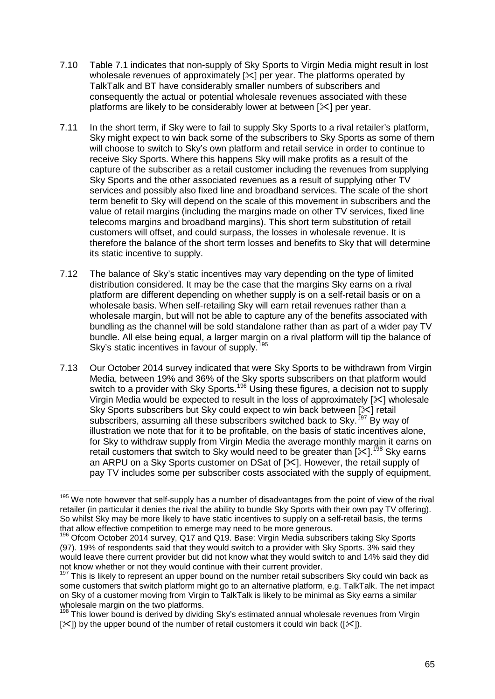- 7.10 Table 7.1 indicates that non-supply of Sky Sports to Virgin Media might result in lost wholesale revenues of approximately  $[\times]$  per year. The platforms operated by TalkTalk and BT have considerably smaller numbers of subscribers and consequently the actual or potential wholesale revenues associated with these platforms are likely to be considerably lower at between  $[\times]$  per year.
- 7.11 In the short term, if Sky were to fail to supply Sky Sports to a rival retailer's platform, Sky might expect to win back some of the subscribers to Sky Sports as some of them will choose to switch to Sky's own platform and retail service in order to continue to receive Sky Sports. Where this happens Sky will make profits as a result of the capture of the subscriber as a retail customer including the revenues from supplying Sky Sports and the other associated revenues as a result of supplying other TV services and possibly also fixed line and broadband services. The scale of the short term benefit to Sky will depend on the scale of this movement in subscribers and the value of retail margins (including the margins made on other TV services, fixed line telecoms margins and broadband margins). This short term substitution of retail customers will offset, and could surpass, the losses in wholesale revenue. It is therefore the balance of the short term losses and benefits to Sky that will determine its static incentive to supply.
- 7.12 The balance of Sky's static incentives may vary depending on the type of limited distribution considered. It may be the case that the margins Sky earns on a rival platform are different depending on whether supply is on a self-retail basis or on a wholesale basis. When self-retailing Sky will earn retail revenues rather than a wholesale margin, but will not be able to capture any of the benefits associated with bundling as the channel will be sold standalone rather than as part of a wider pay TV bundle. All else being equal, a larger margin on a rival platform will tip the balance of Sky's static incentives in favour of supply.<sup>[195](#page-65-0)</sup>
- 7.13 Our October 2014 survey indicated that were Sky Sports to be withdrawn from Virgin Media, between 19% and 36% of the Sky sports subscribers on that platform would switch to a provider with Sky Sports.<sup>[196](#page-65-1)</sup> Using these figures, a decision not to supply Virgin Media would be expected to result in the loss of approximately [ $\le$ ] wholesale Sky Sports subscribers but Sky could expect to win back between [ $\times$ ] retail subscribers, assuming all these subscribers switched back to Sky.<sup>[197](#page-65-2)</sup> By way of illustration we note that for it to be profitable, on the basis of static incentives alone, for Sky to withdraw supply from Virgin Media the average monthly margin it earns on retail customers that switch to Sky would need to be greater than  $[35]$ .<sup>[198](#page-65-3)</sup> Sky earns an ARPU on a Sky Sports customer on DSat of [ $\angle$ ]. However, the retail supply of pay TV includes some per subscriber costs associated with the supply of equipment,

<span id="page-65-0"></span><sup>&</sup>lt;sup>195</sup> We note however that self-supply has a number of disadvantages from the point of view of the rival retailer (in particular it denies the rival the ability to bundle Sky Sports with their own pay TV offering). So whilst Sky may be more likely to have static incentives to supply on a self-retail basis, the terms that allow effective competition to emerge may need to be more generous.  $\overline{a}$ 

<span id="page-65-1"></span><sup>&</sup>lt;sup>196</sup> Ofcom October 2014 survey, Q17 and Q19. Base: Virgin Media subscribers taking Sky Sports (97). 19% of respondents said that they would switch to a provider with Sky Sports. 3% said they would leave there current provider but did not know what they would switch to and 14% said they did not know whether or not they would continue with their current provider.

<span id="page-65-2"></span> $197$  This is likely to represent an upper bound on the number retail subscribers Sky could win back as some customers that switch platform might go to an alternative platform, e.g. TalkTalk. The net impact on Sky of a customer moving from Virgin to TalkTalk is likely to be minimal as Sky earns a similar wholesale margin on the two platforms.

<span id="page-65-3"></span> $198$  This lower bound is derived by dividing Sky's estimated annual wholesale revenues from Virgin  $[\times]$  by the upper bound of the number of retail customers it could win back ( $[\times]$ ).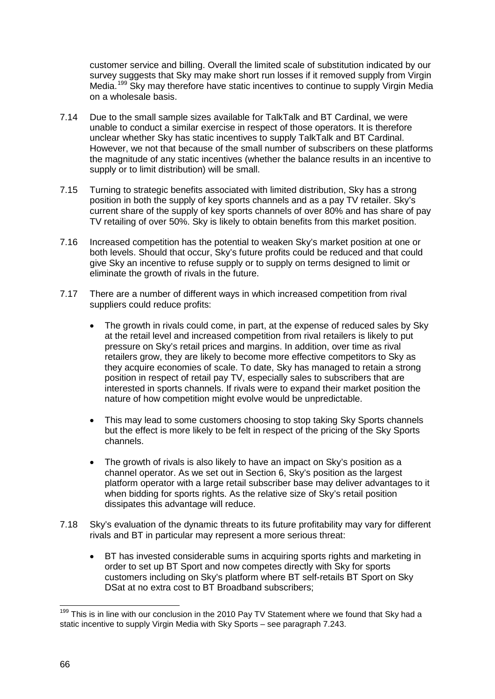customer service and billing. Overall the limited scale of substitution indicated by our survey suggests that Sky may make short run losses if it removed supply from Virgin Media.<sup>[199](#page-66-0)</sup> Sky may therefore have static incentives to continue to supply Virgin Media on a wholesale basis.

- 7.14 Due to the small sample sizes available for TalkTalk and BT Cardinal, we were unable to conduct a similar exercise in respect of those operators. It is therefore unclear whether Sky has static incentives to supply TalkTalk and BT Cardinal. However, we not that because of the small number of subscribers on these platforms the magnitude of any static incentives (whether the balance results in an incentive to supply or to limit distribution) will be small.
- 7.15 Turning to strategic benefits associated with limited distribution, Sky has a strong position in both the supply of key sports channels and as a pay TV retailer. Sky's current share of the supply of key sports channels of over 80% and has share of pay TV retailing of over 50%. Sky is likely to obtain benefits from this market position.
- 7.16 Increased competition has the potential to weaken Sky's market position at one or both levels. Should that occur, Sky's future profits could be reduced and that could give Sky an incentive to refuse supply or to supply on terms designed to limit or eliminate the growth of rivals in the future.
- 7.17 There are a number of different ways in which increased competition from rival suppliers could reduce profits:
	- The growth in rivals could come, in part, at the expense of reduced sales by Sky at the retail level and increased competition from rival retailers is likely to put pressure on Sky's retail prices and margins. In addition, over time as rival retailers grow, they are likely to become more effective competitors to Sky as they acquire economies of scale. To date, Sky has managed to retain a strong position in respect of retail pay TV, especially sales to subscribers that are interested in sports channels. If rivals were to expand their market position the nature of how competition might evolve would be unpredictable.
	- This may lead to some customers choosing to stop taking Sky Sports channels but the effect is more likely to be felt in respect of the pricing of the Sky Sports channels.
	- The growth of rivals is also likely to have an impact on Sky's position as a channel operator. As we set out in Section 6, Sky's position as the largest platform operator with a large retail subscriber base may deliver advantages to it when bidding for sports rights. As the relative size of Sky's retail position dissipates this advantage will reduce.
- 7.18 Sky's evaluation of the dynamic threats to its future profitability may vary for different rivals and BT in particular may represent a more serious threat:
	- BT has invested considerable sums in acquiring sports rights and marketing in order to set up BT Sport and now competes directly with Sky for sports customers including on Sky's platform where BT self-retails BT Sport on Sky DSat at no extra cost to BT Broadband subscribers;

<span id="page-66-0"></span>This is in line with our conclusion in the 2010 Pay TV Statement where we found that Sky had a static incentive to supply Virgin Media with Sky Sports – see paragraph 7.243.  $\overline{a}$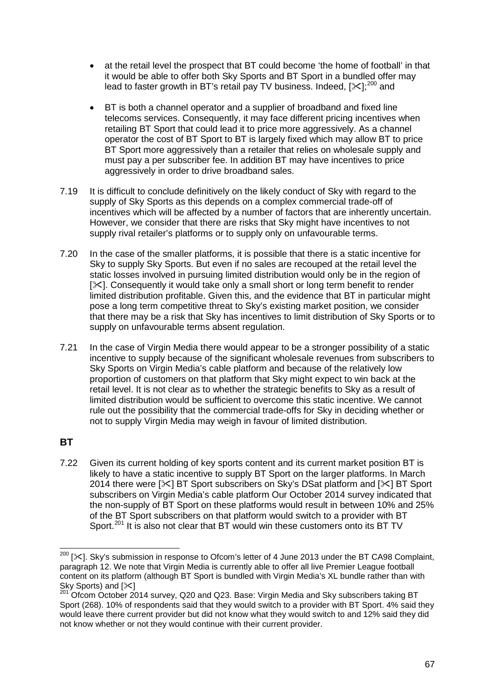- at the retail level the prospect that BT could become 'the home of football' in that it would be able to offer both Sky Sports and BT Sport in a bundled offer may lead to faster growth in BT's retail pay TV business. Indeed, [ $\ll$ ];<sup>[200](#page-67-0)</sup> and
- BT is both a channel operator and a supplier of broadband and fixed line telecoms services. Consequently, it may face different pricing incentives when retailing BT Sport that could lead it to price more aggressively. As a channel operator the cost of BT Sport to BT is largely fixed which may allow BT to price BT Sport more aggressively than a retailer that relies on wholesale supply and must pay a per subscriber fee. In addition BT may have incentives to price aggressively in order to drive broadband sales.
- 7.19 It is difficult to conclude definitively on the likely conduct of Sky with regard to the supply of Sky Sports as this depends on a complex commercial trade-off of incentives which will be affected by a number of factors that are inherently uncertain. However, we consider that there are risks that Sky might have incentives to not supply rival retailer's platforms or to supply only on unfavourable terms.
- 7.20 In the case of the smaller platforms, it is possible that there is a static incentive for Sky to supply Sky Sports. But even if no sales are recouped at the retail level the static losses involved in pursuing limited distribution would only be in the region of  $[\times]$ . Consequently it would take only a small short or long term benefit to render limited distribution profitable. Given this, and the evidence that BT in particular might pose a long term competitive threat to Sky's existing market position, we consider that there may be a risk that Sky has incentives to limit distribution of Sky Sports or to supply on unfavourable terms absent regulation.
- 7.21 In the case of Virgin Media there would appear to be a stronger possibility of a static incentive to supply because of the significant wholesale revenues from subscribers to Sky Sports on Virgin Media's cable platform and because of the relatively low proportion of customers on that platform that Sky might expect to win back at the retail level. It is not clear as to whether the strategic benefits to Sky as a result of limited distribution would be sufficient to overcome this static incentive. We cannot rule out the possibility that the commercial trade-offs for Sky in deciding whether or not to supply Virgin Media may weigh in favour of limited distribution.

# **BT**

7.22 Given its current holding of key sports content and its current market position BT is likely to have a static incentive to supply BT Sport on the larger platforms. In March 2014 there were  $[\times]$  BT Sport subscribers on Sky's DSat platform and  $[\times]$  BT Sport subscribers on Virgin Media's cable platform Our October 2014 survey indicated that the non-supply of BT Sport on these platforms would result in between 10% and 25% of the BT Sport subscribers on that platform would switch to a provider with BT Sport.<sup>[201](#page-67-1)</sup> It is also not clear that BT would win these customers onto its BT TV

<span id="page-67-0"></span> $^{200}$  [ $\ll$ ]. Sky's submission in response to Ofcom's letter of 4 June 2013 under the BT CA98 Complaint, paragraph 12. We note that Virgin Media is currently able to offer all live Premier League football content on its platform (although BT Sport is bundled with Virgin Media's XL bundle rather than with<br>Sky Sports) and  $[\infty]$ <br> $\frac{201}{201}$  Ofsers Ottober 2014 survey OSS and LOSS Distribution in the state of the state of t  $\overline{a}$ 

<span id="page-67-1"></span>Ofcom October 2014 survey, Q20 and Q23. Base: Virgin Media and Sky subscribers taking BT Sport (268). 10% of respondents said that they would switch to a provider with BT Sport. 4% said they would leave there current provider but did not know what they would switch to and 12% said they did not know whether or not they would continue with their current provider.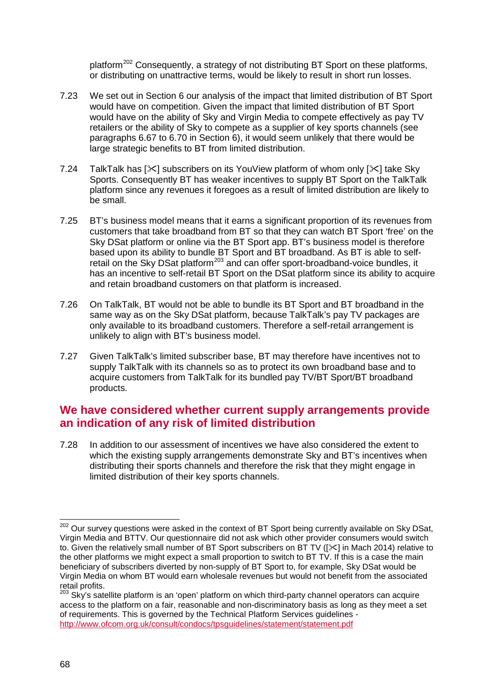platform<sup>[202](#page-68-0)</sup> Consequently, a strategy of not distributing BT Sport on these platforms, or distributing on unattractive terms, would be likely to result in short run losses.

- 7.23 We set out in Section 6 our analysis of the impact that limited distribution of BT Sport would have on competition. Given the impact that limited distribution of BT Sport would have on the ability of Sky and Virgin Media to compete effectively as pay TV retailers or the ability of Sky to compete as a supplier of key sports channels (see paragraphs 6.67 to 6.70 in Section 6), it would seem unlikely that there would be large strategic benefits to BT from limited distribution.
- 7.24 TalkTalk has  $[\times]$  subscribers on its YouView platform of whom only  $[\times]$  take Sky Sports. Consequently BT has weaker incentives to supply BT Sport on the TalkTalk platform since any revenues it foregoes as a result of limited distribution are likely to be small.
- 7.25 BT's business model means that it earns a significant proportion of its revenues from customers that take broadband from BT so that they can watch BT Sport 'free' on the Sky DSat platform or online via the BT Sport app. BT's business model is therefore based upon its ability to bundle BT Sport and BT broadband. As BT is able to self-retail on the Sky DSat platform<sup>[203](#page-68-1)</sup> and can offer sport-broadband-voice bundles, it has an incentive to self-retail BT Sport on the DSat platform since its ability to acquire and retain broadband customers on that platform is increased.
- 7.26 On TalkTalk, BT would not be able to bundle its BT Sport and BT broadband in the same way as on the Sky DSat platform, because TalkTalk's pay TV packages are only available to its broadband customers. Therefore a self-retail arrangement is unlikely to align with BT's business model.
- 7.27 Given TalkTalk's limited subscriber base, BT may therefore have incentives not to supply TalkTalk with its channels so as to protect its own broadband base and to acquire customers from TalkTalk for its bundled pay TV/BT Sport/BT broadband products.

# **We have considered whether current supply arrangements provide an indication of any risk of limited distribution**

7.28 In addition to our assessment of incentives we have also considered the extent to which the existing supply arrangements demonstrate Sky and BT's incentives when distributing their sports channels and therefore the risk that they might engage in limited distribution of their key sports channels.

<span id="page-68-0"></span><sup>&</sup>lt;sup>202</sup> Our survey questions were asked in the context of BT Sport being currently available on Sky DSat, Virgin Media and BTTV. Our questionnaire did not ask which other provider consumers would switch to. Given the relatively small number of BT Sport subscribers on BT TV ( $\approx$ 1 in Mach 2014) relative to the other platforms we might expect a small proportion to switch to BT TV. If this is a case the main beneficiary of subscribers diverted by non-supply of BT Sport to, for example, Sky DSat would be Virgin Media on whom BT would earn wholesale revenues but would not benefit from the associated retail profits.  $\overline{a}$ 

<span id="page-68-1"></span> $^{3}$  Sky's satellite platform is an 'open' platform on which third-party channel operators can acquire access to the platform on a fair, reasonable and non-discriminatory basis as long as they meet a set of requirements. This is governed by the Technical Platform Services guidelines <http://www.ofcom.org.uk/consult/condocs/tpsguidelines/statement/statement.pdf>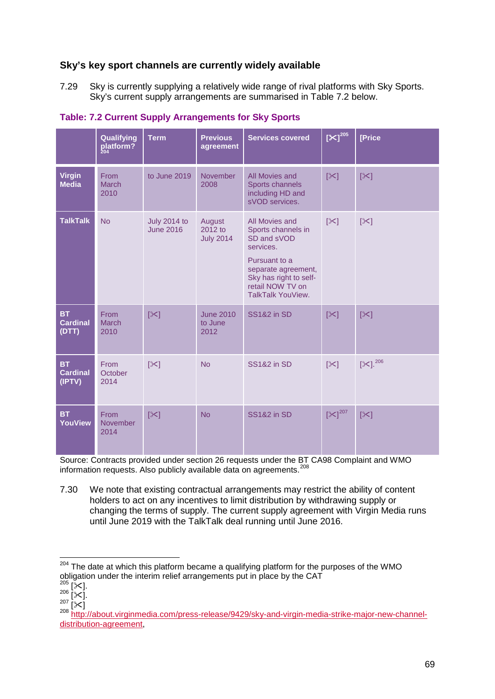# **Sky's key sport channels are currently widely available**

7.29 Sky is currently supplying a relatively wide range of rival platforms with Sky Sports. Sky's current supply arrangements are summarised in Table 7.2 below.

|                                        | Qualifying<br>platform?                | <b>Term</b>                             | <b>Previous</b><br>agreement          | <b>Services covered</b>                                                                                                                                                     | $[X]^{205}$           | [Price            |
|----------------------------------------|----------------------------------------|-----------------------------------------|---------------------------------------|-----------------------------------------------------------------------------------------------------------------------------------------------------------------------------|-----------------------|-------------------|
| <b>Virgin</b><br><b>Media</b>          | From<br><b>March</b><br>2010           | to June 2019                            | November<br>2008                      | All Movies and<br>Sports channels<br>including HD and<br>sVOD services.                                                                                                     | $\left[\infty\right]$ | $[\times]$        |
| <b>TalkTalk</b>                        | <b>No</b>                              | <b>July 2014 to</b><br><b>June 2016</b> | August<br>2012 to<br><b>July 2014</b> | All Movies and<br>Sports channels in<br>SD and sVOD<br>services.<br>Pursuant to a<br>separate agreement,<br>Sky has right to self-<br>retail NOW TV on<br>TalkTalk YouView. | $[\times]$            | $[\times]$        |
| <b>BT</b><br>Cardinal<br>(DTT)         | From<br><b>March</b><br>2010           | $[\times]$                              | <b>June 2010</b><br>to June<br>2012   | <b>SS1&amp;2 in SD</b>                                                                                                                                                      | $\left[\infty\right]$ | $[\times]$        |
| <b>BT</b><br><b>Cardinal</b><br>(IPTV) | From<br>October<br>2014                | $ \mathcal{X} $                         | <b>No</b>                             | <b>SS1&amp;2</b> in SD                                                                                                                                                      | $ \mathcal{X} $       | $[35]$ . $^{206}$ |
| <b>BT</b><br><b>YouView</b>            | <b>From</b><br><b>November</b><br>2014 | $[\times]$                              | <b>No</b>                             | <b>SS1&amp;2 in SD</b>                                                                                                                                                      | $[\times]^{207}$      | $[\times]$        |

#### **Table: 7.2 Current Supply Arrangements for Sky Sports**

Source: Contracts provided under section 26 requests under the BT CA98 Complaint and WMO information requests. Also publicly available data on agreements.<sup>[208](#page-69-4)</sup>

7.30 We note that existing contractual arrangements may restrict the ability of content holders to act on any incentives to limit distribution by withdrawing supply or changing the terms of supply. The current supply agreement with Virgin Media runs until June 2019 with the TalkTalk deal running until June 2016.

 $204$  The date at which this platform became a qualifying platform for the purposes of the WMO  $\overline{a}$ 

<span id="page-69-2"></span>

<span id="page-69-4"></span><span id="page-69-3"></span>

<span id="page-69-1"></span><span id="page-69-0"></span>obligation under the interim relief arrangements put in place by the CAT<br>  ${}^{205}$  [ $\times$ ].<br>  ${}^{207}$  [ $\times$ ].<br>  ${}^{207}$  [ $\times$ ]<br>  ${}^{208}$  http://about.virginmedia.com/press-release/9429/sky-and-virgin-media-strike-major-new [distribution-agreement,](http://about.virginmedia.com/press-release/9429/sky-and-virgin-media-strike-major-new-channel-distribution-agreement)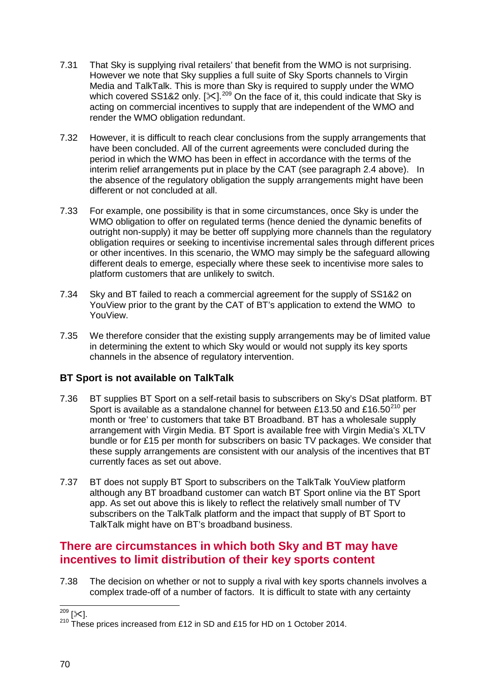- 7.31 That Sky is supplying rival retailers' that benefit from the WMO is not surprising. However we note that Sky supplies a full suite of Sky Sports channels to Virgin Media and TalkTalk. This is more than Sky is required to supply under the WMO which covered SS1&2 only.  $[\times]$ .<sup>[209](#page-70-0)</sup> On the face of it, this could indicate that Sky is acting on commercial incentives to supply that are independent of the WMO and render the WMO obligation redundant.
- 7.32 However, it is difficult to reach clear conclusions from the supply arrangements that have been concluded. All of the current agreements were concluded during the period in which the WMO has been in effect in accordance with the terms of the interim relief arrangements put in place by the CAT (see paragraph 2.4 above). In the absence of the regulatory obligation the supply arrangements might have been different or not concluded at all.
- 7.33 For example, one possibility is that in some circumstances, once Sky is under the WMO obligation to offer on regulated terms (hence denied the dynamic benefits of outright non-supply) it may be better off supplying more channels than the regulatory obligation requires or seeking to incentivise incremental sales through different prices or other incentives. In this scenario, the WMO may simply be the safeguard allowing different deals to emerge, especially where these seek to incentivise more sales to platform customers that are unlikely to switch.
- 7.34 Sky and BT failed to reach a commercial agreement for the supply of SS1&2 on YouView prior to the grant by the CAT of BT's application to extend the WMO to YouView.
- 7.35 We therefore consider that the existing supply arrangements may be of limited value in determining the extent to which Sky would or would not supply its key sports channels in the absence of regulatory intervention.

# **BT Sport is not available on TalkTalk**

- 7.36 BT supplies BT Sport on a self-retail basis to subscribers on Sky's DSat platform. BT Sport is available as a standalone channel for between £13.50 and £16.50<sup>[210](#page-70-1)</sup> per month or 'free' to customers that take BT Broadband. BT has a wholesale supply arrangement with Virgin Media. BT Sport is available free with Virgin Media's XLTV bundle or for £15 per month for subscribers on basic TV packages. We consider that these supply arrangements are consistent with our analysis of the incentives that BT currently faces as set out above.
- 7.37 BT does not supply BT Sport to subscribers on the TalkTalk YouView platform although any BT broadband customer can watch BT Sport online via the BT Sport app. As set out above this is likely to reflect the relatively small number of TV subscribers on the TalkTalk platform and the impact that supply of BT Sport to TalkTalk might have on BT's broadband business.

# **There are circumstances in which both Sky and BT may have incentives to limit distribution of their key sports content**

7.38 The decision on whether or not to supply a rival with key sports channels involves a complex trade-off of a number of factors. It is difficult to state with any certainty

 $\frac{1}{209}$  [ $\times$ ].

<span id="page-70-1"></span><span id="page-70-0"></span><sup>&</sup>lt;sup>210</sup> These prices increased from £12 in SD and £15 for HD on 1 October 2014.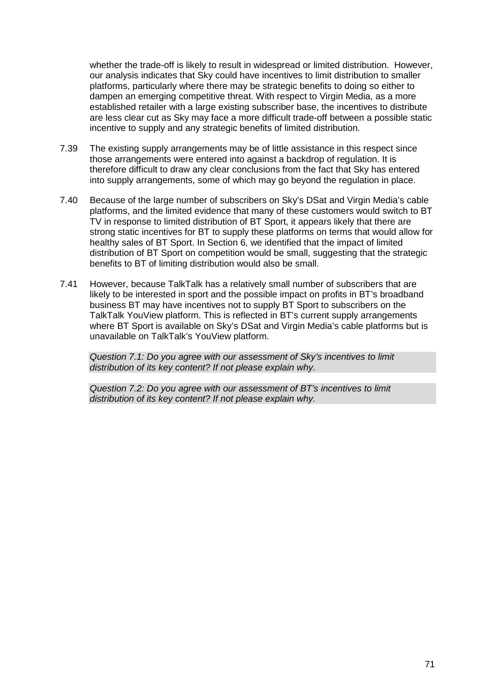whether the trade-off is likely to result in widespread or limited distribution. However, our analysis indicates that Sky could have incentives to limit distribution to smaller platforms, particularly where there may be strategic benefits to doing so either to dampen an emerging competitive threat. With respect to Virgin Media, as a more established retailer with a large existing subscriber base, the incentives to distribute are less clear cut as Sky may face a more difficult trade-off between a possible static incentive to supply and any strategic benefits of limited distribution.

- 7.39 The existing supply arrangements may be of little assistance in this respect since those arrangements were entered into against a backdrop of regulation. It is therefore difficult to draw any clear conclusions from the fact that Sky has entered into supply arrangements, some of which may go beyond the regulation in place.
- 7.40 Because of the large number of subscribers on Sky's DSat and Virgin Media's cable platforms, and the limited evidence that many of these customers would switch to BT TV in response to limited distribution of BT Sport, it appears likely that there are strong static incentives for BT to supply these platforms on terms that would allow for healthy sales of BT Sport. In Section 6, we identified that the impact of limited distribution of BT Sport on competition would be small, suggesting that the strategic benefits to BT of limiting distribution would also be small.
- 7.41 However, because TalkTalk has a relatively small number of subscribers that are likely to be interested in sport and the possible impact on profits in BT's broadband business BT may have incentives not to supply BT Sport to subscribers on the TalkTalk YouView platform. This is reflected in BT's current supply arrangements where BT Sport is available on Sky's DSat and Virgin Media's cable platforms but is unavailable on TalkTalk's YouView platform.

*Question 7.1: Do you agree with our assessment of Sky's incentives to limit distribution of its key content? If not please explain why.*

*Question 7.2: Do you agree with our assessment of BT's incentives to limit distribution of its key content? If not please explain why.*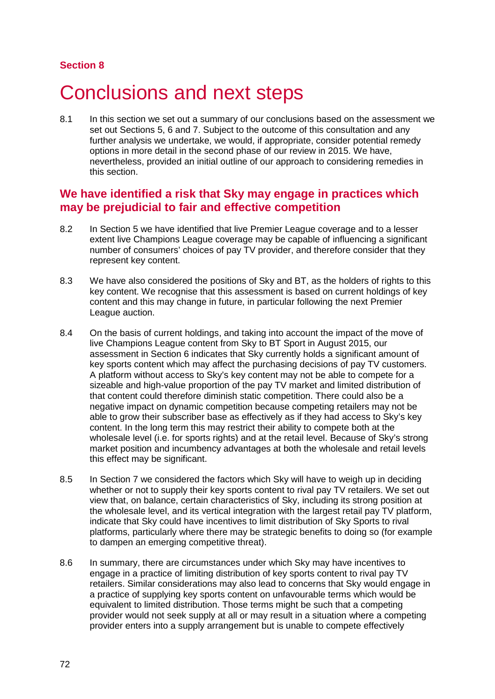#### **Section 8**

# Conclusions and next steps

8.1 In this section we set out a summary of our conclusions based on the assessment we set out Sections 5, 6 and 7. Subject to the outcome of this consultation and any further analysis we undertake, we would, if appropriate, consider potential remedy options in more detail in the second phase of our review in 2015. We have, nevertheless, provided an initial outline of our approach to considering remedies in this section.

#### **We have identified a risk that Sky may engage in practices which may be prejudicial to fair and effective competition**

- 8.2 In Section 5 we have identified that live Premier League coverage and to a lesser extent live Champions League coverage may be capable of influencing a significant number of consumers' choices of pay TV provider, and therefore consider that they represent key content.
- 8.3 We have also considered the positions of Sky and BT, as the holders of rights to this key content. We recognise that this assessment is based on current holdings of key content and this may change in future, in particular following the next Premier League auction.
- 8.4 On the basis of current holdings, and taking into account the impact of the move of live Champions League content from Sky to BT Sport in August 2015, our assessment in Section 6 indicates that Sky currently holds a significant amount of key sports content which may affect the purchasing decisions of pay TV customers. A platform without access to Sky's key content may not be able to compete for a sizeable and high-value proportion of the pay TV market and limited distribution of that content could therefore diminish static competition. There could also be a negative impact on dynamic competition because competing retailers may not be able to grow their subscriber base as effectively as if they had access to Sky's key content. In the long term this may restrict their ability to compete both at the wholesale level (i.e. for sports rights) and at the retail level. Because of Sky's strong market position and incumbency advantages at both the wholesale and retail levels this effect may be significant.
- 8.5 In Section 7 we considered the factors which Sky will have to weigh up in deciding whether or not to supply their key sports content to rival pay TV retailers. We set out view that, on balance, certain characteristics of Sky, including its strong position at the wholesale level, and its vertical integration with the largest retail pay TV platform, indicate that Sky could have incentives to limit distribution of Sky Sports to rival platforms, particularly where there may be strategic benefits to doing so (for example to dampen an emerging competitive threat).
- 8.6 In summary, there are circumstances under which Sky may have incentives to engage in a practice of limiting distribution of key sports content to rival pay TV retailers. Similar considerations may also lead to concerns that Sky would engage in a practice of supplying key sports content on unfavourable terms which would be equivalent to limited distribution. Those terms might be such that a competing provider would not seek supply at all or may result in a situation where a competing provider enters into a supply arrangement but is unable to compete effectively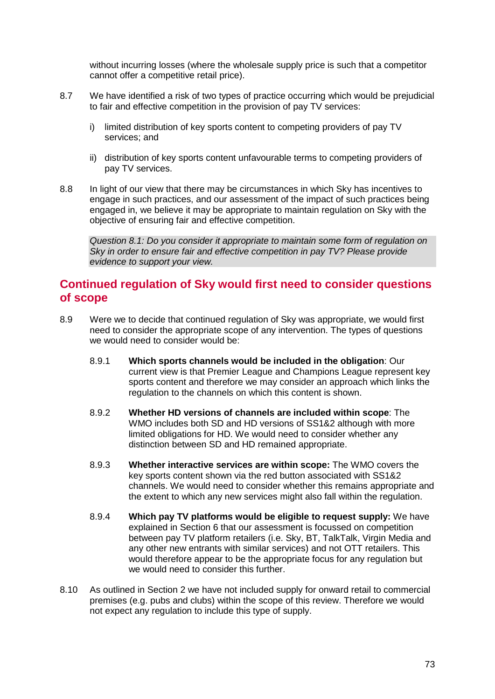without incurring losses (where the wholesale supply price is such that a competitor cannot offer a competitive retail price).

- 8.7 We have identified a risk of two types of practice occurring which would be prejudicial to fair and effective competition in the provision of pay TV services:
	- i) limited distribution of key sports content to competing providers of pay TV services; and
	- ii) distribution of key sports content unfavourable terms to competing providers of pay TV services.
- 8.8 In light of our view that there may be circumstances in which Sky has incentives to engage in such practices, and our assessment of the impact of such practices being engaged in, we believe it may be appropriate to maintain regulation on Sky with the objective of ensuring fair and effective competition.

*Question 8.1: Do you consider it appropriate to maintain some form of regulation on Sky in order to ensure fair and effective competition in pay TV? Please provide evidence to support your view.*

## **Continued regulation of Sky would first need to consider questions of scope**

- 8.9 Were we to decide that continued regulation of Sky was appropriate, we would first need to consider the appropriate scope of any intervention. The types of questions we would need to consider would be:
	- 8.9.1 **Which sports channels would be included in the obligation**: Our current view is that Premier League and Champions League represent key sports content and therefore we may consider an approach which links the regulation to the channels on which this content is shown.
	- 8.9.2 **Whether HD versions of channels are included within scope**: The WMO includes both SD and HD versions of SS1&2 although with more limited obligations for HD. We would need to consider whether any distinction between SD and HD remained appropriate.
	- 8.9.3 **Whether interactive services are within scope:** The WMO covers the key sports content shown via the red button associated with SS1&2 channels. We would need to consider whether this remains appropriate and the extent to which any new services might also fall within the regulation.
	- 8.9.4 **Which pay TV platforms would be eligible to request supply:** We have explained in Section 6 that our assessment is focussed on competition between pay TV platform retailers (i.e. Sky, BT, TalkTalk, Virgin Media and any other new entrants with similar services) and not OTT retailers. This would therefore appear to be the appropriate focus for any regulation but we would need to consider this further.
- 8.10 As outlined in Section 2 we have not included supply for onward retail to commercial premises (e.g. pubs and clubs) within the scope of this review. Therefore we would not expect any regulation to include this type of supply.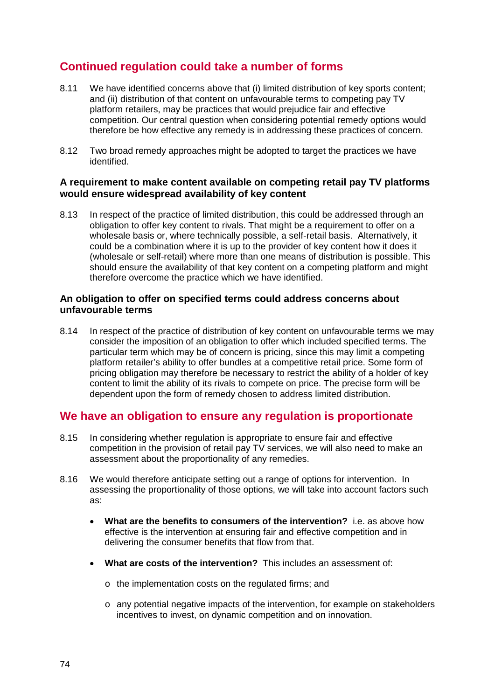# **Continued regulation could take a number of forms**

- 8.11 We have identified concerns above that (i) limited distribution of key sports content; and (ii) distribution of that content on unfavourable terms to competing pay TV platform retailers, may be practices that would prejudice fair and effective competition. Our central question when considering potential remedy options would therefore be how effective any remedy is in addressing these practices of concern.
- 8.12 Two broad remedy approaches might be adopted to target the practices we have identified.

#### **A requirement to make content available on competing retail pay TV platforms would ensure widespread availability of key content**

8.13 In respect of the practice of limited distribution, this could be addressed through an obligation to offer key content to rivals. That might be a requirement to offer on a wholesale basis or, where technically possible, a self-retail basis. Alternatively, it could be a combination where it is up to the provider of key content how it does it (wholesale or self-retail) where more than one means of distribution is possible. This should ensure the availability of that key content on a competing platform and might therefore overcome the practice which we have identified.

#### **An obligation to offer on specified terms could address concerns about unfavourable terms**

8.14 In respect of the practice of distribution of key content on unfavourable terms we may consider the imposition of an obligation to offer which included specified terms. The particular term which may be of concern is pricing, since this may limit a competing platform retailer's ability to offer bundles at a competitive retail price. Some form of pricing obligation may therefore be necessary to restrict the ability of a holder of key content to limit the ability of its rivals to compete on price. The precise form will be dependent upon the form of remedy chosen to address limited distribution.

## **We have an obligation to ensure any regulation is proportionate**

- 8.15 In considering whether regulation is appropriate to ensure fair and effective competition in the provision of retail pay TV services, we will also need to make an assessment about the proportionality of any remedies.
- 8.16 We would therefore anticipate setting out a range of options for intervention. In assessing the proportionality of those options, we will take into account factors such as:
	- **What are the benefits to consumers of the intervention?** i.e. as above how effective is the intervention at ensuring fair and effective competition and in delivering the consumer benefits that flow from that.
	- **What are costs of the intervention?** This includes an assessment of:
		- o the implementation costs on the regulated firms; and
		- o any potential negative impacts of the intervention, for example on stakeholders incentives to invest, on dynamic competition and on innovation.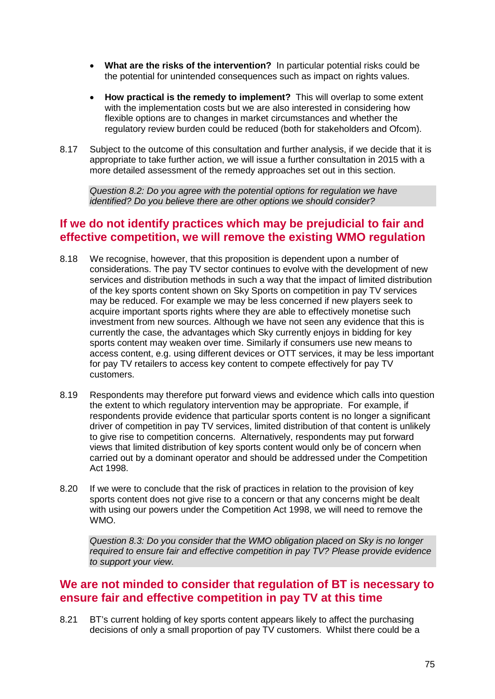- **What are the risks of the intervention?** In particular potential risks could be the potential for unintended consequences such as impact on rights values.
- **How practical is the remedy to implement?** This will overlap to some extent with the implementation costs but we are also interested in considering how flexible options are to changes in market circumstances and whether the regulatory review burden could be reduced (both for stakeholders and Ofcom).
- 8.17 Subject to the outcome of this consultation and further analysis, if we decide that it is appropriate to take further action, we will issue a further consultation in 2015 with a more detailed assessment of the remedy approaches set out in this section.

*Question 8.2: Do you agree with the potential options for regulation we have identified? Do you believe there are other options we should consider?* 

## **If we do not identify practices which may be prejudicial to fair and effective competition, we will remove the existing WMO regulation**

- 8.18 We recognise, however, that this proposition is dependent upon a number of considerations. The pay TV sector continues to evolve with the development of new services and distribution methods in such a way that the impact of limited distribution of the key sports content shown on Sky Sports on competition in pay TV services may be reduced. For example we may be less concerned if new players seek to acquire important sports rights where they are able to effectively monetise such investment from new sources. Although we have not seen any evidence that this is currently the case, the advantages which Sky currently enjoys in bidding for key sports content may weaken over time. Similarly if consumers use new means to access content, e.g. using different devices or OTT services, it may be less important for pay TV retailers to access key content to compete effectively for pay TV customers.
- 8.19 Respondents may therefore put forward views and evidence which calls into question the extent to which regulatory intervention may be appropriate. For example, if respondents provide evidence that particular sports content is no longer a significant driver of competition in pay TV services, limited distribution of that content is unlikely to give rise to competition concerns. Alternatively, respondents may put forward views that limited distribution of key sports content would only be of concern when carried out by a dominant operator and should be addressed under the Competition Act 1998.
- 8.20 If we were to conclude that the risk of practices in relation to the provision of key sports content does not give rise to a concern or that any concerns might be dealt with using our powers under the Competition Act 1998, we will need to remove the WMO.

*Question 8.3: Do you consider that the WMO obligation placed on Sky is no longer required to ensure fair and effective competition in pay TV? Please provide evidence to support your view.*

## **We are not minded to consider that regulation of BT is necessary to ensure fair and effective competition in pay TV at this time**

8.21 BT's current holding of key sports content appears likely to affect the purchasing decisions of only a small proportion of pay TV customers. Whilst there could be a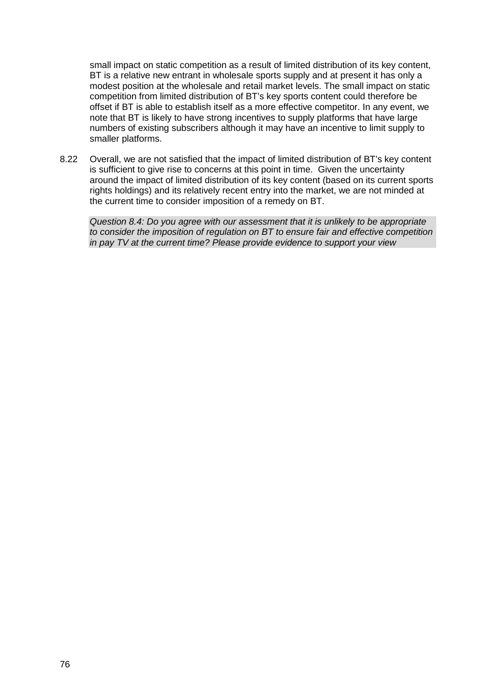small impact on static competition as a result of limited distribution of its key content, BT is a relative new entrant in wholesale sports supply and at present it has only a modest position at the wholesale and retail market levels. The small impact on static competition from limited distribution of BT's key sports content could therefore be offset if BT is able to establish itself as a more effective competitor. In any event, we note that BT is likely to have strong incentives to supply platforms that have large numbers of existing subscribers although it may have an incentive to limit supply to smaller platforms.

8.22 Overall, we are not satisfied that the impact of limited distribution of BT's key content is sufficient to give rise to concerns at this point in time. Given the uncertainty around the impact of limited distribution of its key content (based on its current sports rights holdings) and its relatively recent entry into the market, we are not minded at the current time to consider imposition of a remedy on BT.

*Question 8.4: Do you agree with our assessment that it is unlikely to be appropriate to consider the imposition of regulation on BT to ensure fair and effective competition in pay TV at the current time? Please provide evidence to support your view*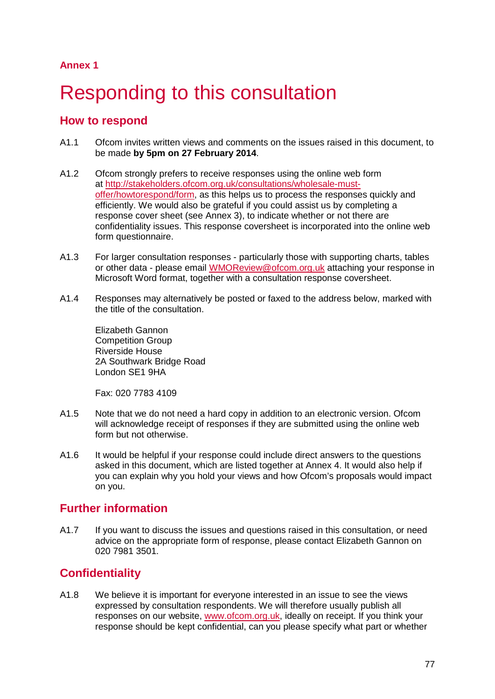# Responding to this consultation

## **How to respond**

- A1.1 Ofcom invites written views and comments on the issues raised in this document, to be made **by 5pm on 27 February 2014**.
- A1.2 Ofcom strongly prefers to receive responses using the online web form at [http://stakeholders.ofcom.org.uk/consultations/wholesale-must](http://stakeholders.ofcom.org.uk/consultations/wholesale-must-offer/howtorespond/form)[offer/howtorespond/form,](http://stakeholders.ofcom.org.uk/consultations/wholesale-must-offer/howtorespond/form) as this helps us to process the responses quickly and efficiently. We would also be grateful if you could assist us by completing a response cover sheet (see Annex 3), to indicate whether or not there are confidentiality issues. This response coversheet is incorporated into the online web form questionnaire.
- A1.3 For larger consultation responses particularly those with supporting charts, tables or other data - please email [WMOReview@ofcom.org.uk](mailto:WMOReview@ofcom.org.uk) attaching your response in Microsoft Word format, together with a consultation response coversheet.
- A1.4 Responses may alternatively be posted or faxed to the address below, marked with the title of the consultation.

Elizabeth Gannon Competition Group Riverside House 2A Southwark Bridge Road London SE1 9HA

Fax: 020 7783 4109

- A1.5 Note that we do not need a hard copy in addition to an electronic version. Ofcom will acknowledge receipt of responses if they are submitted using the online web form but not otherwise.
- A1.6 It would be helpful if your response could include direct answers to the questions asked in this document, which are listed together at Annex 4. It would also help if you can explain why you hold your views and how Ofcom's proposals would impact on you.

# **Further information**

A1.7 If you want to discuss the issues and questions raised in this consultation, or need advice on the appropriate form of response, please contact Elizabeth Gannon on 020 7981 3501.

# **Confidentiality**

A1.8 We believe it is important for everyone interested in an issue to see the views expressed by consultation respondents. We will therefore usually publish all responses on our website, [www.ofcom.org.uk,](http://www.ofcom.org.uk/) ideally on receipt. If you think your response should be kept confidential, can you please specify what part or whether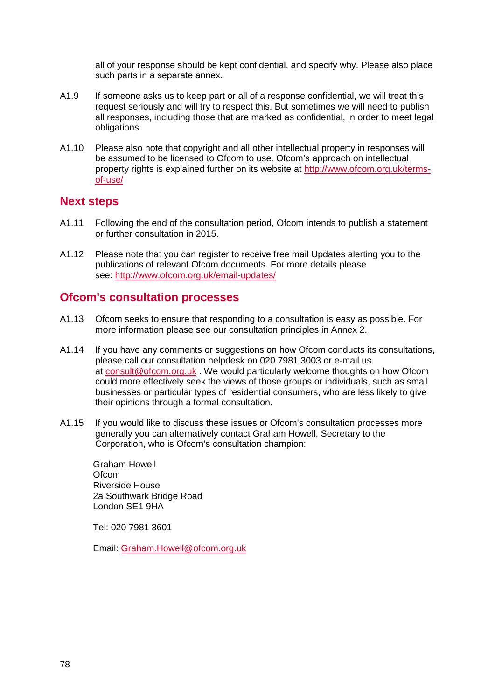all of your response should be kept confidential, and specify why. Please also place such parts in a separate annex.

- A1.9 If someone asks us to keep part or all of a response confidential, we will treat this request seriously and will try to respect this. But sometimes we will need to publish all responses, including those that are marked as confidential, in order to meet legal obligations.
- A1.10 Please also note that copyright and all other intellectual property in responses will be assumed to be licensed to Ofcom to use. Ofcom's approach on intellectual property rights is explained further on its website at [http://www.ofcom.org.uk/terms](http://www.ofcom.org.uk/terms-of-use/)[of-use/](http://www.ofcom.org.uk/terms-of-use/)

#### **Next steps**

- A1.11 Following the end of the consultation period, Ofcom intends to publish a statement or further consultation in 2015.
- A1.12 Please note that you can register to receive free mail Updates alerting you to the publications of relevant Ofcom documents. For more details please see:<http://www.ofcom.org.uk/email-updates/>

#### **Ofcom's consultation processes**

- A1.13 Ofcom seeks to ensure that responding to a consultation is easy as possible. For more information please see our consultation principles in Annex 2.
- A1.14 If you have any comments or suggestions on how Ofcom conducts its consultations, please call our consultation helpdesk on 020 7981 3003 or e-mail us at [consult@ofcom.org.uk](mailto:consult@ofcom.org.uk) . We would particularly welcome thoughts on how Ofcom could more effectively seek the views of those groups or individuals, such as small businesses or particular types of residential consumers, who are less likely to give their opinions through a formal consultation.
- A1.15 If you would like to discuss these issues or Ofcom's consultation processes more generally you can alternatively contact Graham Howell, Secretary to the Corporation, who is Ofcom's consultation champion:

Graham Howell **Ofcom** Riverside House 2a Southwark Bridge Road London SE1 9HA

Tel: 020 7981 3601

Email: [Graham.Howell@ofcom.org.uk](mailto:Graham.Howell@ofcom.org.uk)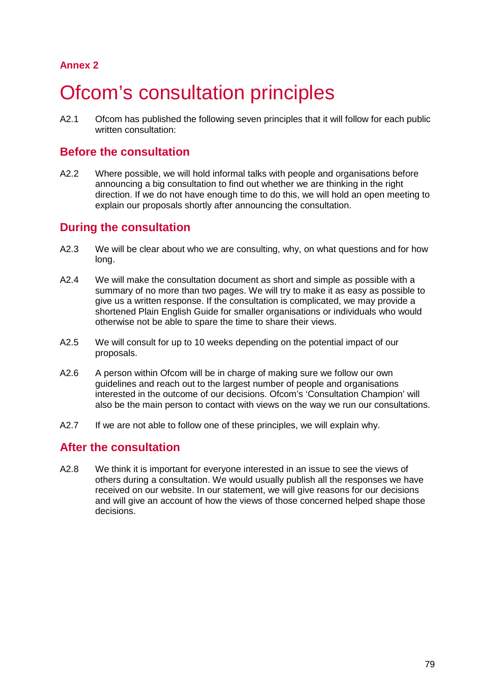# **Ofcom's consultation principles**

A2.1 Ofcom has published the following seven principles that it will follow for each public written consultation:

## **Before the consultation**

A2.2 Where possible, we will hold informal talks with people and organisations before announcing a big consultation to find out whether we are thinking in the right direction. If we do not have enough time to do this, we will hold an open meeting to explain our proposals shortly after announcing the consultation.

## **During the consultation**

- A2.3 We will be clear about who we are consulting, why, on what questions and for how long.
- A2.4 We will make the consultation document as short and simple as possible with a summary of no more than two pages. We will try to make it as easy as possible to give us a written response. If the consultation is complicated, we may provide a shortened Plain English Guide for smaller organisations or individuals who would otherwise not be able to spare the time to share their views.
- A2.5 We will consult for up to 10 weeks depending on the potential impact of our proposals.
- A2.6 A person within Ofcom will be in charge of making sure we follow our own guidelines and reach out to the largest number of people and organisations interested in the outcome of our decisions. Ofcom's 'Consultation Champion' will also be the main person to contact with views on the way we run our consultations.
- A2.7 If we are not able to follow one of these principles, we will explain why.

## **After the consultation**

A2.8 We think it is important for everyone interested in an issue to see the views of others during a consultation. We would usually publish all the responses we have received on our website. In our statement, we will give reasons for our decisions and will give an account of how the views of those concerned helped shape those decisions.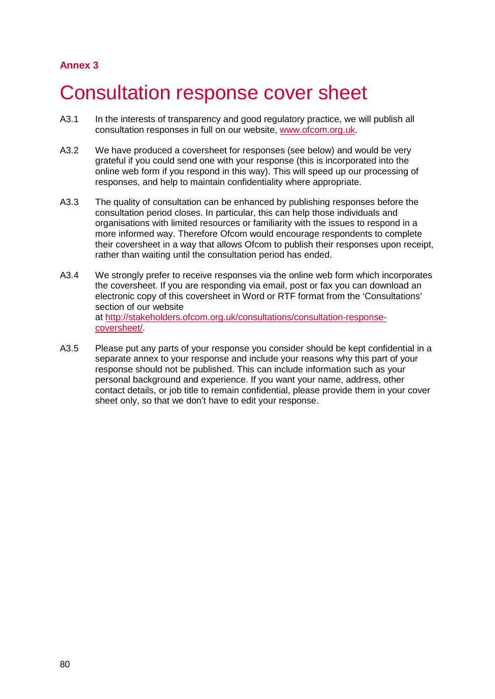# 3 Consultation response cover sheet

- A3.1 In the interests of transparency and good regulatory practice, we will publish all consultation responses in full on our website, [www.ofcom.org.uk.](http://www.ofcom.org.uk/)
- A3.2 We have produced a coversheet for responses (see below) and would be very grateful if you could send one with your response (this is incorporated into the online web form if you respond in this way). This will speed up our processing of responses, and help to maintain confidentiality where appropriate.
- A3.3 The quality of consultation can be enhanced by publishing responses before the consultation period closes. In particular, this can help those individuals and organisations with limited resources or familiarity with the issues to respond in a more informed way. Therefore Ofcom would encourage respondents to complete their coversheet in a way that allows Ofcom to publish their responses upon receipt, rather than waiting until the consultation period has ended.
- A3.4 We strongly prefer to receive responses via the online web form which incorporates the coversheet. If you are responding via email, post or fax you can download an electronic copy of this coversheet in Word or RTF format from the 'Consultations' section of our website at [http://stakeholders.ofcom.org.uk/consultations/consultation-response](http://stakeholders.ofcom.org.uk/consultations/consultation-response-coversheet/)[coversheet/.](http://stakeholders.ofcom.org.uk/consultations/consultation-response-coversheet/)
- A3.5 Please put any parts of your response you consider should be kept confidential in a separate annex to your response and include your reasons why this part of your response should not be published. This can include information such as your personal background and experience. If you want your name, address, other contact details, or job title to remain confidential, please provide them in your cover sheet only, so that we don't have to edit your response.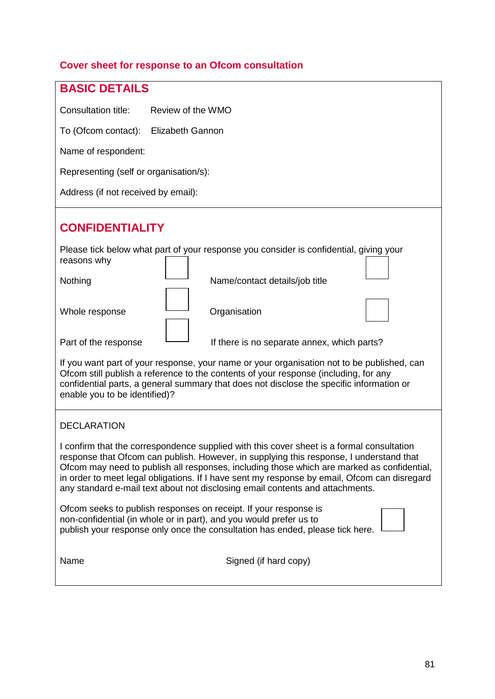# **Cover sheet for response to an Ofcom consultation**

| <b>BASIC DETAILS</b>                                                                                                                                                                                                                                                                                                                                                                                                                                                |  |  |  |  |
|---------------------------------------------------------------------------------------------------------------------------------------------------------------------------------------------------------------------------------------------------------------------------------------------------------------------------------------------------------------------------------------------------------------------------------------------------------------------|--|--|--|--|
|                                                                                                                                                                                                                                                                                                                                                                                                                                                                     |  |  |  |  |
| Consultation title:<br>Review of the WMO                                                                                                                                                                                                                                                                                                                                                                                                                            |  |  |  |  |
| <b>Elizabeth Gannon</b><br>To (Ofcom contact):                                                                                                                                                                                                                                                                                                                                                                                                                      |  |  |  |  |
| Name of respondent:                                                                                                                                                                                                                                                                                                                                                                                                                                                 |  |  |  |  |
| Representing (self or organisation/s):                                                                                                                                                                                                                                                                                                                                                                                                                              |  |  |  |  |
| Address (if not received by email):                                                                                                                                                                                                                                                                                                                                                                                                                                 |  |  |  |  |
| <b>CONFIDENTIALITY</b>                                                                                                                                                                                                                                                                                                                                                                                                                                              |  |  |  |  |
| Please tick below what part of your response you consider is confidential, giving your<br>reasons why                                                                                                                                                                                                                                                                                                                                                               |  |  |  |  |
| Name/contact details/job title<br>Nothing                                                                                                                                                                                                                                                                                                                                                                                                                           |  |  |  |  |
| Whole response<br>Organisation                                                                                                                                                                                                                                                                                                                                                                                                                                      |  |  |  |  |
| Part of the response<br>If there is no separate annex, which parts?                                                                                                                                                                                                                                                                                                                                                                                                 |  |  |  |  |
| If you want part of your response, your name or your organisation not to be published, can<br>Ofcom still publish a reference to the contents of your response (including, for any<br>confidential parts, a general summary that does not disclose the specific information or<br>enable you to be identified)?                                                                                                                                                     |  |  |  |  |
| <b>DECLARATION</b>                                                                                                                                                                                                                                                                                                                                                                                                                                                  |  |  |  |  |
| I confirm that the correspondence supplied with this cover sheet is a formal consultation<br>response that Ofcom can publish. However, in supplying this response, I understand that<br>Ofcom may need to publish all responses, including those which are marked as confidential,<br>in order to meet legal obligations. If I have sent my response by email, Ofcom can disregard<br>any standard e-mail text about not disclosing email contents and attachments. |  |  |  |  |
| Ofcom seeks to publish responses on receipt. If your response is<br>non-confidential (in whole or in part), and you would prefer us to<br>publish your response only once the consultation has ended, please tick here.                                                                                                                                                                                                                                             |  |  |  |  |
| Name<br>Signed (if hard copy)                                                                                                                                                                                                                                                                                                                                                                                                                                       |  |  |  |  |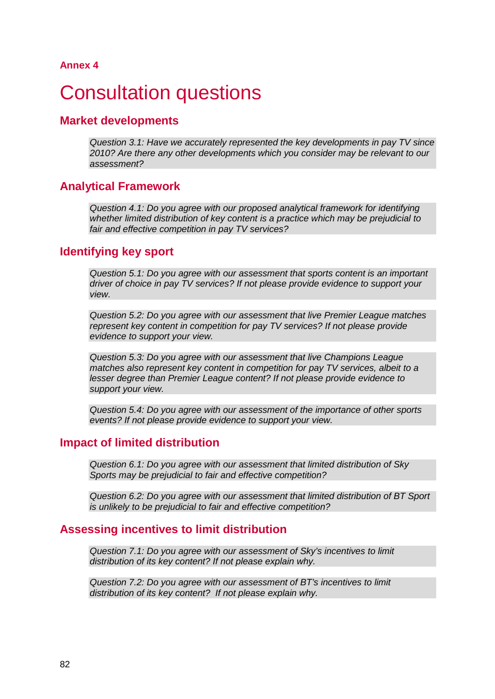# **Consultation questions**

#### **Market developments**

*Question 3.1: Have we accurately represented the key developments in pay TV since 2010? Are there any other developments which you consider may be relevant to our assessment?*

#### **Analytical Framework**

*Question 4.1: Do you agree with our proposed analytical framework for identifying whether limited distribution of key content is a practice which may be prejudicial to fair and effective competition in pay TV services?*

## **Identifying key sport**

*Question 5.1: Do you agree with our assessment that sports content is an important driver of choice in pay TV services? If not please provide evidence to support your view.* 

*Question 5.2: Do you agree with our assessment that live Premier League matches represent key content in competition for pay TV services? If not please provide evidence to support your view.*

*Question 5.3: Do you agree with our assessment that live Champions League matches also represent key content in competition for pay TV services, albeit to a lesser degree than Premier League content? If not please provide evidence to support your view.*

*Question 5.4: Do you agree with our assessment of the importance of other sports events? If not please provide evidence to support your view.*

#### **Impact of limited distribution**

*Question 6.1: Do you agree with our assessment that limited distribution of Sky Sports may be prejudicial to fair and effective competition?* 

*Question 6.2: Do you agree with our assessment that limited distribution of BT Sport is unlikely to be prejudicial to fair and effective competition?*

#### **Assessing incentives to limit distribution**

*Question 7.1: Do you agree with our assessment of Sky's incentives to limit distribution of its key content? If not please explain why.*

*Question 7.2: Do you agree with our assessment of BT's incentives to limit distribution of its key content? If not please explain why.*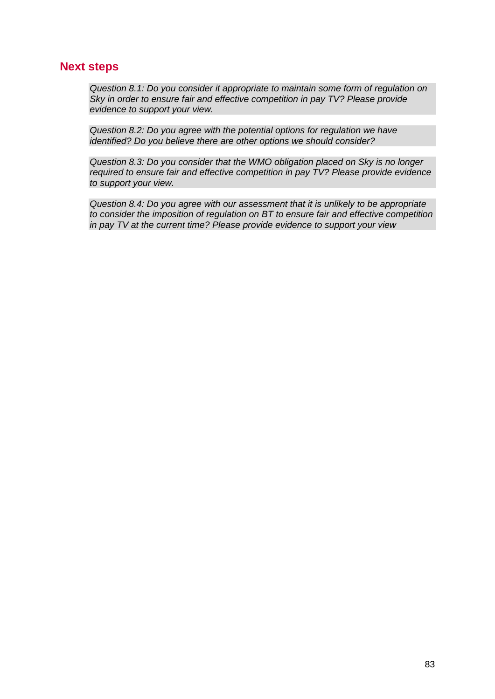#### **Next steps**

*Question 8.1: Do you consider it appropriate to maintain some form of regulation on Sky in order to ensure fair and effective competition in pay TV? Please provide evidence to support your view.*

*Question 8.2: Do you agree with the potential options for regulation we have identified? Do you believe there are other options we should consider?* 

*Question 8.3: Do you consider that the WMO obligation placed on Sky is no longer required to ensure fair and effective competition in pay TV? Please provide evidence to support your view.*

*Question 8.4: Do you agree with our assessment that it is unlikely to be appropriate to consider the imposition of regulation on BT to ensure fair and effective competition in pay TV at the current time? Please provide evidence to support your view*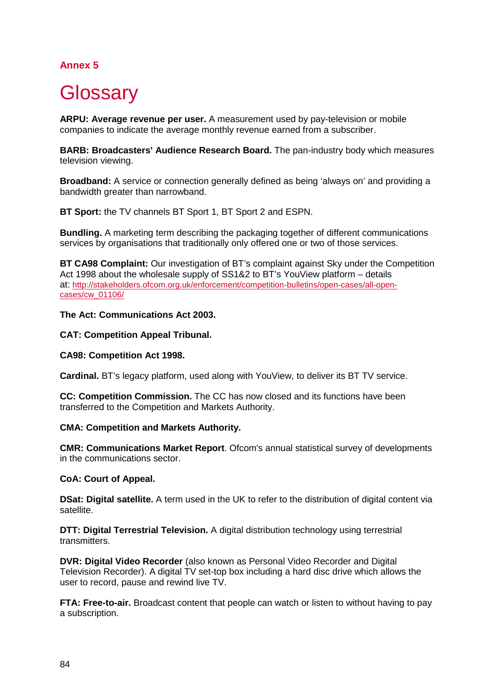# **Glossary**

**ARPU: Average revenue per user.** A measurement used by pay-television or mobile companies to indicate the average monthly revenue earned from a subscriber.

**BARB: Broadcasters' Audience Research Board.** The pan-industry body which measures television viewing.

**Broadband:** A service or connection generally defined as being 'always on' and providing a bandwidth greater than narrowband.

**BT Sport:** the TV channels BT Sport 1, BT Sport 2 and ESPN.

**Bundling.** A marketing term describing the packaging together of different communications services by organisations that traditionally only offered one or two of those services.

**BT CA98 Complaint:** Our investigation of BT's complaint against Sky under the Competition Act 1998 about the wholesale supply of SS1&2 to BT's YouView platform – details at: [http://stakeholders.ofcom.org.uk/enforcement/competition-bulletins/open-cases/all-open](http://stakeholders.ofcom.org.uk/enforcement/competition-bulletins/open-cases/all-open-cases/cw_01106/)[cases/cw\\_01106/](http://stakeholders.ofcom.org.uk/enforcement/competition-bulletins/open-cases/all-open-cases/cw_01106/)

#### **The Act: Communications Act 2003.**

#### **CAT: Competition Appeal Tribunal.**

#### **CA98: Competition Act 1998.**

**Cardinal.** BT's legacy platform, used along with YouView, to deliver its BT TV service.

**CC: Competition Commission.** The CC has now closed and its functions have been transferred to the Competition and Markets Authority.

#### **CMA: Competition and Markets Authority.**

**CMR: Communications Market Report**. Ofcom's annual statistical survey of developments in the communications sector.

#### **CoA: Court of Appeal.**

**DSat: Digital satellite.** A term used in the UK to refer to the distribution of digital content via satellite.

**DTT: Digital Terrestrial Television.** A digital distribution technology using terrestrial transmitters.

**DVR: Digital Video Recorder** (also known as Personal Video Recorder and Digital Television Recorder). A digital TV set-top box including a hard disc drive which allows the user to record, pause and rewind live TV.

**FTA: Free-to-air.** Broadcast content that people can watch or listen to without having to pay a subscription.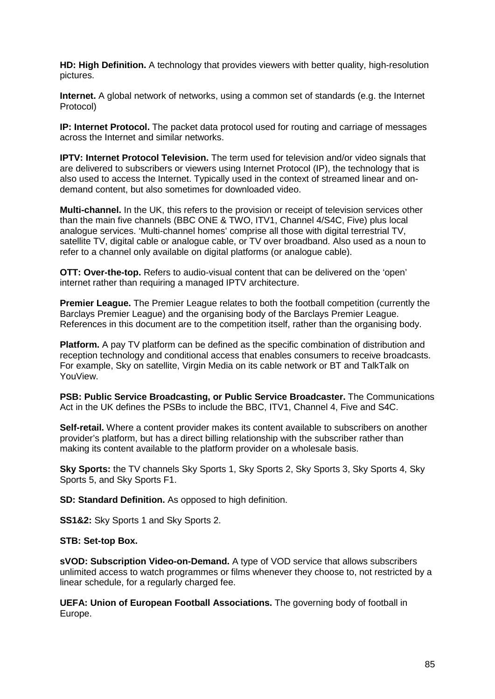**HD: High Definition.** A technology that provides viewers with better quality, high-resolution pictures.

**Internet.** A global network of networks, using a common set of standards (e.g. the Internet Protocol)

**IP: Internet Protocol.** The packet data protocol used for routing and carriage of messages across the Internet and similar networks.

**IPTV: Internet Protocol Television.** The term used for television and/or video signals that are delivered to subscribers or viewers using Internet Protocol (IP), the technology that is also used to access the Internet. Typically used in the context of streamed linear and ondemand content, but also sometimes for downloaded video.

**Multi-channel.** In the UK, this refers to the provision or receipt of television services other than the main five channels (BBC ONE & TWO, ITV1, Channel 4/S4C, Five) plus local analogue services. 'Multi-channel homes' comprise all those with digital terrestrial TV, satellite TV, digital cable or analogue cable, or TV over broadband. Also used as a noun to refer to a channel only available on digital platforms (or analogue cable).

**OTT: Over-the-top.** Refers to audio-visual content that can be delivered on the 'open' internet rather than requiring a managed IPTV architecture.

**Premier League.** The Premier League relates to both the football competition (currently the Barclays Premier League) and the organising body of the Barclays Premier League. References in this document are to the competition itself, rather than the organising body.

**Platform.** A pay TV platform can be defined as the specific combination of distribution and reception technology and conditional access that enables consumers to receive broadcasts. For example, Sky on satellite, Virgin Media on its cable network or BT and TalkTalk on YouView.

**PSB: Public Service Broadcasting, or Public Service Broadcaster.** The Communications Act in the UK defines the PSBs to include the BBC, ITV1, Channel 4, Five and S4C.

**Self-retail.** Where a content provider makes its content available to subscribers on another provider's platform, but has a direct billing relationship with the subscriber rather than making its content available to the platform provider on a wholesale basis.

**Sky Sports:** the TV channels Sky Sports 1, Sky Sports 2, Sky Sports 3, Sky Sports 4, Sky Sports 5, and Sky Sports F1.

**SD: Standard Definition.** As opposed to high definition.

**SS1&2:** Sky Sports 1 and Sky Sports 2.

#### **STB: Set-top Box.**

**sVOD: Subscription Video-on-Demand.** A type of VOD service that allows subscribers unlimited access to watch programmes or films whenever they choose to, not restricted by a linear schedule, for a regularly charged fee.

**UEFA: Union of European Football Associations.** The governing body of football in Europe.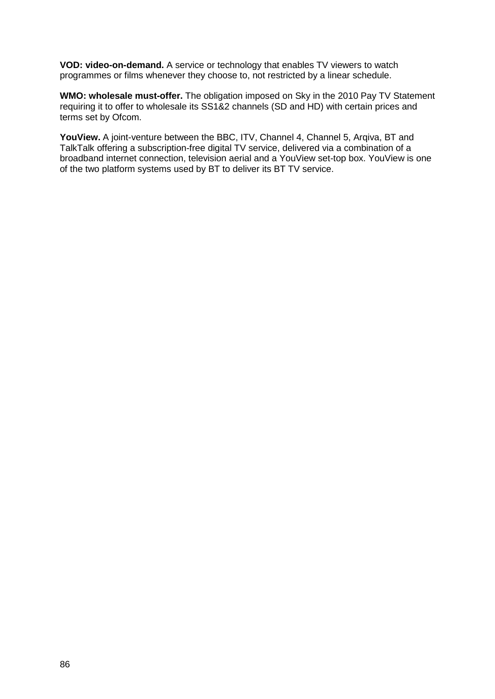**VOD: video-on-demand.** A service or technology that enables TV viewers to watch programmes or films whenever they choose to, not restricted by a linear schedule.

**WMO: wholesale must-offer.** The obligation imposed on Sky in the 2010 Pay TV Statement requiring it to offer to wholesale its SS1&2 channels (SD and HD) with certain prices and terms set by Ofcom.

**YouView.** A joint-venture between the BBC, ITV, Channel 4, Channel 5, Arqiva, BT and TalkTalk offering a subscription-free digital TV service, delivered via a combination of a broadband internet connection, television aerial and a YouView set-top box. YouView is one of the two platform systems used by BT to deliver its BT TV service.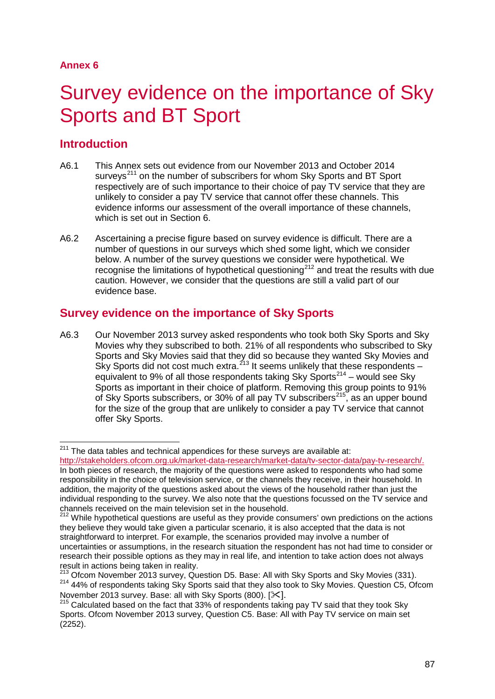# Survey evidence on the importance of Sky Sports and BT Sport

## **Introduction**

- A6.1 This Annex sets out evidence from our November 2013 and October 2014 surveys<sup>[211](#page-87-0)</sup> on the number of subscribers for whom Sky Sports and BT Sport respectively are of such importance to their choice of pay TV service that they are unlikely to consider a pay TV service that cannot offer these channels. This evidence informs our assessment of the overall importance of these channels, which is set out in Section 6.
- A6.2 Ascertaining a precise figure based on survey evidence is difficult. There are a number of questions in our surveys which shed some light, which we consider below. A number of the survey questions we consider were hypothetical. We recognise the limitations of hypothetical questioning<sup>[212](#page-87-1)</sup> and treat the results with due caution. However, we consider that the questions are still a valid part of our evidence base.

## **Survey evidence on the importance of Sky Sports**

A6.3 Our November 2013 survey asked respondents who took both Sky Sports and Sky Movies why they subscribed to both. 21% of all respondents who subscribed to Sky Sports and Sky Movies said that they did so because they wanted Sky Movies and Sky Sports did not cost much extra.<sup>[213](#page-87-2)</sup> It seems unlikely that these respondents – equivalent to 9% of all those respondents taking Sky Sports<sup>[214](#page-87-3)</sup> – would see Sky Sports as important in their choice of platform. Removing this group points to 91% of Sky Sports subscribers, or 30% of all pay TV subscribers<sup>215</sup>, as an upper bound for the size of the group that are unlikely to consider a pay TV service that cannot offer Sky Sports.

 $211$  The data tables and technical appendices for these surveys are available at:  $\overline{a}$ 

<span id="page-87-0"></span>[http://stakeholders.ofcom.org.uk/market-data-research/market-data/tv-sector-data/pay-tv-research/.](http://stakeholders.ofcom.org.uk/market-data-research/market-data/tv-sector-data/pay-tv-research/) In both pieces of research, the majority of the questions were asked to respondents who had some responsibility in the choice of television service, or the channels they receive, in their household. In addition, the majority of the questions asked about the views of the household rather than just the individual responding to the survey. We also note that the questions focussed on the TV service and channels received on the main television set in the household.

<span id="page-87-1"></span><sup>&</sup>lt;sup>212</sup> While hypothetical questions are useful as they provide consumers' own predictions on the actions they believe they would take given a particular scenario, it is also accepted that the data is not straightforward to interpret. For example, the scenarios provided may involve a number of uncertainties or assumptions, in the research situation the respondent has not had time to consider or research their possible options as they may in real life, and intention to take action does not always<br>result in actions being taken in reality.

<span id="page-87-3"></span><span id="page-87-2"></span><sup>&</sup>lt;sup>213</sup> Ofcom November 2013 survey, Question D5. Base: All with Sky Sports and Sky Movies (331).<br><sup>214</sup> 44% of respondents taking Sky Sports said that they also took to Sky Movies. Question C5, Ofcom<br>November 2013 survey. Ba

<span id="page-87-4"></span> $215$  Calculated based on the fact that 33% of respondents taking pay TV said that they took Sky Sports. Ofcom November 2013 survey, Question C5. Base: All with Pay TV service on main set (2252).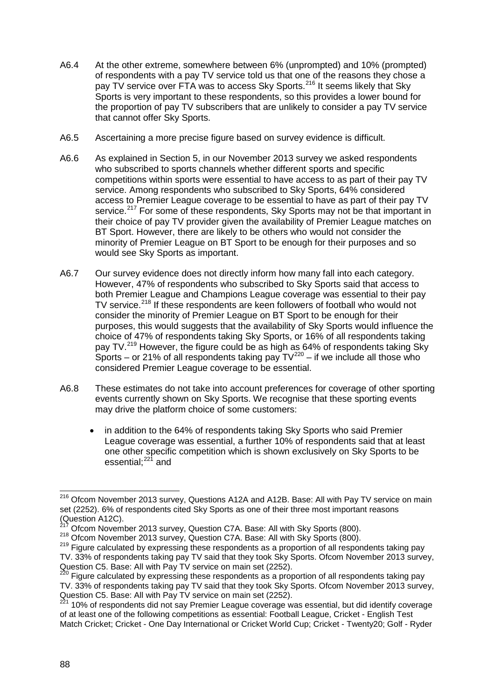- A6.4 At the other extreme, somewhere between 6% (unprompted) and 10% (prompted) of respondents with a pay TV service told us that one of the reasons they chose a pay TV service over FTA was to access Sky Sports.<sup>[216](#page-88-0)</sup> It seems likely that Sky Sports is very important to these respondents, so this provides a lower bound for the proportion of pay TV subscribers that are unlikely to consider a pay TV service that cannot offer Sky Sports.
- A6.5 Ascertaining a more precise figure based on survey evidence is difficult.
- A6.6 As explained in Section 5, in our November 2013 survey we asked respondents who subscribed to sports channels whether different sports and specific competitions within sports were essential to have access to as part of their pay TV service. Among respondents who subscribed to Sky Sports, 64% considered access to Premier League coverage to be essential to have as part of their pay TV service.<sup>[217](#page-88-1)</sup> For some of these respondents, Sky Sports may not be that important in their choice of pay TV provider given the availability of Premier League matches on BT Sport. However, there are likely to be others who would not consider the minority of Premier League on BT Sport to be enough for their purposes and so would see Sky Sports as important.
- A6.7 Our survey evidence does not directly inform how many fall into each category. However, 47% of respondents who subscribed to Sky Sports said that access to both Premier League and Champions League coverage was essential to their pay TV service.<sup>[218](#page-88-2)</sup> If these respondents are keen followers of football who would not consider the minority of Premier League on BT Sport to be enough for their purposes, this would suggests that the availability of Sky Sports would influence the choice of 47% of respondents taking Sky Sports, or 16% of all respondents taking pay TV.<sup>[219](#page-88-3)</sup> However, the figure could be as high as 64% of respondents taking Sky Sports – or 21% of all respondents taking pay  $\text{TV}^{220}$  $\text{TV}^{220}$  $\text{TV}^{220}$  – if we include all those who considered Premier League coverage to be essential.
- A6.8 These estimates do not take into account preferences for coverage of other sporting events currently shown on Sky Sports. We recognise that these sporting events may drive the platform choice of some customers:
	- in addition to the 64% of respondents taking Sky Sports who said Premier League coverage was essential, a further 10% of respondents said that at least one other specific competition which is shown exclusively on Sky Sports to be essential:<sup>[221](#page-88-5)</sup> and

<span id="page-88-0"></span><sup>&</sup>lt;sup>216</sup> Ofcom November 2013 survey, Questions A12A and A12B. Base: All with Pay TV service on main set (2252). 6% of respondents cited Sky Sports as one of their three most important reasons (Question A12C).<br><sup>217</sup> Ofcom November 2013 survey, Question C7A. Base: All with Sky Sports (800).  $\overline{a}$ 

<span id="page-88-3"></span><span id="page-88-2"></span><span id="page-88-1"></span><sup>218</sup> Ofcom November 2013 survey, Question C7A. Base: All with Sky Sports (800).<br><sup>219</sup> Figure calculated by expressing these respondents as a proportion of all respondents taking pay TV. 33% of respondents taking pay TV said that they took Sky Sports. Ofcom November 2013 survey, Question C5. Base: All with Pay TV service on main set (2252).

<span id="page-88-4"></span><sup>&</sup>lt;sup>220</sup> Figure calculated by expressing these respondents as a proportion of all respondents taking pay TV. 33% of respondents taking pay TV said that they took Sky Sports. Ofcom November 2013 survey, Question C5. Base: All with Pay TV service on main set (2252). <sup>221</sup> 10% of respondents did not say Premier League coverage was essential, but did identify coverage

<span id="page-88-5"></span>of at least one of the following competitions as essential: Football League, Cricket - English Test Match Cricket; Cricket - One Day International or Cricket World Cup; Cricket - Twenty20; Golf - Ryder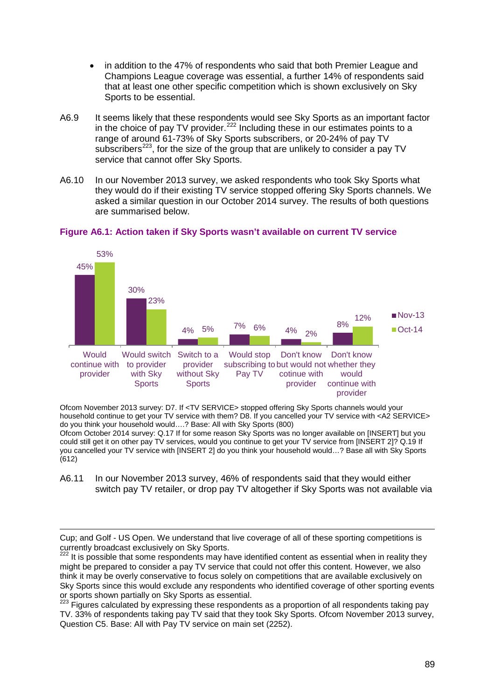- in addition to the 47% of respondents who said that both Premier League and Champions League coverage was essential, a further 14% of respondents said that at least one other specific competition which is shown exclusively on Sky Sports to be essential.
- A6.9 It seems likely that these respondents would see Sky Sports as an important factor in the choice of pay TV provider.<sup>[222](#page-89-0)</sup> Including these in our estimates points to a range of around 61-73% of Sky Sports subscribers, or 20-24% of pay TV subscribers<sup>223</sup>, for the size of the group that are unlikely to consider a pay TV service that cannot offer Sky Sports.
- A6.10 In our November 2013 survey, we asked respondents who took Sky Sports what they would do if their existing TV service stopped offering Sky Sports channels. We asked a similar question in our October 2014 survey. The results of both questions are summarised below.



#### **Figure A6.1: Action taken if Sky Sports wasn't available on current TV service**

Ofcom November 2013 survey: D7. If <TV SERVICE> stopped offering Sky Sports channels would your household continue to get your TV service with them? D8. If you cancelled your TV service with <A2 SERVICE> do you think your household would….? Base: All with Sky Sports (800) Ofcom October 2014 survey: Q.17 If for some reason Sky Sports was no longer available on [INSERT] but you could still get it on other pay TV services, would you continue to get your TV service from [INSERT 2]? Q.19 If

you cancelled your TV service with [INSERT 2] do you think your household would…? Base all with Sky Sports (612)

A6.11 In our November 2013 survey, 46% of respondents said that they would either switch pay TV retailer, or drop pay TV altogether if Sky Sports was not available via

Cup; and Golf - US Open. We understand that live coverage of all of these sporting competitions is currently broadcast exclusively on Sky Sports. -

<span id="page-89-0"></span> $222$  It is possible that some respondents may have identified content as essential when in reality they might be prepared to consider a pay TV service that could not offer this content. However, we also think it may be overly conservative to focus solely on competitions that are available exclusively on Sky Sports since this would exclude any respondents who identified coverage of other sporting events or sports shown partially on Sky Sports as essential.

<span id="page-89-1"></span> $223$  Figures calculated by expressing these respondents as a proportion of all respondents taking pay TV. 33% of respondents taking pay TV said that they took Sky Sports. Ofcom November 2013 survey, Question C5. Base: All with Pay TV service on main set (2252).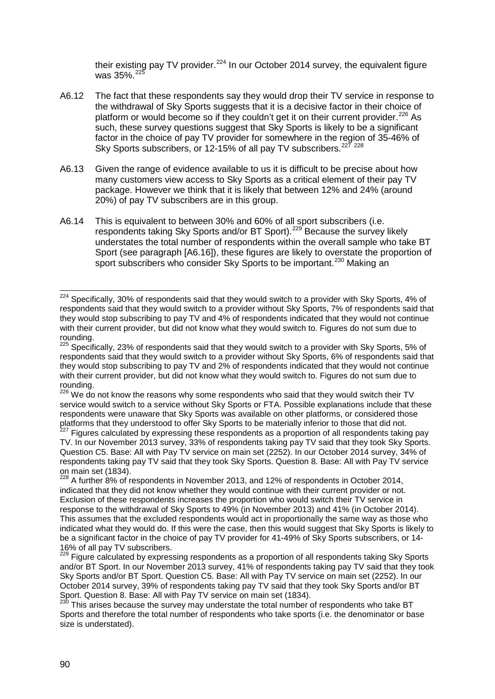their existing pay TV provider. $^{224}$  $^{224}$  $^{224}$  In our October 2014 survey, the equivalent figure was 35% [225](#page-90-1)

- A6.12 The fact that these respondents say they would drop their TV service in response to the withdrawal of Sky Sports suggests that it is a decisive factor in their choice of platform or would become so if they couldn't get it on their current provider.<sup>[226](#page-90-2)</sup> As such, these survey questions suggest that Sky Sports is likely to be a significant factor in the choice of pay TV provider for somewhere in the region of 35-46% of Sky Sports subscribers, or 12-15% of all pay TV subscribers.<sup>[227](#page-90-3) [228](#page-90-4)</sup>
- A6.13 Given the range of evidence available to us it is difficult to be precise about how many customers view access to Sky Sports as a critical element of their pay TV package. However we think that it is likely that between 12% and 24% (around 20%) of pay TV subscribers are in this group.
- A6.14 This is equivalent to between 30% and 60% of all sport subscribers (i.e. respondents taking Sky Sports and/or BT Sport).<sup>[229](#page-90-5)</sup> Because the survey likely understates the total number of respondents within the overall sample who take BT Sport (see paragraph [\[A6.16\]](#page-91-0)), these figures are likely to overstate the proportion of sport subscribers who consider Sky Sports to be important.<sup>[230](#page-90-6)</sup> Making an

<span id="page-90-0"></span> $224$  Specifically, 30% of respondents said that they would switch to a provider with Sky Sports, 4% of respondents said that they would switch to a provider without Sky Sports, 7% of respondents said that they would stop subscribing to pay TV and 4% of respondents indicated that they would not continue with their current provider, but did not know what they would switch to. Figures do not sum due to rounding.  $\overline{a}$ 

<span id="page-90-1"></span><sup>&</sup>lt;sup>225</sup> Specifically. 23% of respondents said that they would switch to a provider with Sky Sports, 5% of respondents said that they would switch to a provider without Sky Sports, 6% of respondents said that they would stop subscribing to pay TV and 2% of respondents indicated that they would not continue with their current provider, but did not know what they would switch to. Figures do not sum due to rounding.

<span id="page-90-2"></span> $226$  We do not know the reasons why some respondents who said that they would switch their TV service would switch to a service without Sky Sports or FTA. Possible explanations include that these respondents were unaware that Sky Sports was available on other platforms, or considered those platforms that they understood to offer Sky Sports to be materially inferior to those that did not.<br><sup>227</sup> Figures calculated by expressing these respondents as a proportion of all respondents taking pay

<span id="page-90-3"></span>TV. In our November 2013 survey, 33% of respondents taking pay TV said that they took Sky Sports. Question C5. Base: All with Pay TV service on main set (2252). In our October 2014 survey, 34% of respondents taking pay TV said that they took Sky Sports. Question 8. Base: All with Pay TV service on main set  $(1834)$ .

<span id="page-90-4"></span><sup>228</sup> A further 8% of respondents in November 2013, and 12% of respondents in October 2014, indicated that they did not know whether they would continue with their current provider or not. Exclusion of these respondents increases the proportion who would switch their TV service in response to the withdrawal of Sky Sports to 49% (in November 2013) and 41% (in October 2014). This assumes that the excluded respondents would act in proportionally the same way as those who indicated what they would do. If this were the case, then this would suggest that Sky Sports is likely to be a significant factor in the choice of pay TV provider for 41-49% of Sky Sports subscribers, or 14- 16% of all pay TV subscribers.

<span id="page-90-5"></span><sup>&</sup>lt;sup>229</sup> Figure calculated by expressing respondents as a proportion of all respondents taking Sky Sports and/or BT Sport. In our November 2013 survey, 41% of respondents taking pay TV said that they took Sky Sports and/or BT Sport. Question C5. Base: All with Pay TV service on main set (2252). In our October 2014 survey, 39% of respondents taking pay TV said that they took Sky Sports and/or BT Sport. Question 8. Base: All with Pay TV service on main set (1834).<br><sup>230</sup> This arises because the survey may understate the total number of respondents who take BT

<span id="page-90-6"></span>Sports and therefore the total number of respondents who take sports (i.e. the denominator or base size is understated).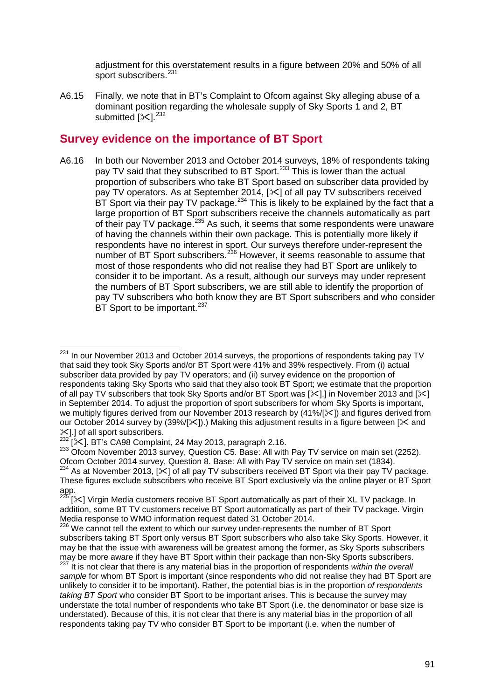adjustment for this overstatement results in a figure between 20% and 50% of all sport subscribers.<sup>[231](#page-91-1)</sup>

A6.15 Finally, we note that in BT's Complaint to Ofcom against Sky alleging abuse of a dominant position regarding the wholesale supply of Sky Sports 1 and 2, BT submitted [ $\ll$ ]. $^{232}$  $^{232}$  $^{232}$ 

### **Survey evidence on the importance of BT Sport**

<span id="page-91-0"></span>A6.16 In both our November 2013 and October 2014 surveys, 18% of respondents taking pay TV said that they subscribed to BT Sport.<sup>[233](#page-91-3)</sup> This is lower than the actual proportion of subscribers who take BT Sport based on subscriber data provided by pay TV operators. As at September 2014,  $[\times]$  of all pay TV subscribers received  $BT$  Sport via their pay TV package.  $234$  This is likely to be explained by the fact that a large proportion of BT Sport subscribers receive the channels automatically as part of their pay TV package.<sup>[235](#page-91-5)</sup> As such, it seems that some respondents were unaware of having the channels within their own package. This is potentially more likely if respondents have no interest in sport. Our surveys therefore under-represent the number of BT Sport subscribers.<sup>[236](#page-91-6)</sup> However, it seems reasonable to assume that most of those respondents who did not realise they had BT Sport are unlikely to consider it to be important. As a result, although our surveys may under represent the numbers of BT Sport subscribers, we are still able to identify the proportion of pay TV subscribers who both know they are BT Sport subscribers and who consider BT Sport to be important.<sup>[237](#page-91-7)</sup>

<span id="page-91-3"></span><span id="page-91-2"></span>233 Ofcom November 2013 survey, Question C5. Base: All with Pay TV service on main set (2252). Ofcom October 2014 survey, Question 8. Base: All with Pay TV service on main set (1834).<br><sup>234</sup> As at November 2013, [ $\times$ ] of all pay TV subscribers received BT Sport via their pay TV package.

<span id="page-91-1"></span>In our November 2013 and October 2014 surveys, the proportions of respondents taking pay TV that said they took Sky Sports and/or BT Sport were 41% and 39% respectively. From (i) actual subscriber data provided by pay TV operators; and (ii) survey evidence on the proportion of respondents taking Sky Sports who said that they also took BT Sport; we estimate that the proportion of all pay TV subscribers that took Sky Sports and/or BT Sport was [ $\ll$ ]. In November 2013 and [ $\ll$ ] in September 2014. To adjust the proportion of sport subscribers for whom Sky Sports is important, we multiply figures derived from our November 2013 research by (41%/[ $\ll$ ]) and figures derived from our October 2014 survey by (39%/[ $\angle$ ]).) Making this adjustment results in a figure between [ $\angle$  and  $\mathcal{L}$ ].] of all sport subscribers.<br><sup>232</sup> [<sup>232</sup>]. BT's CA98 Complaint, 24 May 2013, paragraph 2.16. 231

<span id="page-91-4"></span>These figures exclude subscribers who receive BT Sport exclusively via the online player or BT Sport app.<br> $235<sub>19</sub>$ 

<span id="page-91-5"></span><sup>[</sup> $\ge$ ] Virgin Media customers receive BT Sport automatically as part of their XL TV package. In addition, some BT TV customers receive BT Sport automatically as part of their TV package. Virgin Media response to WMO information request dated 31 October 2014.

<span id="page-91-6"></span><sup>&</sup>lt;sup>236</sup> We cannot tell the extent to which our survey under-represents the number of BT Sport subscribers taking BT Sport only versus BT Sport subscribers who also take Sky Sports. However, it may be that the issue with awareness will be greatest among the former, as Sky Sports subscribers may be more aware if they have BT Sport within their package than non-Sky Sports subscribers.<br><sup>237</sup> It is not clear that there is any material bias in the proportion of respondents *within the overall* 

<span id="page-91-7"></span>*sample* for whom BT Sport is important (since respondents who did not realise they had BT Sport are unlikely to consider it to be important). Rather, the potential bias is in the proportion *of respondents taking BT Sport* who consider BT Sport to be important arises. This is because the survey may understate the total number of respondents who take BT Sport (i.e. the denominator or base size is understated). Because of this, it is not clear that there is any material bias in the proportion of all respondents taking pay TV who consider BT Sport to be important (i.e. when the number of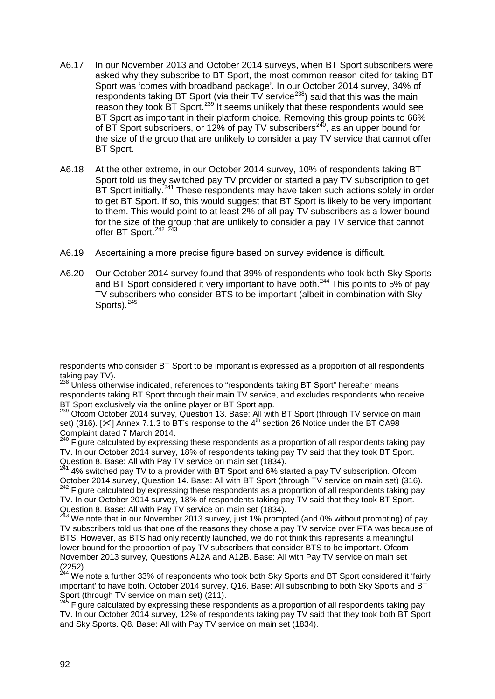- A6.17 In our November 2013 and October 2014 surveys, when BT Sport subscribers were asked why they subscribe to BT Sport, the most common reason cited for taking BT Sport was 'comes with broadband package'. In our October 2014 survey, 34% of respondents taking BT Sport (via their TV service<sup>[238](#page-92-0)</sup>) said that this was the main reason they took BT Sport.<sup>[239](#page-92-1)</sup> It seems unlikely that these respondents would see BT Sport as important in their platform choice. Removing this group points to 66% of BT Sport subscribers, or 12% of pay TV subscribers<sup>[240](#page-92-2)</sup>, as an upper bound for the size of the group that are unlikely to consider a pay TV service that cannot offer BT Sport.
- A6.18 At the other extreme, in our October 2014 survey, 10% of respondents taking BT Sport told us they switched pay TV provider or started a pay TV subscription to get BT Sport initially.<sup>[241](#page-92-3)</sup> These respondents may have taken such actions solely in order to get BT Sport. If so, this would suggest that BT Sport is likely to be very important to them. This would point to at least 2% of all pay TV subscribers as a lower bound for the size of the group that are unlikely to consider a pay TV service that cannot offer BT Sport.<sup>[242](#page-92-4) [243](#page-92-5)</sup>
- A6.19 Ascertaining a more precise figure based on survey evidence is difficult.
- A6.20 Our October 2014 survey found that 39% of respondents who took both Sky Sports and BT Sport considered it very important to have both.<sup>[244](#page-92-6)</sup> This points to 5% of pay TV subscribers who consider BTS to be important (albeit in combination with Sky Sports). $245$

<span id="page-92-2"></span>240 Figure calculated by expressing these respondents as a proportion of all respondents taking pay TV. In our October 2014 survey, 18% of respondents taking pay TV said that they took BT Sport. Question 8. Base: All with Pay TV service on main set (1834).

<span id="page-92-4"></span>TV. In our October 2014 survey, 18% of respondents taking pay TV said that they took BT Sport. Question 8. Base: All with Pay TV service on main set (1834).

<span id="page-92-5"></span><sup>243</sup> We note that in our November 2013 survey, just 1% prompted (and 0% without prompting) of pay TV subscribers told us that one of the reasons they chose a pay TV service over FTA was because of BTS. However, as BTS had only recently launched, we do not think this represents a meaningful lower bound for the proportion of pay TV subscribers that consider BTS to be important. Ofcom November 2013 survey, Questions A12A and A12B. Base: All with Pay TV service on main set (2252).

<span id="page-92-6"></span><sup>244</sup> We note a further 33% of respondents who took both Sky Sports and BT Sport considered it 'fairly important' to have both. October 2014 survey, Q16. Base: All subscribing to both Sky Sports and BT Sport (through TV service on main set) (211).<br><sup>245</sup> Figure calculated by expressing these respondents as a proportion of all respondents taking pay

-

respondents who consider BT Sport to be important is expressed as a proportion of all respondents taking pay TV).

<span id="page-92-0"></span><sup>&</sup>lt;sup>238</sup> Unless otherwise indicated, references to "respondents taking BT Sport" hereafter means respondents taking BT Sport through their main TV service, and excludes respondents who receive BT Sport exclusively via the online player or BT Sport app.

<span id="page-92-1"></span><sup>&</sup>lt;sup>239</sup> Ofcom October 2014 survey, Question 13. Base: All with BT Sport (through TV service on main set) (316). [ $\ll$ ] Annex 7.1.3 to BT's response to the 4<sup>th</sup> section 26 Notice under the BT CA98<br>Complaint dated 7 March 2014.

<span id="page-92-3"></span> $241$  4% switched pay TV to a provider with BT Sport and 6% started a pay TV subscription. Ofcom October 2014 survey, Question 14. Base: All with BT Sport (through TV service on main set) (316). <sup>242</sup> Figure calculated by expressing these respondents as a proportion of all respondents taking pay

<span id="page-92-7"></span>TV. In our October 2014 survey, 12% of respondents taking pay TV said that they took both BT Sport and Sky Sports. Q8. Base: All with Pay TV service on main set (1834).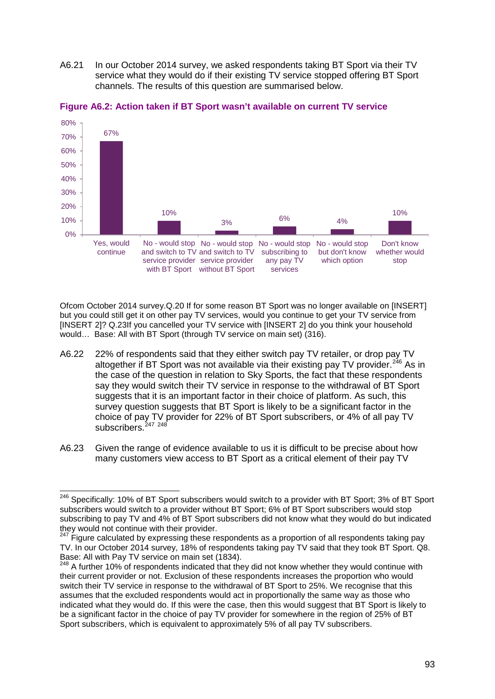A6.21 In our October 2014 survey, we asked respondents taking BT Sport via their TV service what they would do if their existing TV service stopped offering BT Sport channels. The results of this question are summarised below.



#### **Figure A6.2: Action taken if BT Sport wasn't available on current TV service**

Ofcom October 2014 survey.Q.20 If for some reason BT Sport was no longer available on [INSERT] but you could still get it on other pay TV services, would you continue to get your TV service from [INSERT 2]? Q.23If you cancelled your TV service with [INSERT 2] do you think your household would… Base: All with BT Sport (through TV service on main set) (316).

- A6.22 22% of respondents said that they either switch pay TV retailer, or drop pay TV altogether if BT Sport was not available via their existing pay TV provider. $246$  As in the case of the question in relation to Sky Sports, the fact that these respondents say they would switch their TV service in response to the withdrawal of BT Sport suggests that it is an important factor in their choice of platform. As such, this survey question suggests that BT Sport is likely to be a significant factor in the choice of pay TV provider for 22% of BT Sport subscribers, or 4% of all pay TV subscribers.<sup>[247](#page-93-1)</sup><sup>[248](#page-93-2)</sup>
- A6.23 Given the range of evidence available to us it is difficult to be precise about how many customers view access to BT Sport as a critical element of their pay TV

<span id="page-93-0"></span><sup>246</sup> Specifically: 10% of BT Sport subscribers would switch to a provider with BT Sport; 3% of BT Sport subscribers would switch to a provider without BT Sport; 6% of BT Sport subscribers would stop subscribing to pay TV and 4% of BT Sport subscribers did not know what they would do but indicated they would not continue with their provider. 246

<span id="page-93-1"></span> $^7$  Figure calculated by expressing these respondents as a proportion of all respondents taking pay TV. In our October 2014 survey, 18% of respondents taking pay TV said that they took BT Sport. Q8. Base: All with Pay TV service on main set (1834).

<span id="page-93-2"></span> $^3$  A further 10% of respondents indicated that they did not know whether they would continue with their current provider or not. Exclusion of these respondents increases the proportion who would switch their TV service in response to the withdrawal of BT Sport to 25%. We recognise that this assumes that the excluded respondents would act in proportionally the same way as those who indicated what they would do. If this were the case, then this would suggest that BT Sport is likely to be a significant factor in the choice of pay TV provider for somewhere in the region of 25% of BT Sport subscribers, which is equivalent to approximately 5% of all pay TV subscribers.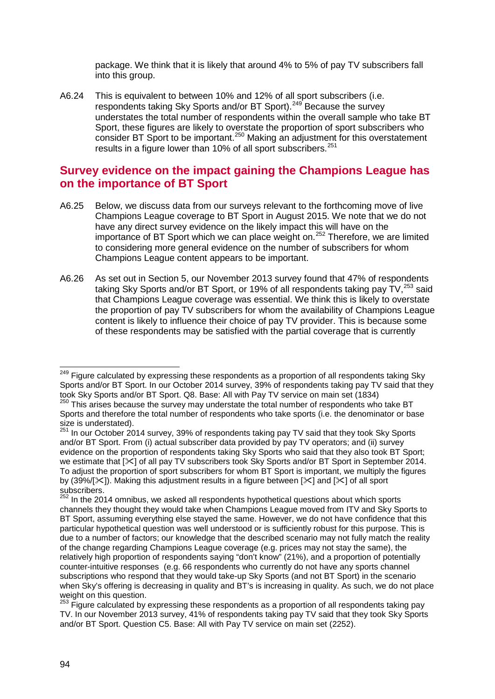package. We think that it is likely that around 4% to 5% of pay TV subscribers fall into this group.

A6.24 This is equivalent to between 10% and 12% of all sport subscribers (i.e. respondents taking Sky Sports and/or BT Sport).<sup>[249](#page-94-0)</sup> Because the survey understates the total number of respondents within the overall sample who take BT Sport, these figures are likely to overstate the proportion of sport subscribers who consider BT Sport to be important.[250](#page-94-1) Making an adjustment for this overstatement results in a figure lower than 10% of all sport subscribers.<sup>[251](#page-94-2)</sup>

## **Survey evidence on the impact gaining the Champions League has on the importance of BT Sport**

- A6.25 Below, we discuss data from our surveys relevant to the forthcoming move of live Champions League coverage to BT Sport in August 2015. We note that we do not have any direct survey evidence on the likely impact this will have on the importance of BT Sport which we can place weight on.<sup>[252](#page-94-3)</sup> Therefore, we are limited to considering more general evidence on the number of subscribers for whom Champions League content appears to be important.
- A6.26 As set out in Section 5, our November 2013 survey found that 47% of respondents taking Sky Sports and/or BT Sport, or 19% of all respondents taking pay  $TV<sup>253</sup>$  $TV<sup>253</sup>$  $TV<sup>253</sup>$  said that Champions League coverage was essential. We think this is likely to overstate the proportion of pay TV subscribers for whom the availability of Champions League content is likely to influence their choice of pay TV provider. This is because some of these respondents may be satisfied with the partial coverage that is currently

<span id="page-94-0"></span><sup>&</sup>lt;sup>249</sup> Figure calculated by expressing these respondents as a proportion of all respondents taking Sky Sports and/or BT Sport. In our October 2014 survey, 39% of respondents taking pay TV said that they took Sky Sports and/or BT Sport. Q8. Base: All with Pay TV service on main set (1834)  $\overline{a}$ 

<span id="page-94-1"></span> $250$  This arises because the survey may understate the total number of respondents who take BT Sports and therefore the total number of respondents who take sports (i.e. the denominator or base size is understated).<br><sup>251</sup> In our October 2014 survey, 39% of respondents taking pay TV said that they took Sky Sports

<span id="page-94-2"></span>and/or BT Sport. From (i) actual subscriber data provided by pay TV operators; and (ii) survey evidence on the proportion of respondents taking Sky Sports who said that they also took BT Sport; we estimate that  $[\times]$  of all pay TV subscribers took Sky Sports and/or BT Sport in September 2014. To adjust the proportion of sport subscribers for whom BT Sport is important, we multiply the figures by (39%/[ $\ll$ ]). Making this adjustment results in a figure between [ $\ll$ ] and [ $\ll$ ] of all sport subscribers.

<span id="page-94-3"></span><sup>&</sup>lt;sup>252</sup> In the 2014 omnibus, we asked all respondents hypothetical questions about which sports channels they thought they would take when Champions League moved from ITV and Sky Sports to BT Sport, assuming everything else stayed the same. However, we do not have confidence that this particular hypothetical question was well understood or is sufficiently robust for this purpose. This is due to a number of factors; our knowledge that the described scenario may not fully match the reality of the change regarding Champions League coverage (e.g. prices may not stay the same), the relatively high proportion of respondents saying "don't know" (21%), and a proportion of potentially counter-intuitive responses (e.g. 66 respondents who currently do not have any sports channel subscriptions who respond that they would take-up Sky Sports (and not BT Sport) in the scenario when Sky's offering is decreasing in quality and BT's is increasing in quality. As such, we do not place weight on this question.

<span id="page-94-4"></span> $253$  Figure calculated by expressing these respondents as a proportion of all respondents taking pay TV. In our November 2013 survey, 41% of respondents taking pay TV said that they took Sky Sports and/or BT Sport. Question C5. Base: All with Pay TV service on main set (2252).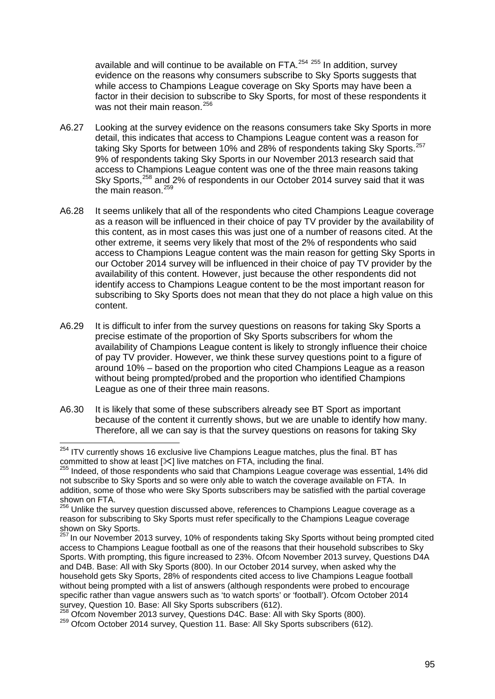available and will continue to be available on FTA. $254$   $255$  In addition, survey evidence on the reasons why consumers subscribe to Sky Sports suggests that while access to Champions League coverage on Sky Sports may have been a factor in their decision to subscribe to Sky Sports, for most of these respondents it was not their main reason.<sup>[256](#page-95-2)</sup>

- A6.27 Looking at the survey evidence on the reasons consumers take Sky Sports in more detail, this indicates that access to Champions League content was a reason for taking Sky Sports for between 10% and 28% of respondents taking Sky Sports.<sup>[257](#page-95-3)</sup> 9% of respondents taking Sky Sports in our November 2013 research said that access to Champions League content was one of the three main reasons taking Sky Sports,<sup>[258](#page-95-4)</sup> and 2% of respondents in our October 2014 survey said that it was the main reason.<sup>[259](#page-95-5)</sup>
- A6.28 It seems unlikely that all of the respondents who cited Champions League coverage as a reason will be influenced in their choice of pay TV provider by the availability of this content, as in most cases this was just one of a number of reasons cited. At the other extreme, it seems very likely that most of the 2% of respondents who said access to Champions League content was the main reason for getting Sky Sports in our October 2014 survey will be influenced in their choice of pay TV provider by the availability of this content. However, just because the other respondents did not identify access to Champions League content to be the most important reason for subscribing to Sky Sports does not mean that they do not place a high value on this content.
- A6.29 It is difficult to infer from the survey questions on reasons for taking Sky Sports a precise estimate of the proportion of Sky Sports subscribers for whom the availability of Champions League content is likely to strongly influence their choice of pay TV provider. However, we think these survey questions point to a figure of around 10% – based on the proportion who cited Champions League as a reason without being prompted/probed and the proportion who identified Champions League as one of their three main reasons.
- A6.30 It is likely that some of these subscribers already see BT Sport as important because of the content it currently shows, but we are unable to identify how many. Therefore, all we can say is that the survey questions on reasons for taking Sky

<sup>&</sup>lt;sup>254</sup> ITV currently shows 16 exclusive live Champions League matches, plus the final. BT has  $\overline{a}$ 

<span id="page-95-1"></span><span id="page-95-0"></span>committed to show at least  $[\times]$  live matches on FTA, including the final.<br><sup>255</sup> Indeed, of those respondents who said that Champions League coverage was essential, 14% did not subscribe to Sky Sports and so were only able to watch the coverage available on FTA. In addition, some of those who were Sky Sports subscribers may be satisfied with the partial coverage shown on FTA.

<span id="page-95-2"></span>Unlike the survey question discussed above, references to Champions League coverage as a reason for subscribing to Sky Sports must refer specifically to the Champions League coverage shown on Sky Sports.

<span id="page-95-3"></span><sup>257</sup> In our November 2013 survey, 10% of respondents taking Sky Sports without being prompted cited access to Champions League football as one of the reasons that their household subscribes to Sky Sports. With prompting, this figure increased to 23%. Ofcom November 2013 survey, Questions D4A and D4B. Base: All with Sky Sports (800). In our October 2014 survey, when asked why the household gets Sky Sports, 28% of respondents cited access to live Champions League football without being prompted with a list of answers (although respondents were probed to encourage specific rather than vague answers such as 'to watch sports' or 'football'). Ofcom October 2014<br>survey. Question 10. Base: All Sky Sports subscribers (612).

<span id="page-95-5"></span><span id="page-95-4"></span> $\frac{258}{258}$  Ofcom November 2013 survey, Questions D4C. Base: All with Sky Sports (800).  $\frac{259}{259}$  Ofcom October 2014 survey, Question 11. Base: All Sky Sports subscribers (612).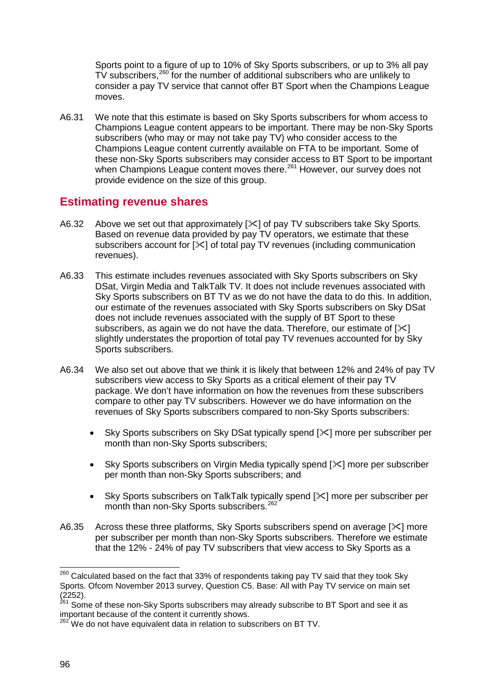Sports point to a figure of up to 10% of Sky Sports subscribers, or up to 3% all pay TV subscribers,<sup>[260](#page-96-0)</sup> for the number of additional subscribers who are unlikely to consider a pay TV service that cannot offer BT Sport when the Champions League moves.

A6.31 We note that this estimate is based on Sky Sports subscribers for whom access to Champions League content appears to be important. There may be non-Sky Sports subscribers (who may or may not take pay TV) who consider access to the Champions League content currently available on FTA to be important. Some of these non-Sky Sports subscribers may consider access to BT Sport to be important when Champions League content moves there.<sup>[261](#page-96-1)</sup> However, our survey does not provide evidence on the size of this group.

## **Estimating revenue shares**

- A6.32 Above we set out that approximately [ $\ll$ ] of pay TV subscribers take Sky Sports. Based on revenue data provided by pay TV operators, we estimate that these subscribers account for [ $\geq 1$  of total pay TV revenues (including communication revenues).
- A6.33 This estimate includes revenues associated with Sky Sports subscribers on Sky DSat, Virgin Media and TalkTalk TV. It does not include revenues associated with Sky Sports subscribers on BT TV as we do not have the data to do this. In addition, our estimate of the revenues associated with Sky Sports subscribers on Sky DSat does not include revenues associated with the supply of BT Sport to these subscribers, as again we do not have the data. Therefore, our estimate of  $[\times]$ slightly understates the proportion of total pay TV revenues accounted for by Sky Sports subscribers.
- A6.34 We also set out above that we think it is likely that between 12% and 24% of pay TV subscribers view access to Sky Sports as a critical element of their pay TV package. We don't have information on how the revenues from these subscribers compare to other pay TV subscribers. However we do have information on the revenues of Sky Sports subscribers compared to non-Sky Sports subscribers:
	- Sky Sports subscribers on Sky DSat typically spend [ $\ge$ ] more per subscriber per month than non-Sky Sports subscribers;
	- Sky Sports subscribers on Virgin Media typically spend  $[\times]$  more per subscriber per month than non-Sky Sports subscribers; and
	- Sky Sports subscribers on TalkTalk typically spend [ $\le$ ] more per subscriber per month than non-Sky Sports subscribers.<sup>[262](#page-96-2)</sup>
- A6.35 Across these three platforms, Sky Sports subscribers spend on average  $[\times]$  more per subscriber per month than non-Sky Sports subscribers. Therefore we estimate that the 12% - 24% of pay TV subscribers that view access to Sky Sports as a

<span id="page-96-0"></span> $^{260}$  Calculated based on the fact that 33% of respondents taking pay TV said that they took Sky Sports. Ofcom November 2013 survey, Question C5. Base: All with Pay TV service on main set (2252).  $\overline{a}$ 

<span id="page-96-1"></span><sup>&</sup>lt;sup>261</sup> Some of these non-Sky Sports subscribers may already subscribe to BT Sport and see it as important because of the content it currently shows.

<span id="page-96-2"></span><sup>&</sup>lt;sup>262</sup> We do not have equivalent data in relation to subscribers on BT TV.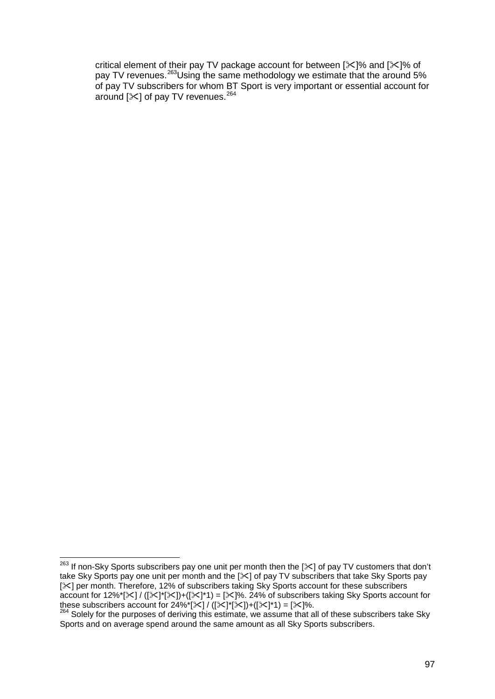critical element of their pay TV package account for between [ $\mathcal{K}$ ]% and [ $\mathcal{K}$ ]% of pay TV revenues.<sup>263</sup>Using the same methodology we estimate that the around 5% of pay TV subscribers for whom BT Sport is very important or essential account for around  $[\times]$  of pay TV revenues.<sup>[264](#page-97-1)</sup>

<span id="page-97-0"></span><sup>&</sup>lt;sup>263</sup> If non-Sky Sports subscribers pay one unit per month then the [ $\ll$ ] of pay TV customers that don't take Sky Sports pay one unit per month and the [ $\le$ ] of pay TV subscribers that take Sky Sports pay [ $|X|$ ] per month. Therefore, 12% of subscribers taking Sky Sports account for these subscribers account for 12%\*[ $\times$ ] / ( $[\times]$ \*[ $\times$ ] + ( $[\times]$ \*1) = [ $\times$ ]%. 24% of subscribers taking Sky Sports account for these subscribers account for 24%\*[ $\times$ ] / ( $[\times]$ \*[ $\times$ ] + ( $[\times]$ \*2]) + ( $[\times]$ \*2).  $\overline{a}$ 

<span id="page-97-1"></span> $264$  Solely for the purposes of deriving this estimate, we assume that all of these subscribers take Sky Sports and on average spend around the same amount as all Sky Sports subscribers.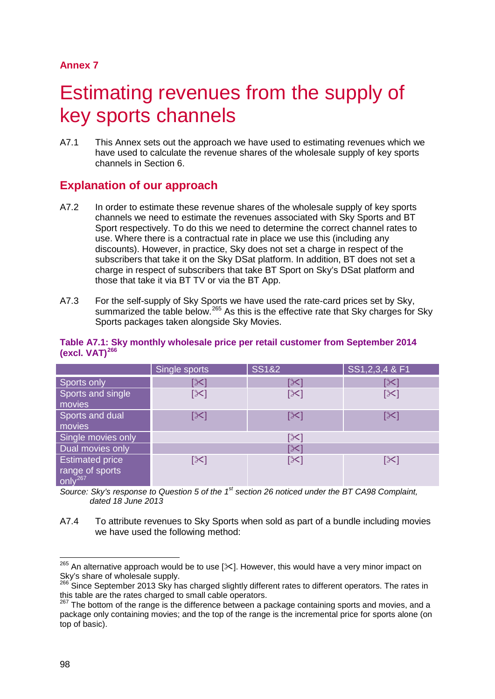# Estimating revenues from the supply of key sports channels

A7.1 This Annex sets out the approach we have used to estimating revenues which we have used to calculate the revenue shares of the wholesale supply of key sports channels in Section 6.

# **Explanation of our approach**

- A7.2 In order to estimate these revenue shares of the wholesale supply of key sports channels we need to estimate the revenues associated with Sky Sports and BT Sport respectively. To do this we need to determine the correct channel rates to use. Where there is a contractual rate in place we use this (including any discounts). However, in practice, Sky does not set a charge in respect of the subscribers that take it on the Sky DSat platform. In addition, BT does not set a charge in respect of subscribers that take BT Sport on Sky's DSat platform and those that take it via BT TV or via the BT App.
- A7.3 For the self-supply of Sky Sports we have used the rate-card prices set by Sky, summarized the table below.<sup>[265](#page-98-0)</sup> As this is the effective rate that Sky charges for Sky Sports packages taken alongside Sky Movies.

|                                        | Single sports   | <b>SS1&amp;2</b> | SS1, 2, 3, 4 & F1 |  |
|----------------------------------------|-----------------|------------------|-------------------|--|
| Sports only                            | <b>[X]</b>      | [X               |                   |  |
| Sports and single                      | $[\times]$      | $[\times]$       | [⊱                |  |
| movies                                 |                 |                  |                   |  |
| Sports and dual                        | $ \mathcal{X} $ | $[\times]$       |                   |  |
| movies                                 |                 |                  |                   |  |
| Single movies only                     | [╳]             |                  |                   |  |
| Dual movies only                       | [╳              |                  |                   |  |
| <b>Estimated price</b>                 | [≻]             | $[\times]$       |                   |  |
| range of sports<br>only <sup>267</sup> |                 |                  |                   |  |
|                                        |                 |                  |                   |  |

#### **Table A7.1: Sky monthly wholesale price per retail customer from September 2014 (excl. VAT)[266](#page-98-1)**

*Source: Sky's response to Question 5 of the 1st section 26 noticed under the BT CA98 Complaint, dated 18 June 2013*

A7.4 To attribute revenues to Sky Sports when sold as part of a bundle including movies we have used the following method:

<span id="page-98-0"></span> $^{265}$  An alternative approach would be to use [ $\ll$ ]. However, this would have a very minor impact on Sky's share of wholesale supply.  $\overline{a}$ 

<span id="page-98-1"></span><sup>&</sup>lt;sup>266</sup> Since September 2013 Sky has charged slightly different rates to different operators. The rates in this table are the rates charged to small cable operators.

<span id="page-98-2"></span> $267$  The bottom of the range is the difference between a package containing sports and movies, and a package only containing movies; and the top of the range is the incremental price for sports alone (on top of basic).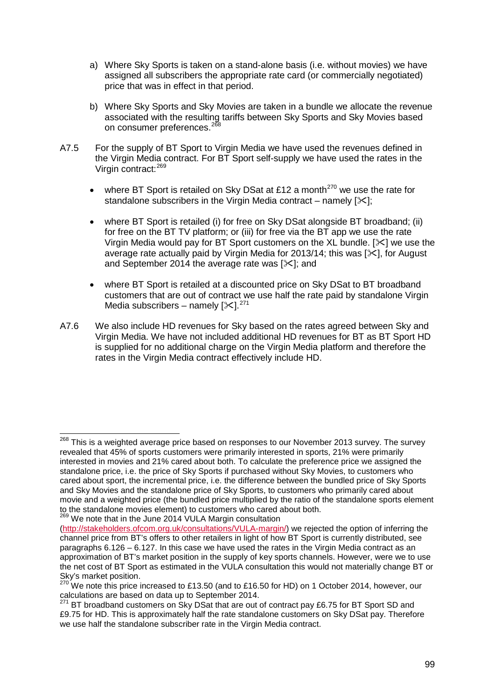- a) Where Sky Sports is taken on a stand-alone basis (i.e. without movies) we have assigned all subscribers the appropriate rate card (or commercially negotiated) price that was in effect in that period.
- b) Where Sky Sports and Sky Movies are taken in a bundle we allocate the revenue associated with the resulting tariffs between Sky Sports and Sky Movies based on consumer preferences.<sup>[268](#page-99-0)</sup>
- A7.5 For the supply of BT Sport to Virgin Media we have used the revenues defined in the Virgin Media contract. For BT Sport self-supply we have used the rates in the Virgin contract:[269](#page-99-1)
	- where BT Sport is retailed on Sky DSat at £12 a month<sup>[270](#page-99-2)</sup> we use the rate for standalone subscribers in the Virgin Media contract – namely  $[\times]$ :
	- where BT Sport is retailed (i) for free on Sky DSat alongside BT broadband; (ii) for free on the BT TV platform; or (iii) for free via the BT app we use the rate Virgin Media would pay for BT Sport customers on the XL bundle. [ $\ll$ ] we use the average rate actually paid by Virgin Media for 2013/14; this was  $[\frac{1}{2}]$ , for August and September 2014 the average rate was  $[\times]$ ; and
	- where BT Sport is retailed at a discounted price on Sky DSat to BT broadband customers that are out of contract we use half the rate paid by standalone Virgin Media subscribers – namely  $[\times]$ .<sup>[271](#page-99-3)</sup>
- A7.6 We also include HD revenues for Sky based on the rates agreed between Sky and Virgin Media. We have not included additional HD revenues for BT as BT Sport HD is supplied for no additional charge on the Virgin Media platform and therefore the rates in the Virgin Media contract effectively include HD.

 $\overline{a}$ 

<span id="page-99-0"></span><sup>&</sup>lt;sup>268</sup> This is a weighted average price based on responses to our November 2013 survey. The survey revealed that 45% of sports customers were primarily interested in sports, 21% were primarily interested in movies and 21% cared about both. To calculate the preference price we assigned the standalone price, i.e. the price of Sky Sports if purchased without Sky Movies, to customers who cared about sport, the incremental price, i.e. the difference between the bundled price of Sky Sports and Sky Movies and the standalone price of Sky Sports, to customers who primarily cared about movie and a weighted price (the bundled price multiplied by the ratio of the standalone sports element to the standalone movies element) to customers who cared about both. 269 We note that in the June 2014 VULA Margin consultation

<span id="page-99-1"></span>

[<sup>\(</sup>http://stakeholders.ofcom.org.uk/consultations/VULA-margin/\)](http://stakeholders.ofcom.org.uk/consultations/VULA-margin/) we rejected the option of inferring the channel price from BT's offers to other retailers in light of how BT Sport is currently distributed, see paragraphs 6.126 – 6.127. In this case we have used the rates in the Virgin Media contract as an approximation of BT's market position in the supply of key sports channels. However, were we to use the net cost of BT Sport as estimated in the VULA consultation this would not materially change BT or Sky's market position.

<span id="page-99-2"></span> $270$  We note this price increased to £13.50 (and to £16.50 for HD) on 1 October 2014, however, our calculations are based on data up to September 2014.

<span id="page-99-3"></span> $271$  BT broadband customers on Sky DSat that are out of contract pay £6.75 for BT Sport SD and £9.75 for HD. This is approximately half the rate standalone customers on Sky DSat pay. Therefore we use half the standalone subscriber rate in the Virgin Media contract.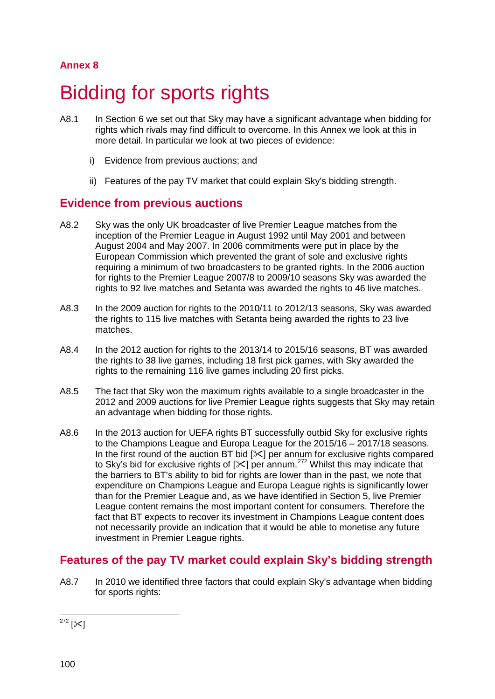# 8 Bidding for sports rights

- A8.1 In Section 6 we set out that Sky may have a significant advantage when bidding for rights which rivals may find difficult to overcome. In this Annex we look at this in more detail. In particular we look at two pieces of evidence:
	- i) Evidence from previous auctions; and
	- ii) Features of the pay TV market that could explain Sky's bidding strength.

## **Evidence from previous auctions**

- A8.2 Sky was the only UK broadcaster of live Premier League matches from the inception of the Premier League in August 1992 until May 2001 and between August 2004 and May 2007. In 2006 commitments were put in place by the European Commission which prevented the grant of sole and exclusive rights requiring a minimum of two broadcasters to be granted rights. In the 2006 auction for rights to the Premier League 2007/8 to 2009/10 seasons Sky was awarded the rights to 92 live matches and Setanta was awarded the rights to 46 live matches.
- A8.3 In the 2009 auction for rights to the 2010/11 to 2012/13 seasons, Sky was awarded the rights to 115 live matches with Setanta being awarded the rights to 23 live matches.
- A8.4 In the 2012 auction for rights to the 2013/14 to 2015/16 seasons, BT was awarded the rights to 38 live games, including 18 first pick games, with Sky awarded the rights to the remaining 116 live games including 20 first picks.
- A8.5 The fact that Sky won the maximum rights available to a single broadcaster in the 2012 and 2009 auctions for live Premier League rights suggests that Sky may retain an advantage when bidding for those rights.
- A8.6 In the 2013 auction for UEFA rights BT successfully outbid Sky for exclusive rights to the Champions League and Europa League for the 2015/16 – 2017/18 seasons. In the first round of the auction BT bid  $[\times]$  per annum for exclusive rights compared to Sky's bid for exclusive rights of  $[\times]$  per annum.<sup>[272](#page-100-0)</sup> Whilst this may indicate that the barriers to BT's ability to bid for rights are lower than in the past, we note that expenditure on Champions League and Europa League rights is significantly lower than for the Premier League and, as we have identified in Section 5, live Premier League content remains the most important content for consumers. Therefore the fact that BT expects to recover its investment in Champions League content does not necessarily provide an indication that it would be able to monetise any future investment in Premier League rights.

# **Features of the pay TV market could explain Sky's bidding strength**

A8.7 In 2010 we identified three factors that could explain Sky's advantage when bidding for sports rights:

<span id="page-100-0"></span><sup>272</sup> [ $\Join$ ]  $\overline{a}$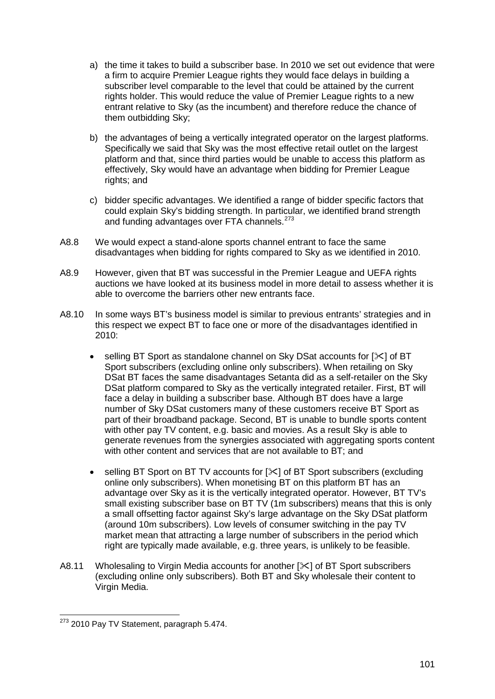- a) the time it takes to build a subscriber base. In 2010 we set out evidence that were a firm to acquire Premier League rights they would face delays in building a subscriber level comparable to the level that could be attained by the current rights holder. This would reduce the value of Premier League rights to a new entrant relative to Sky (as the incumbent) and therefore reduce the chance of them outbidding Sky;
- b) the advantages of being a vertically integrated operator on the largest platforms. Specifically we said that Sky was the most effective retail outlet on the largest platform and that, since third parties would be unable to access this platform as effectively, Sky would have an advantage when bidding for Premier League rights; and
- c) bidder specific advantages. We identified a range of bidder specific factors that could explain Sky's bidding strength. In particular, we identified brand strength and funding advantages over FTA channels.<sup>[273](#page-101-0)</sup>
- A8.8 We would expect a stand-alone sports channel entrant to face the same disadvantages when bidding for rights compared to Sky as we identified in 2010.
- A8.9 However, given that BT was successful in the Premier League and UEFA rights auctions we have looked at its business model in more detail to assess whether it is able to overcome the barriers other new entrants face.
- A8.10 In some ways BT's business model is similar to previous entrants' strategies and in this respect we expect BT to face one or more of the disadvantages identified in 2010:
	- selling BT Sport as standalone channel on Sky DSat accounts for [ $\ge$ ] of BT Sport subscribers (excluding online only subscribers). When retailing on Sky DSat BT faces the same disadvantages Setanta did as a self-retailer on the Sky DSat platform compared to Sky as the vertically integrated retailer. First, BT will face a delay in building a subscriber base. Although BT does have a large number of Sky DSat customers many of these customers receive BT Sport as part of their broadband package. Second, BT is unable to bundle sports content with other pay TV content, e.g. basic and movies. As a result Sky is able to generate revenues from the synergies associated with aggregating sports content with other content and services that are not available to BT; and
	- selling BT Sport on BT TV accounts for  $[\times]$  of BT Sport subscribers (excluding online only subscribers). When monetising BT on this platform BT has an advantage over Sky as it is the vertically integrated operator. However, BT TV's small existing subscriber base on BT TV (1m subscribers) means that this is only a small offsetting factor against Sky's large advantage on the Sky DSat platform (around 10m subscribers). Low levels of consumer switching in the pay TV market mean that attracting a large number of subscribers in the period which right are typically made available, e.g. three years, is unlikely to be feasible.
- A8.11 Wholesaling to Virgin Media accounts for another [ $\le$ ] of BT Sport subscribers (excluding online only subscribers). Both BT and Sky wholesale their content to Virgin Media.

<span id="page-101-0"></span><sup>&</sup>lt;sup>273</sup> 2010 Pay TV Statement, paragraph 5.474.  $\overline{a}$